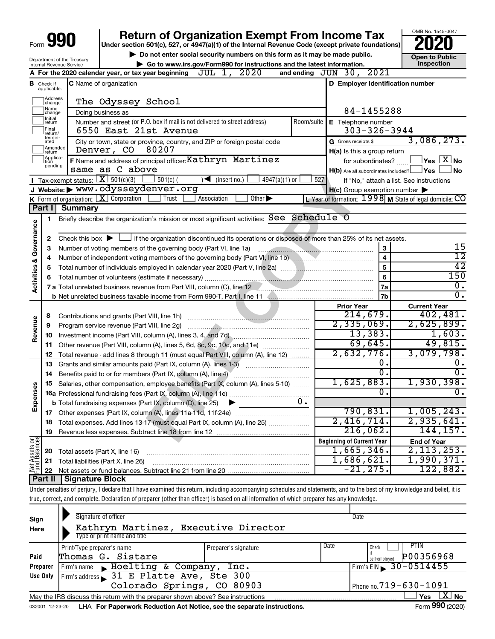Department of the Treasury

## **Return of Organization Exempt From Income Tax**

**Under section 501(c), 527, or 4947(a)(1) of the Internal Revenue Code (except private foundations)**

**b** Do not enter social security numbers on this form as it may be made public. **Open to Public** <br> **Code was used to Public Acceptuation** and the latest information **| Go to www.irs.gov/Form990 for instructions and the latest information. Inspection**

OMB No. 1545-0047

|                         |                              | Internal Revenue Service<br>$\blacktriangleright$ Go to www.irs.gov/Form990 for instructions and the latest information.                    |                    |                                                     | <b>Inspection</b>                                         |  |  |  |  |
|-------------------------|------------------------------|---------------------------------------------------------------------------------------------------------------------------------------------|--------------------|-----------------------------------------------------|-----------------------------------------------------------|--|--|--|--|
|                         |                              | JUL 1, 2020<br>A For the 2020 calendar year, or tax year beginning                                                                          |                    | and ending JUN 30, 2021                             |                                                           |  |  |  |  |
| в                       | Check if<br>applicable:      | <b>C</b> Name of organization                                                                                                               |                    | D Employer identification number                    |                                                           |  |  |  |  |
|                         |                              |                                                                                                                                             |                    |                                                     |                                                           |  |  |  |  |
|                         | ]Address<br>]change          | The Odyssey School                                                                                                                          |                    |                                                     |                                                           |  |  |  |  |
|                         | Name<br> change              | Doing business as                                                                                                                           | 84-1455288         |                                                     |                                                           |  |  |  |  |
|                         | ]Initial<br>]return<br>Final | Number and street (or P.O. box if mail is not delivered to street address)                                                                  | Room/suite         | E Telephone number                                  |                                                           |  |  |  |  |
|                         | return/<br>termin-           | 6550 East 21st Avenue                                                                                                                       | $303 - 326 - 3944$ |                                                     |                                                           |  |  |  |  |
|                         | ated<br>Amended              | City or town, state or province, country, and ZIP or foreign postal code                                                                    |                    | G Gross receipts \$                                 | 3,086,273.                                                |  |  |  |  |
|                         | Ireturn<br>Applica-<br>Ition | 80207<br>Denver, CO                                                                                                                         |                    | $H(a)$ is this a group return                       |                                                           |  |  |  |  |
|                         | pending                      | F Name and address of principal officer: Kathryn Martinez<br>same as C above                                                                |                    | for subordinates?                                   | $\sqrt{}$ Yes $\sqrt{}$ $\overline{\rm X}$ No             |  |  |  |  |
|                         |                              | <b>I</b> Tax-exempt status: $X \over 301(c)(3)$<br>$\sqrt{\phantom{a}}$ (insert no.)<br>$4947(a)(1)$ or                                     |                    | $H(b)$ Are all subordinates included? $\Box$ Yes    | ∫ No                                                      |  |  |  |  |
|                         |                              | $501(c)$ (<br>J Website: WWW.odysseydenver.org                                                                                              | 527                |                                                     | If "No," attach a list. See instructions                  |  |  |  |  |
|                         |                              | $K$ Form of organization: $K$ Corporation<br>Other $\blacktriangleright$<br>Association<br>Trust                                            |                    | $H(c)$ Group exemption number $\blacktriangleright$ | L Year of formation: $1998$ M State of legal domicile: CO |  |  |  |  |
|                         | Part I                       | <b>Summary</b>                                                                                                                              |                    |                                                     |                                                           |  |  |  |  |
|                         | 1                            | Briefly describe the organization's mission or most significant activities: See Schedule 0                                                  |                    |                                                     |                                                           |  |  |  |  |
| Governance              |                              |                                                                                                                                             |                    |                                                     |                                                           |  |  |  |  |
|                         | 2                            | Check this box $\blacktriangleright$ $\Box$ if the organization discontinued its operations or disposed of more than 25% of its net assets. |                    |                                                     |                                                           |  |  |  |  |
|                         | 3                            | Number of voting members of the governing body (Part VI, line 1a)                                                                           |                    | $\mathbf{3}$                                        | 15                                                        |  |  |  |  |
|                         | 4                            | Number of independent voting members of the governing body (Part VI, line 1b)                                                               | $\overline{4}$     | $\overline{12}$                                     |                                                           |  |  |  |  |
|                         | 5                            |                                                                                                                                             |                    | $\overline{5}$                                      | 42                                                        |  |  |  |  |
|                         |                              |                                                                                                                                             |                    | $\bf 6$                                             | 150                                                       |  |  |  |  |
| <b>Activities &amp;</b> |                              |                                                                                                                                             | 7a                 | Ο.                                                  |                                                           |  |  |  |  |
|                         |                              |                                                                                                                                             |                    | 7b                                                  | σ.                                                        |  |  |  |  |
|                         |                              |                                                                                                                                             |                    | <b>Prior Year</b>                                   | <b>Current Year</b>                                       |  |  |  |  |
|                         | 8                            |                                                                                                                                             |                    | 214,679.                                            | 402,481.                                                  |  |  |  |  |
| Revenue                 | 9                            |                                                                                                                                             |                    | 2,335,069.                                          | 2,625,899.                                                |  |  |  |  |
|                         | 10                           | Investment income (Part VIII, column (A), lines 3, 4, and 7d)                                                                               |                    | 13,383.                                             | 1,603.                                                    |  |  |  |  |
|                         | 11                           | Other revenue (Part VIII, column (A), lines 5, 6d, 8c, 9c, 10c, and 11e)                                                                    |                    | 69,645.                                             | 49,815.                                                   |  |  |  |  |
|                         | 12                           | Total revenue - add lines 8 through 11 (must equal Part VIII, column (A), line 12)                                                          |                    | 2,632,776.                                          | 3,079,798.                                                |  |  |  |  |
|                         | 13                           | Grants and similar amounts paid (Part IX, column (A), lines 1-3)                                                                            |                    | 0.                                                  | 0.                                                        |  |  |  |  |
|                         | 14                           | Benefits paid to or for members (Part IX, column (A), line 4)                                                                               |                    | $\overline{0}$ .                                    | 0.                                                        |  |  |  |  |
|                         | 15                           | Salaries, other compensation, employee benefits (Part IX, column (A), lines 5-10)                                                           |                    | 1,625,883.                                          | 1,930,398.                                                |  |  |  |  |
| Expenses                |                              |                                                                                                                                             |                    | 0.                                                  | 0.                                                        |  |  |  |  |
|                         |                              | <b>b</b> Total fundraising expenses (Part IX, column (D), line 25)                                                                          | $0$ .              |                                                     |                                                           |  |  |  |  |
|                         |                              |                                                                                                                                             |                    | 790, 831.                                           | 1,005,243.                                                |  |  |  |  |
|                         |                              | 18 Total expenses. Add lines 13-17 (must equal Part IX, column (A), line 25)                                                                |                    | 2,416,714.                                          | 2,935,641.                                                |  |  |  |  |
|                         | 19                           |                                                                                                                                             |                    | 216,062.                                            | 144, 157.                                                 |  |  |  |  |
| Net Assets or           |                              |                                                                                                                                             |                    | <b>Beginning of Current Year</b>                    | <b>End of Year</b>                                        |  |  |  |  |
|                         | 20                           | Total assets (Part X, line 16)                                                                                                              |                    | 1,665,346.                                          | 2,113,253.                                                |  |  |  |  |
|                         | 21                           | Total liabilities (Part X, line 26)                                                                                                         |                    | 1,686,621.                                          | 1,990,371.                                                |  |  |  |  |
|                         | 22                           |                                                                                                                                             |                    | $-21, 275.$                                         | 122,882.                                                  |  |  |  |  |
|                         | Part II                      | <b>Signature Block</b>                                                                                                                      |                    |                                                     |                                                           |  |  |  |  |

Under penalties of perjury, I declare that I have examined this return, including accompanying schedules and statements, and to the best of my knowledge and belief, it is true, correct, and complete. Declaration of preparer (other than officer) is based on all information of which preparer has any knowledge.

| Sign<br>Here | Signature of officer<br>Kathryn Martinez, Executive Director<br>Type or print name and title                 |                      |      | Date                                |  |  |  |  |  |  |
|--------------|--------------------------------------------------------------------------------------------------------------|----------------------|------|-------------------------------------|--|--|--|--|--|--|
|              | Print/Type preparer's name                                                                                   | Preparer's signature | Date | <b>PTIN</b><br>Check                |  |  |  |  |  |  |
| Paid         | Thomas G. Sistare                                                                                            |                      |      | P00356968<br>self-emploved          |  |  |  |  |  |  |
| Preparer     | Firm's name $\blacktriangleright$ Hoelting & Company,                                                        | Inc.                 |      | Firm's EIN $\frac{30 - 0514455}{ }$ |  |  |  |  |  |  |
| Use Only     | Firm's address 31 E Platte Ave, Ste 300                                                                      |                      |      |                                     |  |  |  |  |  |  |
|              | Colorado Springs, CO 80903<br>Phone no. $719 - 630 - 1091$                                                   |                      |      |                                     |  |  |  |  |  |  |
|              | $\mathbf{X}$ No<br>Yes<br>May the IRS discuss this return with the preparer shown above? See instructions    |                      |      |                                     |  |  |  |  |  |  |
|              | Form 990 (2020)<br>LHA For Paperwork Reduction Act Notice, see the separate instructions.<br>032001 12-23-20 |                      |      |                                     |  |  |  |  |  |  |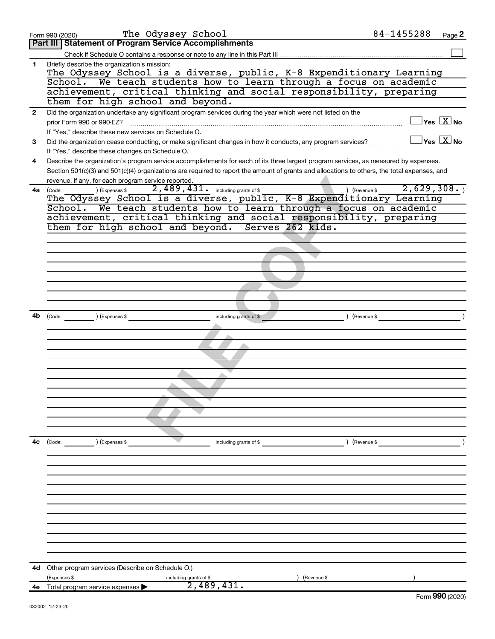|                | The Odyssey School<br>Form 990 (2020)                                                                                                        | 84-1455288 | Page 2                               |
|----------------|----------------------------------------------------------------------------------------------------------------------------------------------|------------|--------------------------------------|
|                | <b>Part III   Statement of Program Service Accomplishments</b>                                                                               |            |                                      |
|                |                                                                                                                                              |            |                                      |
| 1              | Briefly describe the organization's mission:                                                                                                 |            |                                      |
|                | The Odyssey School is a diverse, public, K-8 Expenditionary Learning                                                                         |            |                                      |
|                | School. We teach students how to learn through a focus on academic<br>achievement, critical thinking and social responsibility, preparing    |            |                                      |
|                | them for high school and beyond.                                                                                                             |            |                                      |
| $\overline{2}$ | Did the organization undertake any significant program services during the year which were not listed on the                                 |            |                                      |
|                | prior Form 990 or 990-EZ?                                                                                                                    |            | $\sqrt{\mathsf{Yes}\ \mathbf{X}}$ No |
|                | If "Yes," describe these new services on Schedule O.                                                                                         |            |                                      |
| 3              | Did the organization cease conducting, or make significant changes in how it conducts, any program services?                                 |            | $\exists$ Yes $\boxed{\text{X}}$ No  |
|                | If "Yes," describe these changes on Schedule O.                                                                                              |            |                                      |
| 4              | Describe the organization's program service accomplishments for each of its three largest program services, as measured by expenses.         |            |                                      |
|                | Section 501(c)(3) and 501(c)(4) organizations are required to report the amount of grants and allocations to others, the total expenses, and |            |                                      |
|                | revenue, if any, for each program service reported.                                                                                          |            |                                      |
| 4a             | $2,489,431$ $\cdot$ including grants of \$<br>(Expenses \$<br>) (Revenue \$<br>(Code:                                                        | 2,629,308. |                                      |
|                | The Odyssey School is a diverse, public, K-8 Expenditionary Learning                                                                         |            |                                      |
|                | School. We teach students how to learn through a focus on academic<br>achievement, critical thinking and social responsibility, preparing    |            |                                      |
|                | them for high school and beyond. Serves 262 kids.                                                                                            |            |                                      |
|                |                                                                                                                                              |            |                                      |
|                |                                                                                                                                              |            |                                      |
|                |                                                                                                                                              |            |                                      |
|                |                                                                                                                                              |            |                                      |
|                |                                                                                                                                              |            |                                      |
|                |                                                                                                                                              |            |                                      |
|                |                                                                                                                                              |            |                                      |
|                |                                                                                                                                              |            |                                      |
| 4b             | (Code: ) (Expenses \$<br>) (Revenue \$<br>including grants of \$                                                                             |            |                                      |
|                |                                                                                                                                              |            |                                      |
|                |                                                                                                                                              |            |                                      |
|                |                                                                                                                                              |            |                                      |
|                |                                                                                                                                              |            |                                      |
|                |                                                                                                                                              |            |                                      |
|                |                                                                                                                                              |            |                                      |
|                |                                                                                                                                              |            |                                      |
|                |                                                                                                                                              |            |                                      |
|                |                                                                                                                                              |            |                                      |
|                |                                                                                                                                              |            |                                      |
|                |                                                                                                                                              |            |                                      |
| 4с             | (Code:<br>) (Expenses \$<br>(Revenue \$<br>including grants of \$                                                                            |            |                                      |
|                |                                                                                                                                              |            |                                      |
|                |                                                                                                                                              |            |                                      |
|                |                                                                                                                                              |            |                                      |
|                |                                                                                                                                              |            |                                      |
|                |                                                                                                                                              |            |                                      |
|                |                                                                                                                                              |            |                                      |
|                |                                                                                                                                              |            |                                      |
|                |                                                                                                                                              |            |                                      |
|                |                                                                                                                                              |            |                                      |
|                |                                                                                                                                              |            |                                      |
|                |                                                                                                                                              |            |                                      |
| 4d             | Other program services (Describe on Schedule O.)                                                                                             |            |                                      |
|                | (Expenses \$<br>(Revenue \$<br>including grants of \$                                                                                        |            |                                      |
|                | 2,489,431.<br><b>4e</b> Total program service expenses $\blacktriangleright$                                                                 |            |                                      |
|                | 032002 12-23-20                                                                                                                              |            | Form 990 (2020)                      |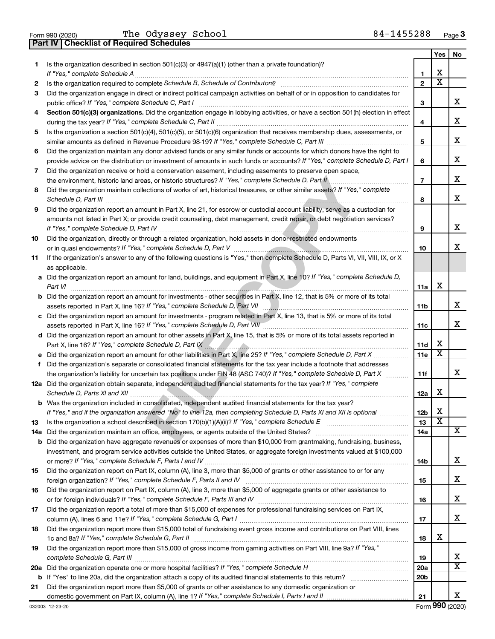The Odyssey School 84-1455288

|     | 84-1455288<br>The Odyssey School<br>Form 990 (2020)                                                                                                                                                                            |                 |                         | Page 3          |
|-----|--------------------------------------------------------------------------------------------------------------------------------------------------------------------------------------------------------------------------------|-----------------|-------------------------|-----------------|
|     | <b>Checklist of Required Schedules</b><br>Part IV                                                                                                                                                                              |                 |                         |                 |
|     |                                                                                                                                                                                                                                |                 | Yes                     | No              |
| 1.  | Is the organization described in section $501(c)(3)$ or $4947(a)(1)$ (other than a private foundation)?                                                                                                                        |                 |                         |                 |
|     | If "Yes," complete Schedule A                                                                                                                                                                                                  | 1               | x                       |                 |
| 2   | Is the organization required to complete Schedule B, Schedule of Contributors? [11] The organization required to complete Schedule B, Schedule of Contributors? [11] The organization required to complete Schedule B, Schedul | $\overline{2}$  | $\overline{\textbf{x}}$ |                 |
| 3   | Did the organization engage in direct or indirect political campaign activities on behalf of or in opposition to candidates for                                                                                                |                 |                         |                 |
|     | public office? If "Yes," complete Schedule C, Part I                                                                                                                                                                           | З               |                         | x               |
| 4   | Section 501(c)(3) organizations. Did the organization engage in lobbying activities, or have a section 501(h) election in effect                                                                                               |                 |                         |                 |
|     |                                                                                                                                                                                                                                | 4               |                         | x               |
| 5   | Is the organization a section 501(c)(4), 501(c)(5), or 501(c)(6) organization that receives membership dues, assessments, or                                                                                                   |                 |                         |                 |
|     |                                                                                                                                                                                                                                | 5               |                         | x               |
| 6   | Did the organization maintain any donor advised funds or any similar funds or accounts for which donors have the right to                                                                                                      |                 |                         |                 |
|     | provide advice on the distribution or investment of amounts in such funds or accounts? If "Yes," complete Schedule D, Part I                                                                                                   | 6               |                         | x               |
| 7   | Did the organization receive or hold a conservation easement, including easements to preserve open space,                                                                                                                      |                 |                         |                 |
|     | the environment, historic land areas, or historic structures? If "Yes," complete Schedule D, Part II<br>.                                                                                                                      | $\overline{7}$  |                         | x               |
| 8   | Did the organization maintain collections of works of art, historical treasures, or other similar assets? If "Yes," complete                                                                                                   | 8               |                         | x               |
| 9   | Did the organization report an amount in Part X, line 21, for escrow or custodial account liability, serve as a custodian for                                                                                                  |                 |                         |                 |
|     | amounts not listed in Part X; or provide credit counseling, debt management, credit repair, or debt negotiation services?                                                                                                      |                 |                         |                 |
|     |                                                                                                                                                                                                                                | 9               |                         | х               |
| 10  | Did the organization, directly or through a related organization, hold assets in donor-restricted endowments                                                                                                                   |                 |                         |                 |
|     |                                                                                                                                                                                                                                | 10              |                         | x               |
| 11  | If the organization's answer to any of the following questions is "Yes," then complete Schedule D, Parts VI, VII, VIII, IX, or X<br>as applicable.                                                                             |                 |                         |                 |
|     | a Did the organization report an amount for land, buildings, and equipment in Part X, line 10? If "Yes," complete Schedule D,                                                                                                  |                 |                         |                 |
|     | Part VI                                                                                                                                                                                                                        | 11a             | х                       |                 |
|     | <b>b</b> Did the organization report an amount for investments - other securities in Part X, line 12, that is 5% or more of its total                                                                                          |                 |                         |                 |
|     |                                                                                                                                                                                                                                | 11b             |                         | x               |
|     | c Did the organization report an amount for investments - program related in Part X, line 13, that is 5% or more of its total                                                                                                  |                 |                         |                 |
|     |                                                                                                                                                                                                                                | 11c             |                         | x               |
|     | d Did the organization report an amount for other assets in Part X, line 15, that is 5% or more of its total assets reported in                                                                                                |                 |                         |                 |
|     |                                                                                                                                                                                                                                | 11d             | x                       |                 |
|     |                                                                                                                                                                                                                                | 11e             | х                       |                 |
| f.  | Did the organization's separate or consolidated financial statements for the tax year include a footnote that addresses                                                                                                        |                 |                         |                 |
|     | the organization's liability for uncertain tax positions under FIN 48 (ASC 740)? If "Yes," complete Schedule D, Part X                                                                                                         | 11f             |                         | x               |
|     | 12a Did the organization obtain separate, independent audited financial statements for the tax year? If "Yes," complete                                                                                                        |                 |                         |                 |
|     | Schedule D, Parts XI and XII <b>construction and construction of the Construction</b> and Construction and Construction                                                                                                        | 12a             | X                       |                 |
|     | <b>b</b> Was the organization included in consolidated, independent audited financial statements for the tax year?                                                                                                             |                 |                         |                 |
|     | If "Yes," and if the organization answered "No" to line 12a, then completing Schedule D, Parts XI and XII is optional                                                                                                          | 12 <sub>b</sub> | x                       |                 |
| 13  |                                                                                                                                                                                                                                | 13              | $\overline{\textbf{x}}$ |                 |
| 14a | Did the organization maintain an office, employees, or agents outside of the United States?                                                                                                                                    | 14a             |                         | x               |
|     | <b>b</b> Did the organization have aggregate revenues or expenses of more than \$10,000 from grantmaking, fundraising, business,                                                                                               |                 |                         |                 |
|     | investment, and program service activities outside the United States, or aggregate foreign investments valued at \$100,000                                                                                                     |                 |                         |                 |
|     |                                                                                                                                                                                                                                | 14b             |                         | x               |
| 15  | Did the organization report on Part IX, column (A), line 3, more than \$5,000 of grants or other assistance to or for any                                                                                                      |                 |                         |                 |
|     |                                                                                                                                                                                                                                | 15              |                         | x               |
| 16  | Did the organization report on Part IX, column (A), line 3, more than \$5,000 of aggregate grants or other assistance to                                                                                                       |                 |                         |                 |
|     |                                                                                                                                                                                                                                | 16              |                         | x               |
| 17  | Did the organization report a total of more than \$15,000 of expenses for professional fundraising services on Part IX,                                                                                                        |                 |                         |                 |
|     |                                                                                                                                                                                                                                | 17              |                         | x               |
| 18  | Did the organization report more than \$15,000 total of fundraising event gross income and contributions on Part VIII, lines                                                                                                   | 18              | х                       |                 |
| 19  | Did the organization report more than \$15,000 of gross income from gaming activities on Part VIII, line 9a? If "Yes,"                                                                                                         |                 |                         |                 |
|     |                                                                                                                                                                                                                                | 19              |                         | x               |
| 20a |                                                                                                                                                                                                                                | 20a             |                         | x               |
|     |                                                                                                                                                                                                                                | 20 <sub>b</sub> |                         |                 |
| 21  | Did the organization report more than \$5,000 of grants or other assistance to any domestic organization or                                                                                                                    |                 |                         |                 |
|     |                                                                                                                                                                                                                                | 21              |                         | x               |
|     | 032003 12-23-20                                                                                                                                                                                                                |                 |                         | Form 990 (2020) |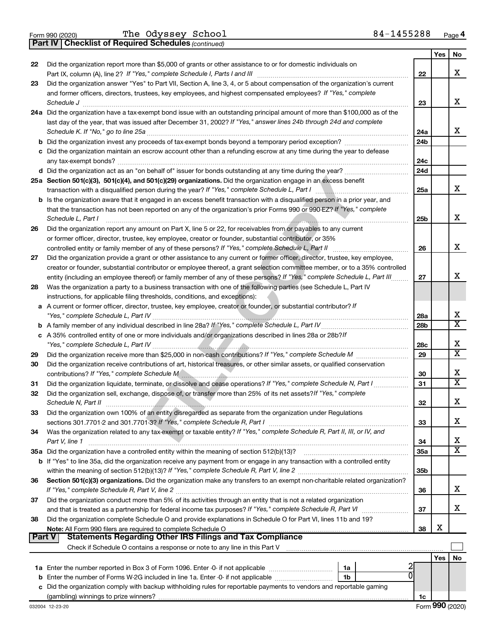|  | Form 990 (2020) |  |
|--|-----------------|--|
|  |                 |  |

The Odyssey School 84-1455288

|               | 84-1455288<br>The Odyssey School<br>Form 990 (2020)                                                                                                                            |                 |            | Page 4          |
|---------------|--------------------------------------------------------------------------------------------------------------------------------------------------------------------------------|-----------------|------------|-----------------|
|               | <b>Part IV   Checklist of Required Schedules (continued)</b>                                                                                                                   |                 |            |                 |
|               |                                                                                                                                                                                |                 | Yes        | No              |
| 22            | Did the organization report more than \$5,000 of grants or other assistance to or for domestic individuals on                                                                  |                 |            |                 |
|               | Part IX, column (A), line 2? If "Yes," complete Schedule I, Parts I and III                                                                                                    | 22              |            | x               |
| 23            | Did the organization answer "Yes" to Part VII, Section A, line 3, 4, or 5 about compensation of the organization's current                                                     |                 |            |                 |
|               | and former officers, directors, trustees, key employees, and highest compensated employees? If "Yes," complete                                                                 |                 |            |                 |
|               | Schedule J <b>Execute Schedule Schedule Schedule Schedule</b> J <b>Execute Schedule J Execute Schedule J</b>                                                                   | 23              |            | x               |
|               | 24a Did the organization have a tax-exempt bond issue with an outstanding principal amount of more than \$100,000 as of the                                                    |                 |            |                 |
|               | last day of the year, that was issued after December 31, 2002? If "Yes," answer lines 24b through 24d and complete                                                             |                 |            |                 |
|               |                                                                                                                                                                                | 24a             |            | x               |
|               | b Did the organization invest any proceeds of tax-exempt bonds beyond a temporary period exception?                                                                            | 24 <sub>b</sub> |            |                 |
|               | c Did the organization maintain an escrow account other than a refunding escrow at any time during the year to defease                                                         |                 |            |                 |
|               |                                                                                                                                                                                | 24c             |            |                 |
|               |                                                                                                                                                                                | 24d             |            |                 |
|               | 25a Section 501(c)(3), 501(c)(4), and 501(c)(29) organizations. Did the organization engage in an excess benefit                                                               | 25a             |            | х               |
|               | <b>b</b> Is the organization aware that it engaged in an excess benefit transaction with a disqualified person in a prior year, and                                            |                 |            |                 |
|               | that the transaction has not been reported on any of the organization's prior Forms 990 or 990-EZ? If "Yes," complete                                                          |                 |            |                 |
|               | Schedule L, Part I                                                                                                                                                             | 25b             |            | x               |
| 26            | Did the organization report any amount on Part X, line 5 or 22, for receivables from or payables to any current                                                                |                 |            |                 |
|               | or former officer, director, trustee, key employee, creator or founder, substantial contributor, or 35%                                                                        |                 |            |                 |
|               | controlled entity or family member of any of these persons? If "Yes," complete Schedule L, Part II                                                                             | 26              |            | x               |
| 27            | Did the organization provide a grant or other assistance to any current or former officer, director, trustee, key employee,                                                    |                 |            |                 |
|               | creator or founder, substantial contributor or employee thereof, a grant selection committee member, or to a 35% controlled                                                    |                 |            |                 |
|               | entity (including an employee thereof) or family member of any of these persons? If "Yes," complete Schedule L, Part III                                                       | 27              |            | x               |
| 28            | Was the organization a party to a business transaction with one of the following parties (see Schedule L, Part IV                                                              |                 |            |                 |
|               | instructions, for applicable filing thresholds, conditions, and exceptions):                                                                                                   |                 |            |                 |
| а             | A current or former officer, director, trustee, key employee, creator or founder, or substantial contributor? If                                                               |                 |            |                 |
|               |                                                                                                                                                                                | 28a             |            | х               |
|               |                                                                                                                                                                                | 28 <sub>b</sub> |            | X               |
|               | c A 35% controlled entity of one or more individuals and/or organizations described in lines 28a or 28b?/f                                                                     |                 |            |                 |
|               |                                                                                                                                                                                | 28c             |            | х               |
| 29            |                                                                                                                                                                                | 29              |            | X               |
| 30            | Did the organization receive contributions of art, historical treasures, or other similar assets, or qualified conservation                                                    |                 |            |                 |
|               |                                                                                                                                                                                | 30              |            | х               |
| 31            | Did the organization liquidate, terminate, or dissolve and cease operations? If "Yes," complete Schedule N, Part I                                                             | 31              |            | X               |
| 32            | Did the organization sell, exchange, dispose of, or transfer more than 25% of its net assets? If "Yes," complete                                                               |                 |            |                 |
|               | Schedule N, Part II                                                                                                                                                            | 32              |            | х               |
| 33            | Did the organization own 100% of an entity disregarded as separate from the organization under Regulations                                                                     |                 |            |                 |
|               |                                                                                                                                                                                | 33              |            | x.              |
| 34            | Was the organization related to any tax-exempt or taxable entity? If "Yes," complete Schedule R, Part II, III, or IV, and                                                      |                 |            |                 |
|               | Part V, line 1                                                                                                                                                                 | 34              |            | х               |
|               | 35a Did the organization have a controlled entity within the meaning of section 512(b)(13)?                                                                                    | 35a             |            | x               |
|               | b If "Yes" to line 35a, did the organization receive any payment from or engage in any transaction with a controlled entity                                                    |                 |            |                 |
|               |                                                                                                                                                                                | 35 <sub>b</sub> |            |                 |
| 36            | Section 501(c)(3) organizations. Did the organization make any transfers to an exempt non-charitable related organization?                                                     |                 |            |                 |
|               |                                                                                                                                                                                | 36              |            | х               |
| 37            | Did the organization conduct more than 5% of its activities through an entity that is not a related organization                                                               |                 |            |                 |
|               |                                                                                                                                                                                | 37              |            | x.              |
| 38            | Did the organization complete Schedule O and provide explanations in Schedule O for Part VI, lines 11b and 19?                                                                 |                 | х          |                 |
| <b>Part V</b> | <b>Statements Regarding Other IRS Filings and Tax Compliance</b>                                                                                                               | 38              |            |                 |
|               |                                                                                                                                                                                |                 |            |                 |
|               |                                                                                                                                                                                |                 |            |                 |
|               |                                                                                                                                                                                | 4               | <b>Yes</b> | No              |
| b             | 1a Enter the number reported in Box 3 of Form 1096. Enter -0- if not applicable<br>1a<br>Enter the number of Forms W-2G included in line 1a. Enter -0- if not applicable<br>1b |                 |            |                 |
|               | c Did the organization comply with backup withholding rules for reportable payments to vendors and reportable gaming                                                           |                 |            |                 |
|               |                                                                                                                                                                                | 1c              |            |                 |
|               | 032004 12-23-20                                                                                                                                                                |                 |            | Form 990 (2020) |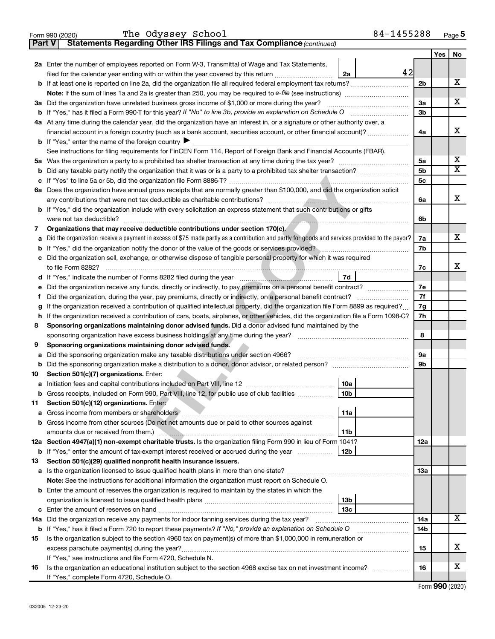|               | 84-1455288<br>The Odyssey School<br>Form 990 (2020)                                                                                                                                                                                              |                |     | Page 5                  |
|---------------|--------------------------------------------------------------------------------------------------------------------------------------------------------------------------------------------------------------------------------------------------|----------------|-----|-------------------------|
| <b>Part V</b> | Statements Regarding Other IRS Filings and Tax Compliance (continued)                                                                                                                                                                            |                |     |                         |
|               |                                                                                                                                                                                                                                                  |                | Yes | No                      |
|               | 2a Enter the number of employees reported on Form W-3, Transmittal of Wage and Tax Statements,                                                                                                                                                   |                |     |                         |
|               | 42<br>filed for the calendar year ending with or within the year covered by this return<br>2a                                                                                                                                                    |                |     |                         |
|               |                                                                                                                                                                                                                                                  | 2 <sub>b</sub> |     | х                       |
|               | Note: If the sum of lines 1a and 2a is greater than 250, you may be required to e-file (see instructions)                                                                                                                                        |                |     |                         |
|               | 3a Did the organization have unrelated business gross income of \$1,000 or more during the year?                                                                                                                                                 | 3a             |     | х                       |
|               | <b>b</b> If "Yes," has it filed a Form 990-T for this year? If "No" to line 3b, provide an explanation on Schedule O                                                                                                                             | 3 <sub>b</sub> |     |                         |
|               | 4a At any time during the calendar year, did the organization have an interest in, or a signature or other authority over, a                                                                                                                     |                |     |                         |
|               | financial account in a foreign country (such as a bank account, securities account, or other financial account)?                                                                                                                                 | 4a             |     | х                       |
|               | <b>b</b> If "Yes," enter the name of the foreign country $\blacktriangleright$                                                                                                                                                                   |                |     |                         |
|               | See instructions for filing requirements for FinCEN Form 114, Report of Foreign Bank and Financial Accounts (FBAR).                                                                                                                              |                |     |                         |
|               |                                                                                                                                                                                                                                                  | 5a             |     | х                       |
|               |                                                                                                                                                                                                                                                  | 5b             |     | $\overline{\texttt{x}}$ |
|               |                                                                                                                                                                                                                                                  | 5c             |     |                         |
|               | 6a Does the organization have annual gross receipts that are normally greater than \$100,000, and did the organization solicit                                                                                                                   |                |     |                         |
|               |                                                                                                                                                                                                                                                  | 6a             |     | х                       |
|               | <b>b</b> If "Yes," did the organization include with every solicitation an express statement that such contributions or gifts                                                                                                                    |                |     |                         |
|               | were not tax deductible?                                                                                                                                                                                                                         | 6b             |     |                         |
| 7             | Organizations that may receive deductible contributions under section 170(c).                                                                                                                                                                    |                |     |                         |
| а             | Did the organization receive a payment in excess of \$75 made partly as a contribution and partly for goods and services provided to the payor?                                                                                                  | 7a             |     | x                       |
| b             |                                                                                                                                                                                                                                                  | 7b             |     |                         |
|               | c Did the organization sell, exchange, or otherwise dispose of tangible personal property for which it was required                                                                                                                              |                |     | х                       |
|               | to file Form 8282?                                                                                                                                                                                                                               | 7c             |     |                         |
|               | 7d                                                                                                                                                                                                                                               | 7e             |     |                         |
| е             | Did the organization receive any funds, directly or indirectly, to pay premiums on a personal benefit contract?                                                                                                                                  | 7f             |     |                         |
| f.            | Did the organization, during the year, pay premiums, directly or indirectly, on a personal benefit contract?<br>If the organization received a contribution of qualified intellectual property, did the organization file Form 8899 as required? | 7g             |     |                         |
| g             | h If the organization received a contribution of cars, boats, airplanes, or other vehicles, did the organization file a Form 1098-C?                                                                                                             | 7h             |     |                         |
| 8             | Sponsoring organizations maintaining donor advised funds. Did a donor advised fund maintained by the                                                                                                                                             |                |     |                         |
|               | sponsoring organization have excess business holdings at any time during the year?<br>and a complete the contract of the complete the complete the complete the complete the complete the complete t                                             | 8              |     |                         |
| 9             | Sponsoring organizations maintaining donor advised funds.                                                                                                                                                                                        |                |     |                         |
| а             |                                                                                                                                                                                                                                                  | <b>9a</b>      |     |                         |
| b             |                                                                                                                                                                                                                                                  | 9b             |     |                         |
| 10            | Section 501(c)(7) organizations. Enter:                                                                                                                                                                                                          |                |     |                         |
|               | 10a                                                                                                                                                                                                                                              |                |     |                         |
| b             | Gross receipts, included on Form 990, Part VIII, line 12, for public use of club facilities<br>10b                                                                                                                                               |                |     |                         |
| 11            | Section 501(c)(12) organizations. Enter:                                                                                                                                                                                                         |                |     |                         |
| а             | 11a                                                                                                                                                                                                                                              |                |     |                         |
| b             | Gross income from other sources (Do not net amounts due or paid to other sources against                                                                                                                                                         |                |     |                         |
|               | 11b                                                                                                                                                                                                                                              |                |     |                         |
|               | 12a Section 4947(a)(1) non-exempt charitable trusts. Is the organization filing Form 990 in lieu of Form 1041?                                                                                                                                   | 12a            |     |                         |
| b             | If "Yes," enter the amount of tax-exempt interest received or accrued during the year<br>12b                                                                                                                                                     |                |     |                         |
| 13            | Section 501(c)(29) qualified nonprofit health insurance issuers.                                                                                                                                                                                 |                |     |                         |
|               |                                                                                                                                                                                                                                                  | 13a            |     |                         |
|               | Note: See the instructions for additional information the organization must report on Schedule O.                                                                                                                                                |                |     |                         |
|               | <b>b</b> Enter the amount of reserves the organization is required to maintain by the states in which the                                                                                                                                        |                |     |                         |
|               | 13 <sub>b</sub>                                                                                                                                                                                                                                  |                |     |                         |
|               | 13 <sub>c</sub>                                                                                                                                                                                                                                  |                |     |                         |
| 14a           | Did the organization receive any payments for indoor tanning services during the tax year? [11] Did the organization receive any payments for indoor tanning services during the tax year?                                                       | 14a            |     | X                       |
| b             | If "Yes," has it filed a Form 720 to report these payments? If "No," provide an explanation on Schedule O manumerrous                                                                                                                            | 14b            |     |                         |
| 15            | Is the organization subject to the section 4960 tax on payment(s) of more than \$1,000,000 in remuneration or                                                                                                                                    |                |     |                         |
|               |                                                                                                                                                                                                                                                  | 15             |     | х                       |
|               | If "Yes," see instructions and file Form 4720, Schedule N.                                                                                                                                                                                       |                |     |                         |
| 16            | Is the organization an educational institution subject to the section 4968 excise tax on net investment income?                                                                                                                                  | 16             |     | х                       |
|               | If "Yes," complete Form 4720, Schedule O.                                                                                                                                                                                                        |                |     |                         |

Form (2020) **990**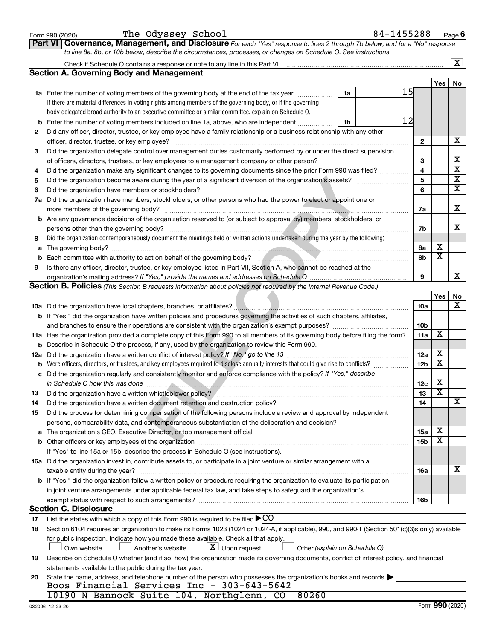| Form 990 (2020) |  |
|-----------------|--|
|-----------------|--|

Form 990 (2020) Page The Odyssey School 84-1455288

**Part VI** Governance, Management, and Disclosure For each "Yes" response to lines 2 through 7b below, and for a "No" response *to line 8a, 8b, or 10b below, describe the circumstances, processes, or changes on Schedule O. See instructions.*

|     |                                                                                                                                                                                                                                |                 |                         | $\mathbf{X}$            |
|-----|--------------------------------------------------------------------------------------------------------------------------------------------------------------------------------------------------------------------------------|-----------------|-------------------------|-------------------------|
|     | <b>Section A. Governing Body and Management</b>                                                                                                                                                                                |                 |                         |                         |
|     |                                                                                                                                                                                                                                |                 | Yes                     | No                      |
|     | 15<br><b>1a</b> Enter the number of voting members of the governing body at the end of the tax year<br>1a                                                                                                                      |                 |                         |                         |
|     | If there are material differences in voting rights among members of the governing body, or if the governing                                                                                                                    |                 |                         |                         |
|     | body delegated broad authority to an executive committee or similar committee, explain on Schedule O.                                                                                                                          |                 |                         |                         |
| b   | 12<br>Enter the number of voting members included on line 1a, above, who are independent<br>1b                                                                                                                                 |                 |                         |                         |
| 2   | Did any officer, director, trustee, or key employee have a family relationship or a business relationship with any other                                                                                                       |                 |                         |                         |
|     | officer, director, trustee, or key employee?                                                                                                                                                                                   | 2               |                         | х                       |
| 3   | Did the organization delegate control over management duties customarily performed by or under the direct supervision                                                                                                          |                 |                         |                         |
|     |                                                                                                                                                                                                                                | 3               |                         | x                       |
| 4   | Did the organization make any significant changes to its governing documents since the prior Form 990 was filed?                                                                                                               | 4               |                         | $\overline{\textbf{x}}$ |
| 5   |                                                                                                                                                                                                                                | 5               |                         | $\overline{\mathbf{x}}$ |
| 6   | Did the organization have members or stockholders?                                                                                                                                                                             | 6               |                         | $\overline{\textbf{x}}$ |
| 7a  | Did the organization have members, stockholders, or other persons who had the power to elect or appoint one or                                                                                                                 |                 |                         |                         |
|     |                                                                                                                                                                                                                                | 7a              |                         | х                       |
|     | <b>b</b> Are any governance decisions of the organization reserved to (or subject to approval by) members, stockholders, or                                                                                                    |                 |                         |                         |
|     | persons other than the governing body?                                                                                                                                                                                         | 7b              |                         | x                       |
| 8   | Did the organization contemporaneously document the meetings held or written actions undertaken during the year by the following:                                                                                              |                 |                         |                         |
| a   |                                                                                                                                                                                                                                | 8а              | х                       |                         |
| b   |                                                                                                                                                                                                                                | 8b              | $\overline{\textbf{x}}$ |                         |
| 9   | Is there any officer, director, trustee, or key employee listed in Part VII, Section A, who cannot be reached at the                                                                                                           |                 |                         |                         |
|     |                                                                                                                                                                                                                                | 9               |                         | x                       |
|     | Section B. Policies (This Section B requests information about policies not required by the Internal Revenue Code.)                                                                                                            |                 |                         |                         |
|     |                                                                                                                                                                                                                                |                 | Yes                     | No                      |
|     |                                                                                                                                                                                                                                | 10a             |                         | х                       |
|     | <b>b</b> If "Yes," did the organization have written policies and procedures governing the activities of such chapters, affiliates,                                                                                            |                 |                         |                         |
|     |                                                                                                                                                                                                                                | 10 <sub>b</sub> |                         |                         |
|     | 11a Has the organization provided a complete copy of this Form 990 to all members of its governing body before filing the form?                                                                                                | 11a             | х                       |                         |
| b   | Describe in Schedule O the process, if any, used by the organization to review this Form 990.                                                                                                                                  |                 |                         |                         |
| 12a |                                                                                                                                                                                                                                | 12a             | х                       |                         |
| b   | Were officers, directors, or trustees, and key employees required to disclose annually interests that could give rise to conflicts?                                                                                            | 12 <sub>b</sub> | $\overline{\textbf{x}}$ |                         |
| с   | Did the organization regularly and consistently monitor and enforce compliance with the policy? If "Yes," describe                                                                                                             |                 |                         |                         |
|     |                                                                                                                                                                                                                                | 12c             | х                       |                         |
| 13  | Did the organization have a written whistleblower policy?                                                                                                                                                                      | 13              | $\overline{\textbf{x}}$ |                         |
| 14  |                                                                                                                                                                                                                                | 14              |                         | X                       |
| 15  | Did the process for determining compensation of the following persons include a review and approval by independent                                                                                                             |                 |                         |                         |
|     | persons, comparability data, and contemporaneous substantiation of the deliberation and decision?                                                                                                                              |                 |                         |                         |
| а   | The organization's CEO, Executive Director, or top management official manufactured content content of the organization's CEO, Executive Director, or top management official manufactured content of the original manufacture | 15a             | х                       |                         |
|     |                                                                                                                                                                                                                                | 15b             | X                       |                         |
|     | If "Yes" to line 15a or 15b, describe the process in Schedule O (see instructions).                                                                                                                                            |                 |                         |                         |
|     | 16a Did the organization invest in, contribute assets to, or participate in a joint venture or similar arrangement with a                                                                                                      |                 |                         |                         |
|     | taxable entity during the year?                                                                                                                                                                                                | 16a             |                         | x                       |
|     | b If "Yes," did the organization follow a written policy or procedure requiring the organization to evaluate its participation                                                                                                 |                 |                         |                         |
|     | in joint venture arrangements under applicable federal tax law, and take steps to safeguard the organization's                                                                                                                 |                 |                         |                         |
|     | exempt status with respect to such arrangements?                                                                                                                                                                               | 16b             |                         |                         |
|     | <b>Section C. Disclosure</b>                                                                                                                                                                                                   |                 |                         |                         |
| 17  | List the states with which a copy of this Form 990 is required to be filed $\blacktriangleright$ CO                                                                                                                            |                 |                         |                         |
| 18  | Section 6104 requires an organization to make its Forms 1023 (1024 or 1024-A, if applicable), 990, and 990-T (Section 501(c)(3)s only) available                                                                               |                 |                         |                         |
|     | for public inspection. Indicate how you made these available. Check all that apply.                                                                                                                                            |                 |                         |                         |
|     | $\lfloor \underline{X} \rfloor$ Upon request<br>Own website<br>Another's website<br>Other (explain on Schedule O)                                                                                                              |                 |                         |                         |
| 19  | Describe on Schedule O whether (and if so, how) the organization made its governing documents, conflict of interest policy, and financial                                                                                      |                 |                         |                         |
|     | statements available to the public during the tax year.                                                                                                                                                                        |                 |                         |                         |
| 20  | State the name, address, and telephone number of the person who possesses the organization's books and records<br>Boos Financial Services Inc - 303-643-5642                                                                   |                 |                         |                         |
|     | 10190 N Bannock Suite 104, Northglenn, CO<br>80260                                                                                                                                                                             |                 |                         |                         |
|     |                                                                                                                                                                                                                                |                 |                         |                         |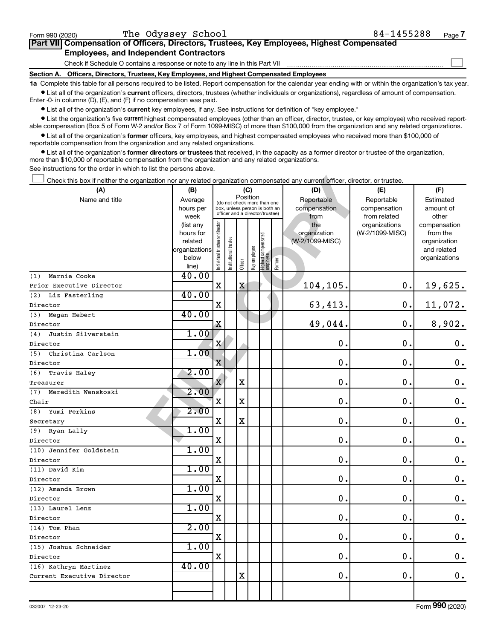| Form 990 (2020) | The Odyssey School                                                                         | 84-1455288 | Page 7 |
|-----------------|--------------------------------------------------------------------------------------------|------------|--------|
|                 | Part VII Compensation of Officers, Directors, Trustees, Key Employees, Highest Compensated |            |        |
|                 | <b>Employees, and Independent Contractors</b>                                              |            |        |
|                 | Check if Schedule O contains a response or note to any line in this Part VII               |            |        |
|                 | Section A. Officers, Directors, Trustees, Key Employees, and Highest Compensated Employees |            |        |
|                 |                                                                                            |            |        |

| The Odyssey School<br>Form 990 (2020)                                                                                                                                                                                                                                                                           |                   |                                |                      |                                                                  |              |                                   |        |                      | 84-1455288                   | Page 7             |
|-----------------------------------------------------------------------------------------------------------------------------------------------------------------------------------------------------------------------------------------------------------------------------------------------------------------|-------------------|--------------------------------|----------------------|------------------------------------------------------------------|--------------|-----------------------------------|--------|----------------------|------------------------------|--------------------|
| Part VII Compensation of Officers, Directors, Trustees, Key Employees, Highest Compensated                                                                                                                                                                                                                      |                   |                                |                      |                                                                  |              |                                   |        |                      |                              |                    |
| <b>Employees, and Independent Contractors</b>                                                                                                                                                                                                                                                                   |                   |                                |                      |                                                                  |              |                                   |        |                      |                              |                    |
| Check if Schedule O contains a response or note to any line in this Part VII                                                                                                                                                                                                                                    |                   |                                |                      |                                                                  |              |                                   |        |                      |                              |                    |
| Section A. Officers, Directors, Trustees, Key Employees, and Highest Compensated Employees                                                                                                                                                                                                                      |                   |                                |                      |                                                                  |              |                                   |        |                      |                              |                    |
| 1a Complete this table for all persons required to be listed. Report compensation for the calendar year ending with or within the organization's tax yea                                                                                                                                                        |                   |                                |                      |                                                                  |              |                                   |        |                      |                              |                    |
| • List all of the organization's current officers, directors, trustees (whether individuals or organizations), regardless of amount of compensation.<br>Enter -0- in columns (D), (E), and (F) if no compensation was paid.                                                                                     |                   |                                |                      |                                                                  |              |                                   |        |                      |                              |                    |
| • List all of the organization's current key employees, if any. See instructions for definition of "key employee."                                                                                                                                                                                              |                   |                                |                      |                                                                  |              |                                   |        |                      |                              |                    |
| • List the organization's five <i>current</i> highest compensated employees (other than an officer, director, trustee, or key employee) who received report<br>able compensation (Box 5 of Form W-2 and/or Box 7 of Form 1099-MISC) of more than \$100,000 from the organization and any related organizations. |                   |                                |                      |                                                                  |              |                                   |        |                      |                              |                    |
| • List all of the organization's former officers, key employees, and highest compensated employees who received more than \$100,000 of<br>reportable compensation from the organization and any related organizations.                                                                                          |                   |                                |                      |                                                                  |              |                                   |        |                      |                              |                    |
| • List all of the organization's former directors or trustees that received, in the capacity as a former director or trustee of the organization,                                                                                                                                                               |                   |                                |                      |                                                                  |              |                                   |        |                      |                              |                    |
| more than \$10,000 of reportable compensation from the organization and any related organizations.                                                                                                                                                                                                              |                   |                                |                      |                                                                  |              |                                   |        |                      |                              |                    |
| See instructions for the order in which to list the persons above.                                                                                                                                                                                                                                              |                   |                                |                      |                                                                  |              |                                   |        |                      |                              |                    |
| Check this box if neither the organization nor any related organization compensated any current officer, director, or trustee.                                                                                                                                                                                  |                   |                                |                      |                                                                  |              |                                   |        |                      |                              |                    |
| (A)                                                                                                                                                                                                                                                                                                             | (B)               |                                |                      |                                                                  | (C)          |                                   |        | (D)                  | (E)                          | (F)                |
| Name and title                                                                                                                                                                                                                                                                                                  | Average           |                                |                      | Position<br>(do not check more than one                          |              |                                   |        | Reportable           | Reportable                   | Estimated          |
|                                                                                                                                                                                                                                                                                                                 | hours per<br>week |                                |                      | box, unless person is both an<br>officer and a director/trustee) |              |                                   |        | compensation<br>from | compensation<br>from related | amount of<br>other |
|                                                                                                                                                                                                                                                                                                                 | (list any         |                                |                      |                                                                  |              |                                   |        | the                  | organizations                | compensation       |
|                                                                                                                                                                                                                                                                                                                 | hours for         |                                |                      |                                                                  |              |                                   |        | organization         | (W-2/1099-MISC)              | from the           |
|                                                                                                                                                                                                                                                                                                                 | related           |                                |                      |                                                                  |              |                                   |        | (W-2/1099-MISC)      |                              | organization       |
|                                                                                                                                                                                                                                                                                                                 | organizations     |                                |                      |                                                                  |              |                                   |        |                      |                              | and related        |
|                                                                                                                                                                                                                                                                                                                 | below<br>line)    | Individual trustee or director | nstitutional trustee | Officer                                                          | Key employee | Highest compensated<br>  employee | Former |                      |                              | organizations      |
| Marnie Cooke<br>(1)                                                                                                                                                                                                                                                                                             | 40.00             |                                |                      |                                                                  |              |                                   |        |                      |                              |                    |
| Prior Executive Director                                                                                                                                                                                                                                                                                        |                   | Χ                              |                      | X                                                                |              |                                   |        | 104,105.             | 0.                           | 19,625.            |
| (2)<br>Liz Fasterling                                                                                                                                                                                                                                                                                           | 40.00             |                                |                      |                                                                  |              |                                   |        |                      |                              |                    |
| Director                                                                                                                                                                                                                                                                                                        |                   | X                              |                      |                                                                  |              |                                   |        | 63,413.              | 0.                           | 11,072.            |
| Megan Hebert<br>(3)                                                                                                                                                                                                                                                                                             | 40.00             |                                |                      |                                                                  |              |                                   |        |                      |                              |                    |
| Director                                                                                                                                                                                                                                                                                                        |                   | Χ                              |                      |                                                                  |              |                                   |        | 49,044.              | 0.                           | 8,902.             |
| Justin Silverstein<br>(4)                                                                                                                                                                                                                                                                                       | 1.00              |                                |                      |                                                                  |              |                                   |        |                      |                              |                    |
| Director                                                                                                                                                                                                                                                                                                        |                   | X                              |                      |                                                                  |              |                                   |        | 0.                   | $\mathbf 0$ .                | 0.                 |
| (5)<br>Christina Carlson                                                                                                                                                                                                                                                                                        | 1.00              |                                |                      |                                                                  |              |                                   |        |                      |                              |                    |
| Director                                                                                                                                                                                                                                                                                                        |                   | X                              |                      |                                                                  |              |                                   |        | $\mathbf 0$ .        | $\mathbf 0$ .                | $0$ .              |
| (6)<br>Travis Haley                                                                                                                                                                                                                                                                                             | 2.00              |                                |                      |                                                                  |              |                                   |        |                      |                              |                    |
| Treasurer                                                                                                                                                                                                                                                                                                       | 2.00              | X                              |                      | Χ                                                                |              |                                   |        | 0.                   | 0.                           | 0.                 |
| (7) Meredith Wenskoski<br>Chair                                                                                                                                                                                                                                                                                 |                   | X                              |                      | X                                                                |              |                                   |        | 0.                   | 0.                           | $\mathbf 0$ .      |
| (8) Yumi Perkins                                                                                                                                                                                                                                                                                                | 2.00              |                                |                      |                                                                  |              |                                   |        |                      |                              |                    |
| Secretary                                                                                                                                                                                                                                                                                                       |                   | х                              |                      | X                                                                |              |                                   |        | 0.                   | 0.                           | $\mathbf 0$ .      |
| (9) Ryan Lally                                                                                                                                                                                                                                                                                                  | 1.00              |                                |                      |                                                                  |              |                                   |        |                      |                              |                    |
| Director                                                                                                                                                                                                                                                                                                        |                   | X                              |                      |                                                                  |              |                                   |        | Ο.                   | 0.                           | 0.                 |
| (10) Jennifer Goldstein                                                                                                                                                                                                                                                                                         | 1.00              |                                |                      |                                                                  |              |                                   |        |                      |                              |                    |
| Director                                                                                                                                                                                                                                                                                                        |                   | х                              |                      |                                                                  |              |                                   |        | Ο.                   | 0.                           | 0.                 |
| (11) David Kim                                                                                                                                                                                                                                                                                                  | 1.00              |                                |                      |                                                                  |              |                                   |        |                      |                              |                    |
| Director                                                                                                                                                                                                                                                                                                        |                   | х                              |                      |                                                                  |              |                                   |        | Ο.                   | 0.                           | $\mathbf 0$ .      |
| (12) Amanda Brown                                                                                                                                                                                                                                                                                               | 1.00              |                                |                      |                                                                  |              |                                   |        |                      |                              |                    |
| Director                                                                                                                                                                                                                                                                                                        |                   | х                              |                      |                                                                  |              |                                   |        | Ο.                   | 0.                           | $0 \cdot$          |
| (13) Laurel Lenz                                                                                                                                                                                                                                                                                                | 1.00              |                                |                      |                                                                  |              |                                   |        |                      |                              |                    |
| Director                                                                                                                                                                                                                                                                                                        |                   | х                              |                      |                                                                  |              |                                   |        | О.                   | 0.                           | $0 \cdot$          |
| (14) Tom Phan                                                                                                                                                                                                                                                                                                   | 2.00              | х                              |                      |                                                                  |              |                                   |        | О.                   | 0.                           | $0 \cdot$          |
| Director<br>(15) Joshua Schneider                                                                                                                                                                                                                                                                               | 1.00              |                                |                      |                                                                  |              |                                   |        |                      |                              |                    |
| Director                                                                                                                                                                                                                                                                                                        |                   | X                              |                      |                                                                  |              |                                   |        | Ο.                   | 0.                           | $\mathbf 0$ .      |
| (16) Kathryn Martinez                                                                                                                                                                                                                                                                                           | 40.00             |                                |                      |                                                                  |              |                                   |        |                      |                              |                    |
| Current Executive Director                                                                                                                                                                                                                                                                                      |                   |                                |                      | Χ                                                                |              |                                   |        | 0.                   | 0.                           | $0 \cdot$          |
|                                                                                                                                                                                                                                                                                                                 |                   |                                |                      |                                                                  |              |                                   |        |                      |                              |                    |
|                                                                                                                                                                                                                                                                                                                 |                   |                                |                      |                                                                  |              |                                   |        |                      |                              |                    |
| 032007 12-23-20                                                                                                                                                                                                                                                                                                 |                   |                                |                      |                                                                  |              |                                   |        |                      |                              | Form 990 (2020)    |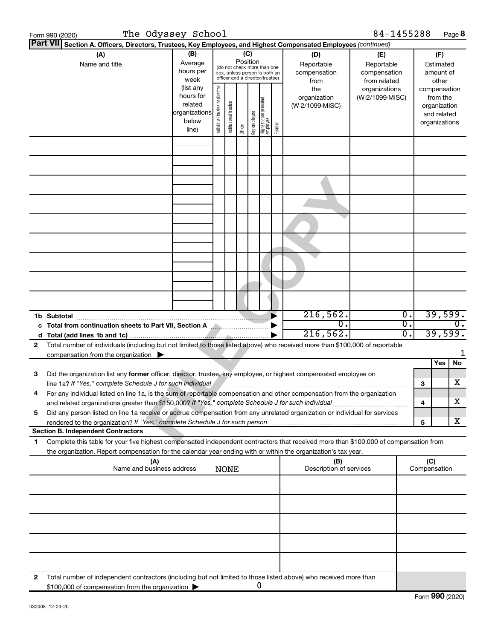|   | The Odyssey School<br>Form 990 (2020)                                                                                                                                                                                           |                                                                      |                                |                       |                                                                                                                    |              |                                   |        |                                           | 84-1455288                                        |                  |                     |                                                                          | Page 8 |
|---|---------------------------------------------------------------------------------------------------------------------------------------------------------------------------------------------------------------------------------|----------------------------------------------------------------------|--------------------------------|-----------------------|--------------------------------------------------------------------------------------------------------------------|--------------|-----------------------------------|--------|-------------------------------------------|---------------------------------------------------|------------------|---------------------|--------------------------------------------------------------------------|--------|
|   | <b>Part VII</b><br>Section A. Officers, Directors, Trustees, Key Employees, and Highest Compensated Employees (continued)                                                                                                       |                                                                      |                                |                       |                                                                                                                    |              |                                   |        |                                           |                                                   |                  |                     |                                                                          |        |
|   | (A)<br>(B)<br>Average<br>Name and title<br>hours per<br>week                                                                                                                                                                    |                                                                      |                                |                       | (C)<br>Position<br>(do not check more than one<br>box, unless person is both an<br>officer and a director/trustee) |              |                                   |        | (D)<br>Reportable<br>compensation<br>from | (E)<br>Reportable<br>compensation<br>from related |                  |                     | (F)<br>Estimated<br>amount of<br>other                                   |        |
|   |                                                                                                                                                                                                                                 | (list any<br>hours for<br>related<br>organizations<br>below<br>line) | Individual trustee or director | Institutional trustee | Officer                                                                                                            | Key employee | Highest compensated<br>  employee | Former | the<br>organization<br>(W-2/1099-MISC)    | organizations<br>(W-2/1099-MISC)                  |                  |                     | compensation<br>from the<br>organization<br>and related<br>organizations |        |
|   |                                                                                                                                                                                                                                 |                                                                      |                                |                       |                                                                                                                    |              |                                   |        |                                           |                                                   |                  |                     |                                                                          |        |
|   |                                                                                                                                                                                                                                 |                                                                      |                                |                       |                                                                                                                    |              |                                   |        |                                           |                                                   |                  |                     |                                                                          |        |
|   |                                                                                                                                                                                                                                 |                                                                      |                                |                       |                                                                                                                    |              |                                   |        |                                           |                                                   |                  |                     |                                                                          |        |
|   |                                                                                                                                                                                                                                 |                                                                      |                                |                       |                                                                                                                    |              |                                   |        |                                           |                                                   |                  |                     |                                                                          |        |
|   |                                                                                                                                                                                                                                 |                                                                      |                                |                       |                                                                                                                    |              |                                   |        |                                           |                                                   |                  |                     |                                                                          |        |
|   |                                                                                                                                                                                                                                 |                                                                      |                                |                       |                                                                                                                    |              |                                   |        |                                           |                                                   |                  |                     |                                                                          |        |
|   | 1b Subtotal                                                                                                                                                                                                                     |                                                                      |                                |                       |                                                                                                                    |              |                                   |        | 216,562.                                  |                                                   | $\overline{0}$ . |                     | 39,599.                                                                  |        |
|   | c Total from continuation sheets to Part VII, Section A Materian Material                                                                                                                                                       |                                                                      |                                |                       |                                                                                                                    |              |                                   |        | $\overline{0}$ .                          |                                                   | $\overline{0}$ . |                     |                                                                          | $0$ .  |
|   |                                                                                                                                                                                                                                 |                                                                      |                                |                       |                                                                                                                    |              |                                   |        | 216,562.                                  |                                                   | 0.               |                     | 39,599.                                                                  |        |
| 2 | Total number of individuals (including but not limited to those listed above) who received more than \$100,000 of reportable<br>compensation from the organization $\blacktriangleright$                                        |                                                                      |                                |                       |                                                                                                                    |              |                                   |        |                                           |                                                   |                  |                     |                                                                          |        |
|   |                                                                                                                                                                                                                                 |                                                                      |                                |                       |                                                                                                                    |              |                                   |        |                                           |                                                   |                  |                     | Yes                                                                      | No     |
| 3 | Did the organization list any former officer, director, trustee, key employee, or highest compensated employee on                                                                                                               |                                                                      |                                |                       |                                                                                                                    |              |                                   |        |                                           |                                                   |                  | З                   |                                                                          | х      |
|   | For any individual listed on line 1a, is the sum of reportable compensation and other compensation from the organization<br>and related organizations greater than \$150,000? If "Yes," complete Schedule J for such individual |                                                                      |                                |                       |                                                                                                                    |              |                                   |        |                                           |                                                   |                  | 4                   |                                                                          | х      |
| 5 | Did any person listed on line 1a receive or accrue compensation from any unrelated organization or individual for services                                                                                                      |                                                                      |                                |                       |                                                                                                                    |              |                                   |        |                                           |                                                   |                  |                     |                                                                          |        |
|   | <b>Section B. Independent Contractors</b>                                                                                                                                                                                       |                                                                      |                                |                       |                                                                                                                    |              |                                   |        |                                           |                                                   |                  | 5                   |                                                                          | x      |
| 1 | Complete this table for your five highest compensated independent contractors that received more than \$100,000 of compensation from                                                                                            |                                                                      |                                |                       |                                                                                                                    |              |                                   |        |                                           |                                                   |                  |                     |                                                                          |        |
|   | the organization. Report compensation for the calendar year ending with or within the organization's tax year.                                                                                                                  |                                                                      |                                |                       |                                                                                                                    |              |                                   |        |                                           |                                                   |                  |                     |                                                                          |        |
|   | (A)<br>Name and business address                                                                                                                                                                                                |                                                                      |                                | <b>NONE</b>           |                                                                                                                    |              |                                   |        | (B)<br>Description of services            |                                                   |                  | (C)<br>Compensation |                                                                          |        |
|   |                                                                                                                                                                                                                                 |                                                                      |                                |                       |                                                                                                                    |              |                                   |        |                                           |                                                   |                  |                     |                                                                          |        |
|   |                                                                                                                                                                                                                                 |                                                                      |                                |                       |                                                                                                                    |              |                                   |        |                                           |                                                   |                  |                     |                                                                          |        |
|   |                                                                                                                                                                                                                                 |                                                                      |                                |                       |                                                                                                                    |              |                                   |        |                                           |                                                   |                  |                     |                                                                          |        |
|   |                                                                                                                                                                                                                                 |                                                                      |                                |                       |                                                                                                                    |              |                                   |        |                                           |                                                   |                  |                     |                                                                          |        |
| 2 | Total number of independent contractors (including but not limited to those listed above) who received more than<br>\$100,000 of compensation from the organization                                                             |                                                                      |                                |                       |                                                                                                                    |              | 0                                 |        |                                           |                                                   |                  |                     |                                                                          |        |
|   |                                                                                                                                                                                                                                 |                                                                      |                                |                       |                                                                                                                    |              |                                   |        |                                           |                                                   |                  | Form 990 (2020)     |                                                                          |        |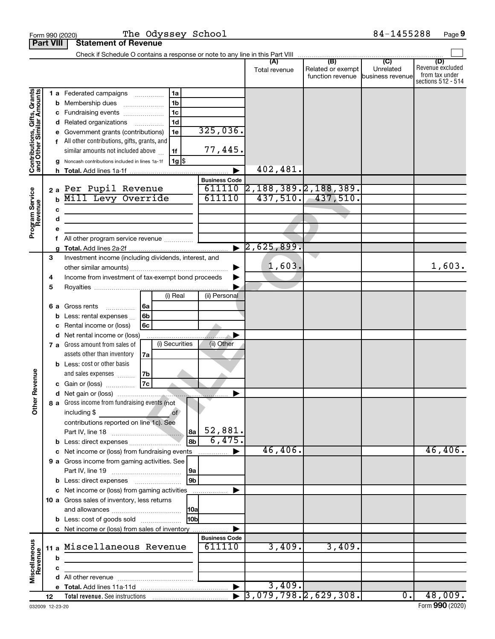|                                                           |                  |      | Form 990 (2020)                                                 |          |                |                | The Odyssey School   |                                  |                                                   | 84-1455288       | Page 9                               |
|-----------------------------------------------------------|------------------|------|-----------------------------------------------------------------|----------|----------------|----------------|----------------------|----------------------------------|---------------------------------------------------|------------------|--------------------------------------|
|                                                           | <b>Part VIII</b> |      | <b>Statement of Revenue</b>                                     |          |                |                |                      |                                  |                                                   |                  |                                      |
|                                                           |                  |      |                                                                 |          |                |                |                      | (A)                              | (B)                                               | (C)              | (D)                                  |
|                                                           |                  |      |                                                                 |          |                |                |                      | Total revenue                    | Related or exempt                                 | Unrelated        | Revenue excluded                     |
|                                                           |                  |      |                                                                 |          |                |                |                      |                                  | function revenue                                  | business revenue | from tax under<br>sections 512 - 514 |
|                                                           |                  |      | 1 a Federated campaigns                                         |          | 1a             |                |                      |                                  |                                                   |                  |                                      |
|                                                           |                  |      | <b>b</b> Membership dues                                        |          | 1 <sub>b</sub> |                |                      |                                  |                                                   |                  |                                      |
| Contributions, Gifts, Grants<br>and Other Similar Amounts |                  |      | c Fundraising events                                            |          | 1 <sub>c</sub> |                |                      |                                  |                                                   |                  |                                      |
|                                                           |                  |      | d Related organizations                                         |          | 1 <sub>d</sub> |                |                      |                                  |                                                   |                  |                                      |
|                                                           |                  |      | e Government grants (contributions)                             |          | 1e             |                | 325,036.             |                                  |                                                   |                  |                                      |
|                                                           |                  |      | f All other contributions, gifts, grants, and                   |          |                |                |                      |                                  |                                                   |                  |                                      |
|                                                           |                  |      | similar amounts not included above                              |          | 1f             |                | 77,445.              |                                  |                                                   |                  |                                      |
|                                                           |                  |      | g Noncash contributions included in lines 1a-1f                 |          | $1g$ \$        |                |                      |                                  |                                                   |                  |                                      |
|                                                           |                  |      |                                                                 |          |                |                |                      | 402,481.                         |                                                   |                  |                                      |
|                                                           |                  |      |                                                                 |          |                |                | <b>Business Code</b> |                                  |                                                   |                  |                                      |
|                                                           |                  |      | 2a Per Pupil Revenue                                            |          |                |                | 611110               |                                  | [2, 188, 389.2, 188, 389.                         |                  |                                      |
| Program Service<br>Revenue                                |                  |      | b Mill Levy Override                                            |          |                |                | 611110               | 437,510.                         | $-437,510.$                                       |                  |                                      |
|                                                           |                  | c    |                                                                 |          |                |                |                      |                                  |                                                   |                  |                                      |
|                                                           |                  | d    | <u> 1989 - Johann Barbara, martxa alemaniar a</u>               |          |                |                |                      |                                  |                                                   |                  |                                      |
|                                                           |                  |      |                                                                 |          |                |                |                      |                                  |                                                   |                  |                                      |
|                                                           |                  |      | All other program service revenue                               |          |                |                |                      |                                  |                                                   |                  |                                      |
|                                                           |                  |      |                                                                 |          |                |                |                      | $\blacktriangleright$ 2,625,899. |                                                   |                  |                                      |
|                                                           | 3                |      | Investment income (including dividends, interest, and           |          |                |                |                      |                                  |                                                   |                  |                                      |
|                                                           |                  |      |                                                                 |          |                |                |                      | 1,603.                           |                                                   |                  | 1,603.                               |
|                                                           | 4                |      | Income from investment of tax-exempt bond proceeds              |          |                |                |                      |                                  |                                                   |                  |                                      |
|                                                           | 5                |      |                                                                 |          |                |                |                      |                                  |                                                   |                  |                                      |
|                                                           |                  |      |                                                                 |          | (i) Real       |                | (ii) Personal        |                                  |                                                   |                  |                                      |
|                                                           |                  | 6а   | Gross rents<br>.                                                | 6a       |                |                |                      |                                  |                                                   |                  |                                      |
|                                                           |                  |      | <b>b</b> Less: rental expenses $\ldots$                         | 6b       |                |                |                      |                                  |                                                   |                  |                                      |
|                                                           |                  | с    | Rental income or (loss)                                         | 6c       |                |                |                      |                                  |                                                   |                  |                                      |
|                                                           |                  |      | d Net rental income or (loss)                                   |          |                |                |                      |                                  |                                                   |                  |                                      |
|                                                           |                  |      | 7 a Gross amount from sales of                                  |          | (i) Securities |                | (ii) Other           |                                  |                                                   |                  |                                      |
|                                                           |                  |      | assets other than inventory                                     | 7a       |                |                |                      |                                  |                                                   |                  |                                      |
|                                                           |                  |      | <b>b</b> Less: cost or other basis                              |          |                |                |                      |                                  |                                                   |                  |                                      |
| venue                                                     |                  |      | and sales expenses                                              | 7b<br>7c |                |                |                      |                                  |                                                   |                  |                                      |
|                                                           |                  |      | c Gain or (loss)                                                |          |                |                |                      |                                  |                                                   |                  |                                      |
| Other <sub>R</sub>                                        |                  |      | 8 a Gross income from fundraising events (not                   |          |                |                |                      |                                  |                                                   |                  |                                      |
|                                                           |                  |      | including \$                                                    |          | of             |                |                      |                                  |                                                   |                  |                                      |
|                                                           |                  |      | contributions reported on line 1c). See                         |          |                |                |                      |                                  |                                                   |                  |                                      |
|                                                           |                  |      |                                                                 |          |                | 8a             | 52,881.              |                                  |                                                   |                  |                                      |
|                                                           |                  |      |                                                                 |          |                | 8b             | 6,475.               |                                  |                                                   |                  |                                      |
|                                                           |                  |      | c Net income or (loss) from fundraising events                  |          |                |                |                      | 46,406.                          |                                                   |                  | 46,406.                              |
|                                                           |                  |      | 9 a Gross income from gaming activities. See                    |          |                |                |                      |                                  |                                                   |                  |                                      |
|                                                           |                  |      |                                                                 |          |                | l 9a           |                      |                                  |                                                   |                  |                                      |
|                                                           |                  |      |                                                                 |          |                | 9 <sub>b</sub> |                      |                                  |                                                   |                  |                                      |
|                                                           |                  |      | c Net income or (loss) from gaming activities                   |          |                |                | .                    |                                  |                                                   |                  |                                      |
|                                                           |                  |      | 10 a Gross sales of inventory, less returns                     |          |                |                |                      |                                  |                                                   |                  |                                      |
|                                                           |                  |      |                                                                 |          |                | 10a            |                      |                                  |                                                   |                  |                                      |
|                                                           |                  |      | <b>b</b> Less: cost of goods sold                               |          |                | l10bl          |                      |                                  |                                                   |                  |                                      |
|                                                           |                  |      | c Net income or (loss) from sales of inventory                  |          |                |                |                      |                                  |                                                   |                  |                                      |
|                                                           |                  |      |                                                                 |          |                |                | <b>Business Code</b> |                                  |                                                   |                  |                                      |
|                                                           |                  | 11 a | Miscellaneous Revenue                                           |          |                |                | 611110               | 3,409.                           | 3,409.                                            |                  |                                      |
|                                                           |                  | b    | the control of the control of the control of the control of the |          |                |                |                      |                                  |                                                   |                  |                                      |
| Miscellaneous<br>Revenue                                  |                  | C    |                                                                 |          |                |                |                      |                                  |                                                   |                  |                                      |
|                                                           |                  |      |                                                                 |          |                |                |                      |                                  |                                                   |                  |                                      |
|                                                           |                  |      |                                                                 |          |                |                | ▶                    | 3,409.                           |                                                   |                  |                                      |
|                                                           | 12               |      |                                                                 |          |                |                |                      |                                  | $\overline{)3,079,798.}$ $\overline{)2,629,308.}$ | $\overline{0}$ . | 48,009.                              |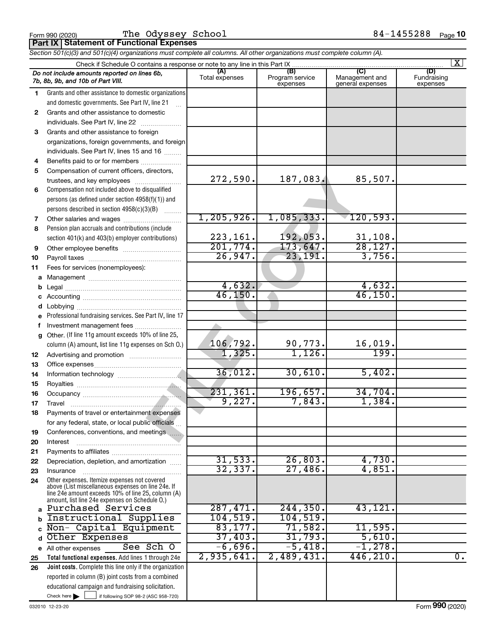|  | Form 990 (2020) |
|--|-----------------|
|  |                 |

Form 990 (2020) The Odyssey School 84-1455288  $_{\sf Page}$ 

| --------------- |                                            |  |  |
|-----------------|--------------------------------------------|--|--|
|                 | Part IX   Statement of Functional Expenses |  |  |

*Section 501(c)(3) and 501(c)(4) organizations must complete all columns. All other organizations must complete column (A).*

|              |                                                                                                    |                       |                                    |                                           | X                              |
|--------------|----------------------------------------------------------------------------------------------------|-----------------------|------------------------------------|-------------------------------------------|--------------------------------|
|              | Do not include amounts reported on lines 6b,<br>7b, 8b, 9b, and 10b of Part VIII.                  | (A)<br>Total expenses | (B)<br>Program service<br>expenses | (C)<br>Management and<br>general expenses | (D)<br>Fundraising<br>expenses |
| 1            | Grants and other assistance to domestic organizations                                              |                       |                                    |                                           |                                |
|              | and domestic governments. See Part IV, line 21                                                     |                       |                                    |                                           |                                |
| $\mathbf{2}$ | Grants and other assistance to domestic                                                            |                       |                                    |                                           |                                |
|              | individuals. See Part IV, line 22                                                                  |                       |                                    |                                           |                                |
| 3            | Grants and other assistance to foreign                                                             |                       |                                    |                                           |                                |
|              | organizations, foreign governments, and foreign                                                    |                       |                                    |                                           |                                |
|              | individuals. See Part IV, lines 15 and 16                                                          |                       |                                    |                                           |                                |
| 4            | Benefits paid to or for members                                                                    |                       |                                    |                                           |                                |
| 5            | Compensation of current officers, directors,                                                       |                       |                                    |                                           |                                |
|              | trustees, and key employees                                                                        | 272,590.              | 187,083.                           | 85,507.                                   |                                |
| 6            | Compensation not included above to disqualified                                                    |                       |                                    |                                           |                                |
|              | persons (as defined under section 4958(f)(1)) and                                                  |                       |                                    |                                           |                                |
|              | persons described in section 4958(c)(3)(B)                                                         |                       |                                    |                                           |                                |
| 7            |                                                                                                    | 1, 205, 926.          | 1,085,333.                         | 120,593.                                  |                                |
| 8            | Pension plan accruals and contributions (include                                                   |                       |                                    |                                           |                                |
|              | section 401(k) and 403(b) employer contributions)                                                  | 223, 161.             | 192,053.                           | 31,108.                                   |                                |
| 9            | Other employee benefits                                                                            | 201, 774.             | 173,647.                           | 28,127.                                   |                                |
| 10           |                                                                                                    | 26,947.               | 23,191.                            | 3,756.                                    |                                |
| 11           | Fees for services (nonemployees):                                                                  |                       |                                    |                                           |                                |
| а            |                                                                                                    |                       |                                    |                                           |                                |
| b            |                                                                                                    | 4,632.                |                                    | 4,632.                                    |                                |
| с            |                                                                                                    | 46, 150.              |                                    | 46, 150.                                  |                                |
| d            |                                                                                                    |                       |                                    |                                           |                                |
|              | Professional fundraising services. See Part IV, line 17                                            |                       |                                    |                                           |                                |
| f            | Investment management fees                                                                         |                       |                                    |                                           |                                |
| g            | Other. (If line 11g amount exceeds 10% of line 25,                                                 | 106,792.              | 90,773.                            | 16,019.                                   |                                |
|              | column (A) amount, list line 11g expenses on Sch O.)                                               | 1,325.                | 1,126.                             | 199.                                      |                                |
| 12<br>13     |                                                                                                    |                       |                                    |                                           |                                |
| 14           |                                                                                                    | 36,012.               | 30,610.                            | 5,402.                                    |                                |
| 15           |                                                                                                    |                       |                                    |                                           |                                |
| 16           |                                                                                                    | 231,361.              | 196,657.                           | 34,704.                                   |                                |
| 17           | Travel                                                                                             | 9,227.                | 7,843.                             | 1,384.                                    |                                |
| 18           | Payments of travel or entertainment expenses                                                       |                       |                                    |                                           |                                |
|              | for any federal, state, or local public officials                                                  |                       |                                    |                                           |                                |
| 19           | Conferences, conventions, and meetings                                                             |                       |                                    |                                           |                                |
| 20           | Interest                                                                                           |                       |                                    |                                           |                                |
| 21           |                                                                                                    |                       |                                    |                                           |                                |
| 22           | Depreciation, depletion, and amortization                                                          | 31,533.               | 26,803.                            | 4,730.                                    |                                |
| 23           | Insurance                                                                                          | 32,337.               | 27,486.                            | 4,851.                                    |                                |
| 24           | Other expenses. Itemize expenses not covered<br>above (List miscellaneous expenses on line 24e. If |                       |                                    |                                           |                                |
|              | line 24e amount exceeds 10% of line 25, column (A)                                                 |                       |                                    |                                           |                                |
|              | amount, list line 24e expenses on Schedule O.)                                                     |                       |                                    |                                           |                                |
| a            | Purchased Services                                                                                 | 287,471.              | 244, 350.                          | 43,121.                                   |                                |
| b            | Instructional Supplies                                                                             | 104, 519.<br>83,177.  | 104,519.<br>71,582.                | 11,595.                                   |                                |
| C.           | Non- Capital Equipment                                                                             | 37,403.               | 31,793.                            | 5,610.                                    |                                |
| d            | Other Expenses<br>See Sch O                                                                        | $-6,696.$             | $-5,418.$                          | $-1,278.$                                 |                                |
|              | e All other expenses<br>Total functional expenses. Add lines 1 through 24e                         | 2,935,641.            | 2,489,431.                         | 446,210.                                  | $\overline{0}$ .               |
| 25<br>26     | Joint costs. Complete this line only if the organization                                           |                       |                                    |                                           |                                |
|              | reported in column (B) joint costs from a combined                                                 |                       |                                    |                                           |                                |
|              | educational campaign and fundraising solicitation.                                                 |                       |                                    |                                           |                                |
|              | Check here $\blacktriangleright$<br>if following SOP 98-2 (ASC 958-720)                            |                       |                                    |                                           |                                |
|              |                                                                                                    |                       |                                    |                                           |                                |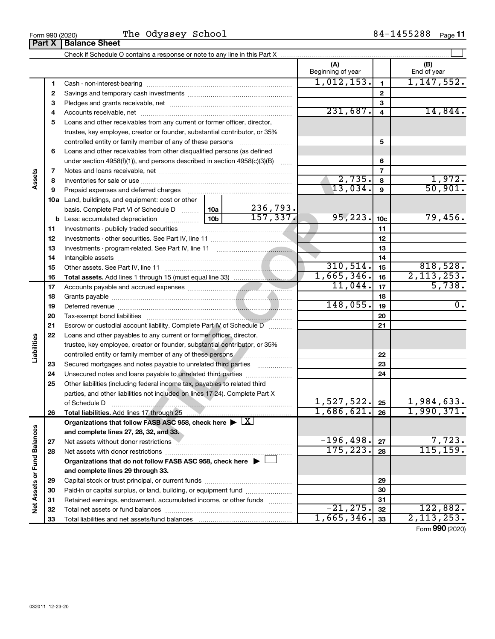|  | The Odyssey School |  | 84-1455288 $_{Page}$ 11 |  |
|--|--------------------|--|-------------------------|--|
|--|--------------------|--|-------------------------|--|

Form 990 (2020) Page

|                             |    |                                                                                                                                                      |           | (A)<br>Beginning of year |                  | (B)<br>End of year |
|-----------------------------|----|------------------------------------------------------------------------------------------------------------------------------------------------------|-----------|--------------------------|------------------|--------------------|
|                             | 1  |                                                                                                                                                      |           | 1,012,153.               | $\mathbf{1}$     | 1,147,552.         |
|                             | 2  |                                                                                                                                                      |           | $\mathbf{2}$             |                  |                    |
|                             | З  |                                                                                                                                                      |           | 3                        |                  |                    |
|                             | 4  |                                                                                                                                                      |           | 231,687.                 | 4                | 14,844.            |
|                             | 5  | Loans and other receivables from any current or former officer, director,                                                                            |           |                          |                  |                    |
|                             |    | trustee, key employee, creator or founder, substantial contributor, or 35%                                                                           |           |                          |                  |                    |
|                             |    |                                                                                                                                                      |           |                          | 5                |                    |
|                             | 6  | Loans and other receivables from other disqualified persons (as defined                                                                              |           |                          |                  |                    |
|                             |    | under section $4958(f)(1)$ , and persons described in section $4958(c)(3)(B)$                                                                        |           |                          | 6                |                    |
|                             | 7  |                                                                                                                                                      |           |                          | 7                |                    |
| Assets                      | 8  |                                                                                                                                                      |           | 2,735.                   | 8                | 1,972.             |
|                             | 9  |                                                                                                                                                      |           | 13,034.                  | 9                | 50,901.            |
|                             |    | <b>10a</b> Land, buildings, and equipment: cost or other                                                                                             |           |                          |                  |                    |
|                             |    | basis. Complete Part VI of Schedule D    10a                                                                                                         | 236,793.  |                          |                  |                    |
|                             |    |                                                                                                                                                      | 157, 337. | 95,223.                  | 10 <sub>c</sub>  | 79,456.            |
|                             | 11 |                                                                                                                                                      |           |                          | 11               |                    |
|                             | 12 |                                                                                                                                                      |           |                          | 12               |                    |
|                             | 13 |                                                                                                                                                      |           | 13                       |                  |                    |
|                             | 14 |                                                                                                                                                      |           | 14                       |                  |                    |
|                             | 15 |                                                                                                                                                      | 310,514.  | 15                       | 818,528.         |                    |
|                             | 16 |                                                                                                                                                      |           | 1,665,346.               | 16               | 2, 113, 253.       |
|                             | 17 |                                                                                                                                                      |           | 11,044.                  | 17               | 5,738.             |
|                             | 18 |                                                                                                                                                      |           | 18                       |                  |                    |
|                             | 19 |                                                                                                                                                      | 148,055.  | 19                       | $\overline{0}$ . |                    |
|                             | 20 |                                                                                                                                                      |           |                          | 20               |                    |
|                             | 21 | Escrow or custodial account liability. Complete Part IV of Schedule D                                                                                |           |                          | 21               |                    |
|                             | 22 | Loans and other payables to any current or former officer, director,                                                                                 |           |                          |                  |                    |
| Liabilities                 |    | trustee, key employee, creator or founder, substantial contributor, or 35%                                                                           |           |                          |                  |                    |
|                             |    | controlled entity or family member of any of these persons <b>Controlled</b> entity or family member of any of these persons                         |           |                          | 22               |                    |
|                             | 23 | Secured mortgages and notes payable to unrelated third parties                                                                                       |           |                          | 23               |                    |
|                             | 24 |                                                                                                                                                      |           |                          | 24               |                    |
|                             | 25 | Other liabilities (including federal income tax, payables to related third                                                                           |           |                          |                  |                    |
|                             |    | parties, and other liabilities not included on lines 17-24). Complete Part X                                                                         |           | $1,527,522$ $\cdot$ 25   |                  | 1,984,633.         |
|                             |    | of Schedule D                                                                                                                                        |           | 1,686,621.               |                  | 1,990,371.         |
|                             | 26 | Total liabilities. Add lines 17 through 25<br>Organizations that follow FASB ASC 958, check here $\blacktriangleright \lfloor \underline{X} \rfloor$ |           |                          | 26               |                    |
|                             |    | and complete lines 27, 28, 32, and 33.                                                                                                               |           |                          |                  |                    |
|                             | 27 | Net assets without donor restrictions Manuscrittion and Assets without donor restrictions (Manuscrittion and M                                       |           | $-196,498.$              | 27               | 7,723.             |
|                             | 28 |                                                                                                                                                      |           | 175, 223.                | 28               | 115, 159.          |
|                             |    | Organizations that do not follow FASB ASC 958, check here $\blacktriangleright$                                                                      |           |                          |                  |                    |
|                             |    | and complete lines 29 through 33.                                                                                                                    |           |                          |                  |                    |
|                             | 29 |                                                                                                                                                      |           |                          | 29               |                    |
|                             | 30 | Paid-in or capital surplus, or land, building, or equipment fund                                                                                     |           |                          | 30               |                    |
|                             | 31 | Retained earnings, endowment, accumulated income, or other funds                                                                                     |           |                          | 31               |                    |
| Net Assets or Fund Balances | 32 |                                                                                                                                                      |           | $-21, 275.$              | 32               | 122,882.           |
|                             | 33 |                                                                                                                                                      |           | 1,665,346.               | 33               | 2, 113, 253.       |
|                             |    |                                                                                                                                                      |           |                          |                  | Eorm 990 (2020)    |

**Part X** | Balance Sheet

Form (2020) **990**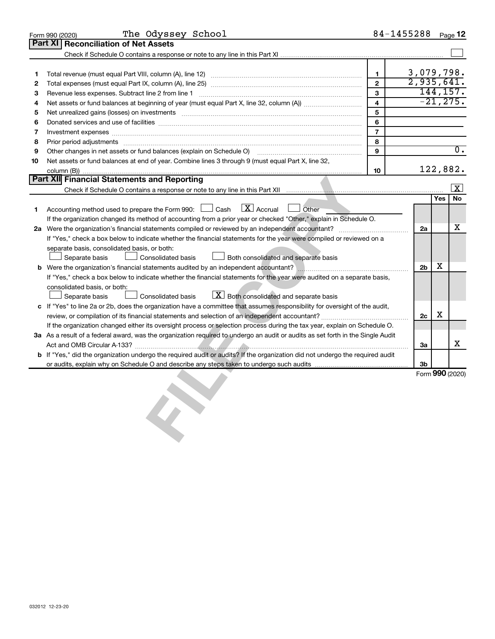|    | The Odyssey School<br>Form 990 (2020)                                                                                                                                                                                          |                | 84-1455288 |                |             | Page 12                 |
|----|--------------------------------------------------------------------------------------------------------------------------------------------------------------------------------------------------------------------------------|----------------|------------|----------------|-------------|-------------------------|
|    | <b>Part XI</b><br><b>Reconciliation of Net Assets</b>                                                                                                                                                                          |                |            |                |             |                         |
|    |                                                                                                                                                                                                                                |                |            |                |             |                         |
|    |                                                                                                                                                                                                                                |                |            |                |             |                         |
| 1  |                                                                                                                                                                                                                                | 1              |            | 3,079,798.     |             |                         |
| 2  |                                                                                                                                                                                                                                | $\mathbf{2}$   |            | 2,935,641.     |             |                         |
| З  | Revenue less expenses. Subtract line 2 from line 1                                                                                                                                                                             | 3              |            |                |             | 144, 157.               |
| 4  |                                                                                                                                                                                                                                | 4              |            |                | $-21, 275.$ |                         |
| 5  | Net unrealized gains (losses) on investments [111] www.martime.community.community.community.community.communi                                                                                                                 | 5              |            |                |             |                         |
| 6  |                                                                                                                                                                                                                                | 6              |            |                |             |                         |
| 7  | Investment expenses www.communication.com/www.communication.com/www.communication.com/www.com                                                                                                                                  | $\overline{7}$ |            |                |             |                         |
| 8  |                                                                                                                                                                                                                                | 8              |            |                |             |                         |
| 9  |                                                                                                                                                                                                                                | 9              |            |                |             | Ο.                      |
| 10 | Net assets or fund balances at end of year. Combine lines 3 through 9 (must equal Part X, line 32,                                                                                                                             |                |            |                |             |                         |
|    |                                                                                                                                                                                                                                | 10             |            |                | 122,882.    |                         |
|    | Part XII Financial Statements and Reporting                                                                                                                                                                                    |                |            |                |             |                         |
|    | Check if Schedule O contains a response or note to any line in this Part XII manufacture contains and contains and contains a response or note to any line in this Part XII manufacture contains and contains and contains a r |                |            |                |             | $\overline{\mathbf{x}}$ |
|    |                                                                                                                                                                                                                                |                |            |                | Yes         | No                      |
| 1  | $\lfloor \mathbf{X} \rfloor$ Accrual<br>Accounting method used to prepare the Form 990: [130] Cash<br>Other                                                                                                                    |                |            |                |             |                         |
|    | If the organization changed its method of accounting from a prior year or checked "Other," explain in Schedule O.                                                                                                              |                |            |                |             |                         |
| 2a |                                                                                                                                                                                                                                |                |            | 2a             |             | х                       |
|    | If "Yes," check a box below to indicate whether the financial statements for the year were compiled or reviewed on a                                                                                                           |                |            |                |             |                         |
|    | separate basis, consolidated basis, or both:                                                                                                                                                                                   |                |            |                |             |                         |
|    | Separate basis<br><b>Consolidated basis</b><br>Both consolidated and separate basis                                                                                                                                            |                |            |                |             |                         |
| b  | Were the organization's financial statements audited by an independent accountant?                                                                                                                                             |                |            | 2 <sub>b</sub> | х           |                         |
|    | If "Yes," check a box below to indicate whether the financial statements for the year were audited on a separate basis,                                                                                                        |                |            |                |             |                         |
|    |                                                                                                                                                                                                                                |                |            |                |             |                         |
|    | consolidated basis, or both:<br>$X$ Both consolidated and separate basis                                                                                                                                                       |                |            |                |             |                         |
|    | Separate basis<br>Consolidated basis                                                                                                                                                                                           |                |            |                |             |                         |
|    | If "Yes" to line 2a or 2b, does the organization have a committee that assumes responsibility for oversight of the audit,                                                                                                      |                |            |                | х           |                         |
|    |                                                                                                                                                                                                                                |                |            | 2c             |             |                         |
|    | If the organization changed either its oversight process or selection process during the tax year, explain on Schedule O.                                                                                                      |                |            |                |             |                         |
|    | 3a As a result of a federal award, was the organization required to undergo an audit or audits as set forth in the Single Audit                                                                                                |                |            |                |             |                         |
|    |                                                                                                                                                                                                                                |                |            | За             |             | х                       |
|    | b If "Yes," did the organization undergo the required audit or audits? If the organization did not undergo the required audit                                                                                                  |                |            |                |             |                         |
|    |                                                                                                                                                                                                                                |                |            | 3b             |             |                         |
|    |                                                                                                                                                                                                                                |                |            |                |             | Form 990 (2020)         |
|    |                                                                                                                                                                                                                                |                |            |                |             |                         |
|    |                                                                                                                                                                                                                                |                |            |                |             |                         |
|    | E                                                                                                                                                                                                                              |                |            |                |             |                         |
|    |                                                                                                                                                                                                                                |                |            |                |             |                         |
|    |                                                                                                                                                                                                                                |                |            |                |             |                         |
|    |                                                                                                                                                                                                                                |                |            |                |             |                         |
|    |                                                                                                                                                                                                                                |                |            |                |             |                         |
|    |                                                                                                                                                                                                                                |                |            |                |             |                         |
|    |                                                                                                                                                                                                                                |                |            |                |             |                         |
|    |                                                                                                                                                                                                                                |                |            |                |             |                         |
|    |                                                                                                                                                                                                                                |                |            |                |             |                         |
|    |                                                                                                                                                                                                                                |                |            |                |             |                         |
|    |                                                                                                                                                                                                                                |                |            |                |             |                         |
|    |                                                                                                                                                                                                                                |                |            |                |             |                         |
|    |                                                                                                                                                                                                                                |                |            |                |             |                         |
|    |                                                                                                                                                                                                                                |                |            |                |             |                         |
|    |                                                                                                                                                                                                                                |                |            |                |             |                         |
|    |                                                                                                                                                                                                                                |                |            |                |             |                         |
|    |                                                                                                                                                                                                                                |                |            |                |             |                         |
|    |                                                                                                                                                                                                                                |                |            |                |             |                         |
|    |                                                                                                                                                                                                                                |                |            |                |             |                         |
|    |                                                                                                                                                                                                                                |                |            |                |             |                         |
|    |                                                                                                                                                                                                                                |                |            |                |             |                         |
|    |                                                                                                                                                                                                                                |                |            |                |             |                         |
|    | 032012 12-23-20                                                                                                                                                                                                                |                |            |                |             |                         |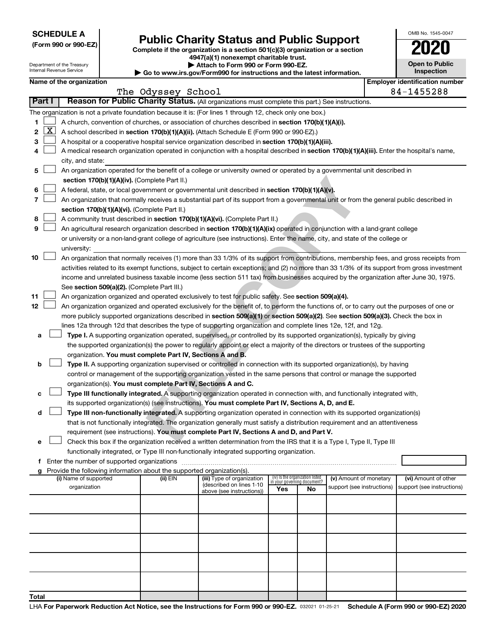| <b>SCHEDULE A</b> |  |
|-------------------|--|
|-------------------|--|

Department of the Treasury Internal Revenue Service

| (Form 990 or 990-EZ) |  |  |  |  |
|----------------------|--|--|--|--|
|----------------------|--|--|--|--|

# Form 990 or 990-EZ) **Public Charity Status and Public Support**<br>
Complete if the organization is a section 501(c)(3) organization or a section<br> **2020**

**4947(a)(1) nonexempt charitable trust. | Attach to Form 990 or Form 990-EZ.** 

**| Go to www.irs.gov/Form990 for instructions and the latest information.**

| OMB No 1545-0047                    |
|-------------------------------------|
| 020                                 |
| <b>Open to Public</b><br>Inspection |

|  | Name of the organization |  |
|--|--------------------------|--|

| Name of the organization                                                                                               |                     |                                                                                                                                              |          |                            |                                    |    | <b>Employer identification number</b> |  |                            |  |
|------------------------------------------------------------------------------------------------------------------------|---------------------|----------------------------------------------------------------------------------------------------------------------------------------------|----------|----------------------------|------------------------------------|----|---------------------------------------|--|----------------------------|--|
| The Odyssey School<br>Reason for Public Charity Status. (All organizations must complete this part.) See instructions. |                     |                                                                                                                                              |          |                            |                                    |    | 84-1455288                            |  |                            |  |
| Part I                                                                                                                 |                     |                                                                                                                                              |          |                            |                                    |    |                                       |  |                            |  |
|                                                                                                                        |                     | The organization is not a private foundation because it is: (For lines 1 through 12, check only one box.)                                    |          |                            |                                    |    |                                       |  |                            |  |
| 1.                                                                                                                     |                     | A church, convention of churches, or association of churches described in section 170(b)(1)(A)(i).                                           |          |                            |                                    |    |                                       |  |                            |  |
| $\mathbf{2}$                                                                                                           | $\lfloor x \rfloor$ | A school described in section 170(b)(1)(A)(ii). (Attach Schedule E (Form 990 or 990-EZ).)                                                    |          |                            |                                    |    |                                       |  |                            |  |
| 3.                                                                                                                     |                     | A hospital or a cooperative hospital service organization described in section 170(b)(1)(A)(iii).                                            |          |                            |                                    |    |                                       |  |                            |  |
| 4                                                                                                                      |                     | A medical research organization operated in conjunction with a hospital described in section 170(b)(1)(A)(iii). Enter the hospital's name,   |          |                            |                                    |    |                                       |  |                            |  |
|                                                                                                                        |                     | city, and state:                                                                                                                             |          |                            |                                    |    |                                       |  |                            |  |
| 5.                                                                                                                     |                     | An organization operated for the benefit of a college or university owned or operated by a governmental unit described in                    |          |                            |                                    |    |                                       |  |                            |  |
|                                                                                                                        |                     | section 170(b)(1)(A)(iv). (Complete Part II.)                                                                                                |          |                            |                                    |    |                                       |  |                            |  |
| 6                                                                                                                      |                     | A federal, state, or local government or governmental unit described in section 170(b)(1)(A)(v).                                             |          |                            |                                    |    |                                       |  |                            |  |
| 7                                                                                                                      |                     | An organization that normally receives a substantial part of its support from a governmental unit or from the general public described in    |          |                            |                                    |    |                                       |  |                            |  |
|                                                                                                                        |                     | section 170(b)(1)(A)(vi). (Complete Part II.)                                                                                                |          |                            |                                    |    |                                       |  |                            |  |
| 8                                                                                                                      |                     | A community trust described in section 170(b)(1)(A)(vi). (Complete Part II.)                                                                 |          |                            |                                    |    |                                       |  |                            |  |
|                                                                                                                        |                     |                                                                                                                                              |          |                            |                                    |    |                                       |  |                            |  |
| 9                                                                                                                      |                     | An agricultural research organization described in section 170(b)(1)(A)(ix) operated in conjunction with a land-grant college                |          |                            |                                    |    |                                       |  |                            |  |
|                                                                                                                        |                     | or university or a non-land-grant college of agriculture (see instructions). Enter the name, city, and state of the college or               |          |                            |                                    |    |                                       |  |                            |  |
|                                                                                                                        |                     | university:                                                                                                                                  |          |                            |                                    |    |                                       |  |                            |  |
| 10                                                                                                                     |                     | An organization that normally receives (1) more than 33 1/3% of its support from contributions, membership fees, and gross receipts from     |          |                            |                                    |    |                                       |  |                            |  |
|                                                                                                                        |                     | activities related to its exempt functions, subject to certain exceptions; and (2) no more than 33 1/3% of its support from gross investment |          |                            |                                    |    |                                       |  |                            |  |
|                                                                                                                        |                     | income and unrelated business taxable income (less section 511 tax) from businesses acquired by the organization after June 30, 1975.        |          |                            |                                    |    |                                       |  |                            |  |
|                                                                                                                        |                     | See section 509(a)(2). (Complete Part III.)                                                                                                  |          |                            |                                    |    |                                       |  |                            |  |
| 11                                                                                                                     |                     | An organization organized and operated exclusively to test for public safety. See section 509(a)(4).                                         |          |                            |                                    |    |                                       |  |                            |  |
| 12                                                                                                                     |                     | An organization organized and operated exclusively for the benefit of, to perform the functions of, or to carry out the purposes of one or   |          |                            |                                    |    |                                       |  |                            |  |
|                                                                                                                        |                     | more publicly supported organizations described in section 509(a)(1) or section 509(a)(2). See section 509(a)(3). Check the box in           |          |                            |                                    |    |                                       |  |                            |  |
|                                                                                                                        |                     | lines 12a through 12d that describes the type of supporting organization and complete lines 12e, 12f, and 12g.                               |          |                            |                                    |    |                                       |  |                            |  |
| а                                                                                                                      |                     | Type I. A supporting organization operated, supervised, or controlled by its supported organization(s), typically by giving                  |          |                            |                                    |    |                                       |  |                            |  |
|                                                                                                                        |                     | the supported organization(s) the power to regularly appoint or elect a majority of the directors or trustees of the supporting              |          |                            |                                    |    |                                       |  |                            |  |
|                                                                                                                        |                     | organization. You must complete Part IV, Sections A and B.                                                                                   |          |                            |                                    |    |                                       |  |                            |  |
| b                                                                                                                      |                     | Type II. A supporting organization supervised or controlled in connection with its supported organization(s), by having                      |          |                            |                                    |    |                                       |  |                            |  |
|                                                                                                                        |                     | control or management of the supporting organization vested in the same persons that control or manage the supported                         |          |                            |                                    |    |                                       |  |                            |  |
|                                                                                                                        |                     | organization(s). You must complete Part IV, Sections A and C.                                                                                |          |                            |                                    |    |                                       |  |                            |  |
| с                                                                                                                      |                     | Type III functionally integrated. A supporting organization operated in connection with, and functionally integrated with,                   |          |                            |                                    |    |                                       |  |                            |  |
|                                                                                                                        |                     | its supported organization(s) (see instructions). You must complete Part IV, Sections A, D, and E.                                           |          |                            |                                    |    |                                       |  |                            |  |
| d                                                                                                                      |                     | Type III non-functionally integrated. A supporting organization operated in connection with its supported organization(s)                    |          |                            |                                    |    |                                       |  |                            |  |
|                                                                                                                        |                     | that is not functionally integrated. The organization generally must satisfy a distribution requirement and an attentiveness                 |          |                            |                                    |    |                                       |  |                            |  |
|                                                                                                                        |                     | requirement (see instructions). You must complete Part IV, Sections A and D, and Part V.                                                     |          |                            |                                    |    |                                       |  |                            |  |
|                                                                                                                        |                     | Check this box if the organization received a written determination from the IRS that it is a Type I, Type II, Type III                      |          |                            |                                    |    |                                       |  |                            |  |
|                                                                                                                        |                     | functionally integrated, or Type III non-functionally integrated supporting organization.                                                    |          |                            |                                    |    |                                       |  |                            |  |
|                                                                                                                        |                     | f Enter the number of supported organizations                                                                                                |          |                            |                                    |    |                                       |  |                            |  |
|                                                                                                                        |                     | g Provide the following information about the supported organization(s).                                                                     |          |                            |                                    |    |                                       |  |                            |  |
|                                                                                                                        |                     | (i) Name of supported                                                                                                                        | (ii) EIN | (iii) Type of organization | (iv) Is the organization listed    |    | (v) Amount of monetary                |  | (vi) Amount of other       |  |
|                                                                                                                        |                     | organization                                                                                                                                 |          | (described on lines 1-10   | in your governing document?<br>Yes | No | support (see instructions)            |  | support (see instructions) |  |
|                                                                                                                        |                     |                                                                                                                                              |          | above (see instructions))  |                                    |    |                                       |  |                            |  |
|                                                                                                                        |                     |                                                                                                                                              |          |                            |                                    |    |                                       |  |                            |  |
|                                                                                                                        |                     |                                                                                                                                              |          |                            |                                    |    |                                       |  |                            |  |
|                                                                                                                        |                     |                                                                                                                                              |          |                            |                                    |    |                                       |  |                            |  |
|                                                                                                                        |                     |                                                                                                                                              |          |                            |                                    |    |                                       |  |                            |  |
|                                                                                                                        |                     |                                                                                                                                              |          |                            |                                    |    |                                       |  |                            |  |
|                                                                                                                        |                     |                                                                                                                                              |          |                            |                                    |    |                                       |  |                            |  |
|                                                                                                                        |                     |                                                                                                                                              |          |                            |                                    |    |                                       |  |                            |  |
|                                                                                                                        |                     |                                                                                                                                              |          |                            |                                    |    |                                       |  |                            |  |
|                                                                                                                        |                     |                                                                                                                                              |          |                            |                                    |    |                                       |  |                            |  |
|                                                                                                                        |                     |                                                                                                                                              |          |                            |                                    |    |                                       |  |                            |  |
| Total                                                                                                                  |                     |                                                                                                                                              |          |                            |                                    |    |                                       |  |                            |  |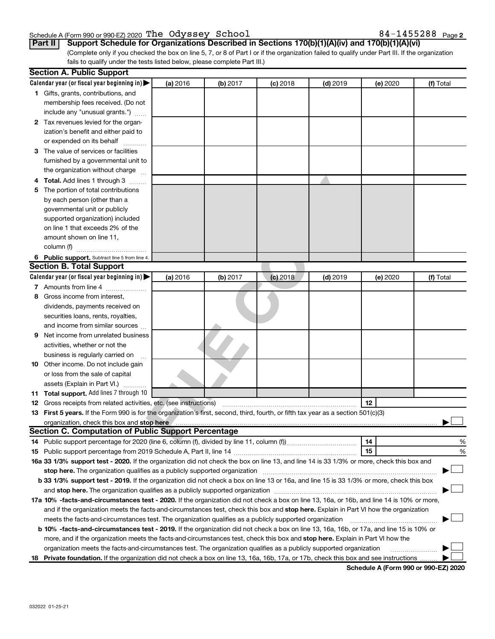#### Schedule A (Form 990 or 990-EZ) 2020 <code>The Odyssey School</code>  $84-1455288$  <code>Page</code>

### **Part II Support Schedule for Organizations Described in Sections 170(b)(1)(A)(iv) and 170(b)(1)(A)(vi)**

(Complete only if you checked the box on line 5, 7, or 8 of Part I or if the organization failed to qualify under Part III. If the organization fails to qualify under the tests listed below, please complete Part III.)

|    | <b>Section A. Public Support</b>                                                                                                               |          |          |            |            |          |           |
|----|------------------------------------------------------------------------------------------------------------------------------------------------|----------|----------|------------|------------|----------|-----------|
|    | Calendar year (or fiscal year beginning in)                                                                                                    | (a) 2016 | (b) 2017 | $(c)$ 2018 | $(d)$ 2019 | (e) 2020 | (f) Total |
|    | 1 Gifts, grants, contributions, and                                                                                                            |          |          |            |            |          |           |
|    | membership fees received. (Do not                                                                                                              |          |          |            |            |          |           |
|    | include any "unusual grants.")                                                                                                                 |          |          |            |            |          |           |
|    | 2 Tax revenues levied for the organ-                                                                                                           |          |          |            |            |          |           |
|    | ization's benefit and either paid to                                                                                                           |          |          |            |            |          |           |
|    | or expended on its behalf                                                                                                                      |          |          |            |            |          |           |
|    | 3 The value of services or facilities                                                                                                          |          |          |            |            |          |           |
|    | furnished by a governmental unit to                                                                                                            |          |          |            |            |          |           |
|    | the organization without charge                                                                                                                |          |          |            |            |          |           |
|    | 4 Total. Add lines 1 through 3                                                                                                                 |          |          |            |            |          |           |
| 5. | The portion of total contributions                                                                                                             |          |          |            |            |          |           |
|    | by each person (other than a                                                                                                                   |          |          |            |            |          |           |
|    | governmental unit or publicly                                                                                                                  |          |          |            |            |          |           |
|    | supported organization) included                                                                                                               |          |          |            |            |          |           |
|    | on line 1 that exceeds 2% of the                                                                                                               |          |          |            |            |          |           |
|    | amount shown on line 11,                                                                                                                       |          |          |            |            |          |           |
|    | column (f)                                                                                                                                     |          |          |            |            |          |           |
|    | 6 Public support. Subtract line 5 from line 4.                                                                                                 |          |          |            |            |          |           |
|    | <b>Section B. Total Support</b>                                                                                                                |          |          |            |            |          |           |
|    | Calendar year (or fiscal year beginning in)                                                                                                    | (a) 2016 | (b) 2017 | $(c)$ 2018 | $(d)$ 2019 | (e) 2020 | (f) Total |
|    | 7 Amounts from line 4                                                                                                                          |          |          |            |            |          |           |
| 8  | Gross income from interest,                                                                                                                    |          |          |            |            |          |           |
|    | dividends, payments received on                                                                                                                |          |          |            |            |          |           |
|    | securities loans, rents, royalties,                                                                                                            |          |          |            |            |          |           |
|    | and income from similar sources                                                                                                                |          |          |            |            |          |           |
| 9  | Net income from unrelated business                                                                                                             |          |          |            |            |          |           |
|    | activities, whether or not the                                                                                                                 |          |          |            |            |          |           |
|    | business is regularly carried on                                                                                                               |          |          |            |            |          |           |
|    | 10 Other income. Do not include gain                                                                                                           |          |          |            |            |          |           |
|    | or loss from the sale of capital                                                                                                               |          |          |            |            |          |           |
|    | assets (Explain in Part VI.)                                                                                                                   |          |          |            |            |          |           |
|    | 11 Total support. Add lines 7 through 10                                                                                                       |          |          |            |            |          |           |
|    | <b>12</b> Gross receipts from related activities, etc. (see instructions)                                                                      |          |          |            |            | 12       |           |
|    | 13 First 5 years. If the Form 990 is for the organization's first, second, third, fourth, or fifth tax year as a section 501(c)(3)             |          |          |            |            |          |           |
|    | organization, check this box and stop here <u>(masses continuous continuous continuous continuous continuous continuous</u>                    |          |          |            |            |          |           |
|    | <b>Section C. Computation of Public Support Percentage</b>                                                                                     |          |          |            |            |          |           |
|    |                                                                                                                                                |          |          |            |            | 14       | %         |
|    |                                                                                                                                                |          |          |            |            | 15       | %         |
|    | 16a 33 1/3% support test - 2020. If the organization did not check the box on line 13, and line 14 is 33 1/3% or more, check this box and      |          |          |            |            |          |           |
|    |                                                                                                                                                |          |          |            |            |          |           |
|    | b 33 1/3% support test - 2019. If the organization did not check a box on line 13 or 16a, and line 15 is 33 1/3% or more, check this box       |          |          |            |            |          |           |
|    |                                                                                                                                                |          |          |            |            |          |           |
|    | 17a 10% -facts-and-circumstances test - 2020. If the organization did not check a box on line 13, 16a, or 16b, and line 14 is 10% or more,     |          |          |            |            |          |           |
|    | and if the organization meets the facts-and-circumstances test, check this box and stop here. Explain in Part VI how the organization          |          |          |            |            |          |           |
|    | meets the facts-and-circumstances test. The organization qualifies as a publicly supported organization                                        |          |          |            |            |          |           |
|    | <b>b 10% -facts-and-circumstances test - 2019.</b> If the organization did not check a box on line 13, 16a, 16b, or 17a, and line 15 is 10% or |          |          |            |            |          |           |
|    | more, and if the organization meets the facts-and-circumstances test, check this box and stop here. Explain in Part VI how the                 |          |          |            |            |          |           |
|    | organization meets the facts-and-circumstances test. The organization qualifies as a publicly supported organization                           |          |          |            |            |          |           |
|    | 18 Private foundation. If the organization did not check a box on line 13, 16a, 16b, 17a, or 17b, check this box and see instructions          |          |          |            |            |          |           |

**Schedule A (Form 990 or 990-EZ) 2020**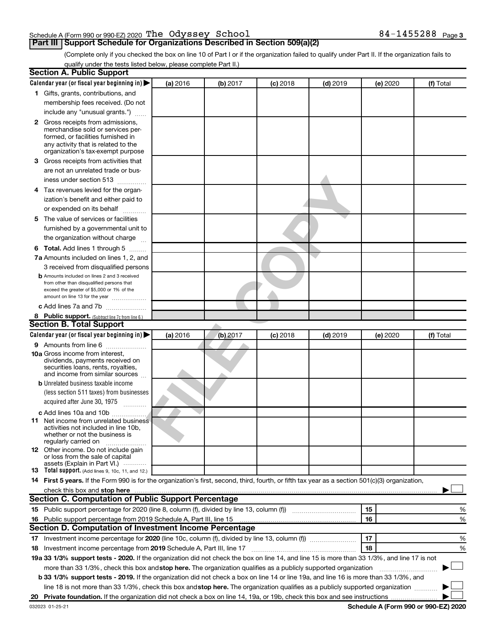#### Schedule A (Form 990 or 990-EZ) 2020 <code>The Odyssey School</code>  $84-1455288$  <code>Page</code>

#### **Part III Support Schedule for Organizations Described in Section 509(a)(2)**

(Complete only if you checked the box on line 10 of Part I or if the organization failed to qualify under Part II. If the organization fails to qualify under the tests listed below, please complete Part II.)

|    | <b>Section A. Public Support</b>                                                                                                                 |          |          |            |            |          |           |
|----|--------------------------------------------------------------------------------------------------------------------------------------------------|----------|----------|------------|------------|----------|-----------|
|    | Calendar year (or fiscal year beginning in)                                                                                                      | (a) 2016 | (b) 2017 | $(c)$ 2018 | $(d)$ 2019 | (e) 2020 | (f) Total |
|    | 1 Gifts, grants, contributions, and                                                                                                              |          |          |            |            |          |           |
|    | membership fees received. (Do not                                                                                                                |          |          |            |            |          |           |
|    | include any "unusual grants.")                                                                                                                   |          |          |            |            |          |           |
|    | 2 Gross receipts from admissions,                                                                                                                |          |          |            |            |          |           |
|    | merchandise sold or services per-                                                                                                                |          |          |            |            |          |           |
|    | formed, or facilities furnished in                                                                                                               |          |          |            |            |          |           |
|    | any activity that is related to the<br>organization's tax-exempt purpose                                                                         |          |          |            |            |          |           |
|    | 3 Gross receipts from activities that                                                                                                            |          |          |            |            |          |           |
|    | are not an unrelated trade or bus-                                                                                                               |          |          |            |            |          |           |
|    | iness under section 513                                                                                                                          |          |          |            |            |          |           |
|    | 4 Tax revenues levied for the organ-                                                                                                             |          |          |            |            |          |           |
|    | ization's benefit and either paid to                                                                                                             |          |          |            |            |          |           |
|    | or expended on its behalf                                                                                                                        |          |          |            |            |          |           |
|    | .                                                                                                                                                |          |          |            |            |          |           |
|    | 5 The value of services or facilities                                                                                                            |          |          |            |            |          |           |
|    | furnished by a governmental unit to                                                                                                              |          |          |            |            |          |           |
|    | the organization without charge                                                                                                                  |          |          |            |            |          |           |
|    | <b>6 Total.</b> Add lines 1 through 5                                                                                                            |          |          |            |            |          |           |
|    | 7a Amounts included on lines 1, 2, and                                                                                                           |          |          |            |            |          |           |
|    | 3 received from disqualified persons                                                                                                             |          |          |            |            |          |           |
|    | <b>b</b> Amounts included on lines 2 and 3 received<br>from other than disqualified persons that                                                 |          |          |            |            |          |           |
|    | exceed the greater of \$5,000 or 1% of the                                                                                                       |          |          |            |            |          |           |
|    | amount on line 13 for the year                                                                                                                   |          |          |            |            |          |           |
|    | c Add lines 7a and 7b                                                                                                                            |          |          |            |            |          |           |
|    | 8 Public support. (Subtract line 7c from line 6.)                                                                                                |          |          |            |            |          |           |
|    | <b>Section B. Total Support</b>                                                                                                                  |          |          |            |            |          |           |
|    | Calendar year (or fiscal year beginning in)                                                                                                      | (a) 2016 | (b) 2017 | $(c)$ 2018 | $(d)$ 2019 | (e) 2020 | (f) Total |
|    | <b>9</b> Amounts from line 6                                                                                                                     |          |          |            |            |          |           |
|    | <b>10a</b> Gross income from interest,                                                                                                           |          |          |            |            |          |           |
|    | dividends, payments received on<br>securities loans, rents, royalties,                                                                           |          |          |            |            |          |           |
|    | and income from similar sources                                                                                                                  |          |          |            |            |          |           |
|    | <b>b</b> Unrelated business taxable income                                                                                                       |          |          |            |            |          |           |
|    | (less section 511 taxes) from businesses                                                                                                         |          |          |            |            |          |           |
|    | acquired after June 30, 1975                                                                                                                     |          |          |            |            |          |           |
|    | c Add lines 10a and 10b                                                                                                                          |          |          |            |            |          |           |
| 11 | Net income from unrelated business                                                                                                               |          |          |            |            |          |           |
|    | activities not included in line 10b.                                                                                                             |          |          |            |            |          |           |
|    | whether or not the business is<br>regularly carried on                                                                                           |          |          |            |            |          |           |
|    | <b>12</b> Other income. Do not include gain                                                                                                      |          |          |            |            |          |           |
|    | or loss from the sale of capital                                                                                                                 |          |          |            |            |          |           |
|    | assets (Explain in Part VI.)<br><b>13</b> Total support. (Add lines 9, 10c, 11, and 12.)                                                         |          |          |            |            |          |           |
|    | 14 First 5 years. If the Form 990 is for the organization's first, second, third, fourth, or fifth tax year as a section 501(c)(3) organization, |          |          |            |            |          |           |
|    |                                                                                                                                                  |          |          |            |            |          |           |
|    | Section C. Computation of Public Support Percentage                                                                                              |          |          |            |            |          |           |
|    |                                                                                                                                                  |          |          |            |            | 15       | %         |
|    | 16 Public support percentage from 2019 Schedule A, Part III, line 15                                                                             |          |          |            |            | 16       | %         |
|    | Section D. Computation of Investment Income Percentage                                                                                           |          |          |            |            |          |           |
|    |                                                                                                                                                  |          |          |            |            | 17       | %         |
|    | 18 Investment income percentage from 2019 Schedule A, Part III, line 17                                                                          |          |          |            |            | 18       | %         |
|    | 19a 33 1/3% support tests - 2020. If the organization did not check the box on line 14, and line 15 is more than 33 1/3%, and line 17 is not     |          |          |            |            |          |           |
|    |                                                                                                                                                  |          |          |            |            |          |           |
|    | more than 33 1/3%, check this box and stop here. The organization qualifies as a publicly supported organization                                 |          |          |            |            |          |           |
|    | b 33 1/3% support tests - 2019. If the organization did not check a box on line 14 or line 19a, and line 16 is more than 33 1/3%, and            |          |          |            |            |          |           |
|    | line 18 is not more than 33 1/3%, check this box and stop here. The organization qualifies as a publicly supported organization                  |          |          |            |            |          |           |
|    |                                                                                                                                                  |          |          |            |            |          |           |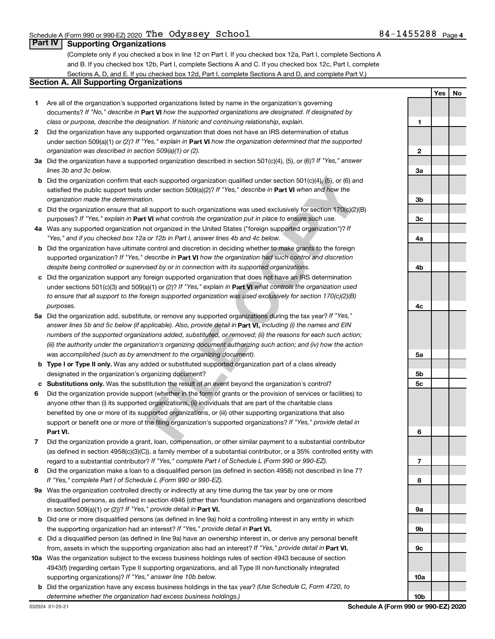#### **Part IV Supporting Organizations**

(Complete only if you checked a box in line 12 on Part I. If you checked box 12a, Part I, complete Sections A and B. If you checked box 12b, Part I, complete Sections A and C. If you checked box 12c, Part I, complete Sections A, D, and E. If you checked box 12d, Part I, complete Sections A and D, and complete Part V.)

#### **Section A. All Supporting Organizations**

- documents? If "No," describe in Part VI how the supported organizations are designated. If designated by *class or purpose, describe the designation. If historic and continuing relationship, explain.* 1 Are all of the organization's supported organizations listed by name in the organization's governing
- under section 509(a)(1) or (2)? If "Yes," explain in Part **VI** how the organization determined that the supported *organization was described in section 509(a)(1) or (2).* 2 Did the organization have any supported organization that does not have an IRS determination of status
- Did the organization have a supported organization described in section 501(c)(4), (5), or (6)? If "Yes," answer *lines 3b and 3c below.*
- satisfied the public support tests under section 509(a)(2)? If "Yes," describe in Part VI when and how the *organization made the determination.* b Did the organization confirm that each supported organization qualified under section 501(c)(4), (5), or (6) and
- purposes? If "Yes," explain in Part VI what controls the organization put in place to ensure such use.  $c$  Did the organization ensure that all support to such organizations was used exclusively for section 170(c)(2)(B)
- Was any supported organization not organized in the United States ("foreign supported organization")? If *"Yes," and if you checked box 12a or 12b in Part I, answer lines 4b and 4c below.*
- supported organization? If "Yes," describe in Part VI how the organization had such control and discretion *despite being controlled or supervised by or in connection with its supported organizations.* **b** Did the organization have ultimate control and discretion in deciding whether to make grants to the foreign
- under sections 501(c)(3) and 509(a)(1) or (2)? If "Yes," explain in Part VI what controls the organization used *to ensure that all support to the foreign supported organization was used exclusively for section 170(c)(2)(B) purposes.* Did the organization support any foreign supported organization that does not have an IRS determination
- **FILE COPY** answer lines 5b and 5c below (if applicable). Also, provide detail in **Part VI,** including (i) the names and EIN Did the organization add, substitute, or remove any supported organizations during the tax year? If "Yes," *numbers of the supported organizations added, substituted, or removed; (ii) the reasons for each such action; (iii) the authority under the organization's organizing document authorizing such action; and (iv) how the action was accomplished (such as by amendment to the organizing document).*
- **Type I or Type II only.** Was any added or substituted supported organization part of a class already designated in the organization's organizing document?
- Substitutions only. Was the substitution the result of an event beyond the organization's control?
- 1 2 3 4 5 6 7 8 <del>9</del> **abcabcabcabcab Part VI.** support or benefit one or more of the filing organization's supported organizations? If "Yes," provide detail in Did the organization provide support (whether in the form of grants or the provision of services or facilities) to anyone other than (i) its supported organizations, (ii) individuals that are part of the charitable class benefited by one or more of its supported organizations, or (iii) other supporting organizations that also
- regard to a substantial contributor? If "Yes," complete Part I of Schedule L (Form 990 or 990-EZ). Did the organization provide a grant, loan, compensation, or other similar payment to a substantial contributor (as defined in section 4958(c)(3)(C)), a family member of a substantial contributor, or a 35% controlled entity with
- *If "Yes," complete Part I of Schedule L (Form 990 or 990-EZ).* 8 Did the organization make a loan to a disqualified person (as defined in section 4958) not described in line 7?
- in section 509(a)(1) or (2))? If "Yes," provide detail in **Part VI.** 9a Was the organization controlled directly or indirectly at any time during the tax year by one or more disqualified persons, as defined in section 4946 (other than foundation managers and organizations described
- the supporting organization had an interest? If "Yes," provide detail in Part VI. **b** Did one or more disqualified persons (as defined in line 9a) hold a controlling interest in any entity in which
- from, assets in which the supporting organization also had an interest? If "Yes," provide detail in Part VI. Did a disqualified person (as defined in line 9a) have an ownership interest in, or derive any personal benefit
- **10** Was the organization subject to the excess business holdings rules of section 4943 because of section supporting organizations)? If "Yes," answer line 10b below. 4943(f) (regarding certain Type II supporting organizations, and all Type III non-functionally integrated
	- *(Use Schedule C, Form 4720, to* Did the organization have any excess business holdings in the tax year? *determine whether the organization had excess business holdings.)*

**Yes No**  $\blacksquare$ **12**  $\mathbf{2}$ **3a 3b 3c 4a 4b 4c 5a 5b** 5c **5c**<br>**6**<br>**7**<br>**8** 6  $\overline{7}$ 8 **9a 9b 9c 10a 10b**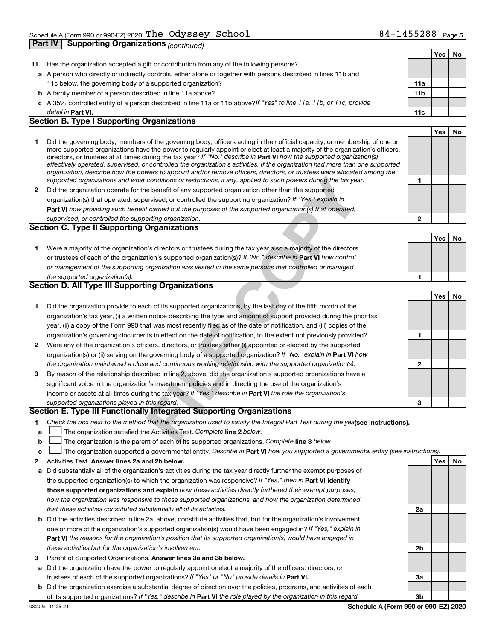|             |                                                                                                                                                                                                                                                           |     | Yes | No |
|-------------|-----------------------------------------------------------------------------------------------------------------------------------------------------------------------------------------------------------------------------------------------------------|-----|-----|----|
| 11          | Has the organization accepted a gift or contribution from any of the following persons?                                                                                                                                                                   |     |     |    |
|             | a A person who directly or indirectly controls, either alone or together with persons described in lines 11b and                                                                                                                                          |     |     |    |
|             | 11c below, the governing body of a supported organization?                                                                                                                                                                                                | 11a |     |    |
|             | <b>b</b> A family member of a person described in line 11a above?                                                                                                                                                                                         | 11b |     |    |
|             | c A 35% controlled entity of a person described in line 11a or 11b above? If "Yes" to line 11a, 11b, or 11c, provide                                                                                                                                      |     |     |    |
|             | detail in Part VI.                                                                                                                                                                                                                                        | 11c |     |    |
|             | <b>Section B. Type I Supporting Organizations</b>                                                                                                                                                                                                         |     |     |    |
|             |                                                                                                                                                                                                                                                           |     | Yes | No |
| 1           | Did the governing body, members of the governing body, officers acting in their official capacity, or membership of one or                                                                                                                                |     |     |    |
|             | more supported organizations have the power to regularly appoint or elect at least a majority of the organization's officers,                                                                                                                             |     |     |    |
|             | directors, or trustees at all times during the tax year? If "No," describe in Part VI how the supported organization(s)<br>effectively operated, supervised, or controlled the organization's activities. If the organization had more than one supported |     |     |    |
|             | organization, describe how the powers to appoint and/or remove officers, directors, or trustees were allocated among the                                                                                                                                  |     |     |    |
|             | supported organizations and what conditions or restrictions, if any, applied to such powers during the tax year.                                                                                                                                          | 1   |     |    |
| 2           | Did the organization operate for the benefit of any supported organization other than the supported                                                                                                                                                       |     |     |    |
|             | organization(s) that operated, supervised, or controlled the supporting organization? If "Yes," explain in                                                                                                                                                |     |     |    |
|             | Part VI how providing such benefit carried out the purposes of the supported organization(s) that operated,                                                                                                                                               |     |     |    |
|             | supervised, or controlled the supporting organization.                                                                                                                                                                                                    | 2   |     |    |
|             | <b>Section C. Type II Supporting Organizations</b>                                                                                                                                                                                                        |     |     |    |
|             |                                                                                                                                                                                                                                                           |     | Yes | No |
| 1.          | Were a majority of the organization's directors or trustees during the tax year also a majority of the directors                                                                                                                                          |     |     |    |
|             | or trustees of each of the organization's supported organization(s)? If "No," describe in Part VI how control                                                                                                                                             |     |     |    |
|             | or management of the supporting organization was vested in the same persons that controlled or managed                                                                                                                                                    |     |     |    |
|             | the supported organization(s).                                                                                                                                                                                                                            | 1   |     |    |
|             | Section D. All Type III Supporting Organizations                                                                                                                                                                                                          |     |     |    |
|             |                                                                                                                                                                                                                                                           |     | Yes | No |
| 1           | Did the organization provide to each of its supported organizations, by the last day of the fifth month of the                                                                                                                                            |     |     |    |
|             | organization's tax year, (i) a written notice describing the type and amount of support provided during the prior tax                                                                                                                                     |     |     |    |
|             | year, (ii) a copy of the Form 990 that was most recently filed as of the date of notification, and (iii) copies of the                                                                                                                                    |     |     |    |
|             | organization's governing documents in effect on the date of notification, to the extent not previously provided?                                                                                                                                          | 1   |     |    |
| 2           | Were any of the organization's officers, directors, or trustees either (i) appointed or elected by the supported                                                                                                                                          |     |     |    |
|             | organization(s) or (ii) serving on the governing body of a supported organization? If "No," explain in Part VI how                                                                                                                                        |     |     |    |
|             | the organization maintained a close and continuous working relationship with the supported organization(s).                                                                                                                                               | 2   |     |    |
| 3           | By reason of the relationship described in line 2, above, did the organization's supported organizations have a                                                                                                                                           |     |     |    |
|             | significant voice in the organization's investment policies and in directing the use of the organization's                                                                                                                                                |     |     |    |
|             | income or assets at all times during the tax year? If "Yes," describe in Part VI the role the organization's                                                                                                                                              |     |     |    |
|             | supported organizations played in this regard.                                                                                                                                                                                                            | З   |     |    |
|             | Section E. Type III Functionally Integrated Supporting Organizations                                                                                                                                                                                      |     |     |    |
| 1           | Check the box next to the method that the organization used to satisfy the Integral Part Test during the yealsee instructions).                                                                                                                           |     |     |    |
| а           | The organization satisfied the Activities Test. Complete line 2 below.                                                                                                                                                                                    |     |     |    |
| $\mathbf b$ | The organization is the parent of each of its supported organizations. Complete line 3 below.                                                                                                                                                             |     |     |    |
| с           | The organization supported a governmental entity. Describe in Part VI how you supported a governmental entity (see instructions).                                                                                                                         |     |     |    |
| 2           | Activities Test. Answer lines 2a and 2b below.                                                                                                                                                                                                            |     | Yes | No |
| а           | Did substantially all of the organization's activities during the tax year directly further the exempt purposes of                                                                                                                                        |     |     |    |
|             | the supported organization(s) to which the organization was responsive? If "Yes," then in Part VI identify                                                                                                                                                |     |     |    |
|             | those supported organizations and explain how these activities directly furthered their exempt purposes,                                                                                                                                                  |     |     |    |
|             | how the organization was responsive to those supported organizations, and how the organization determined                                                                                                                                                 |     |     |    |
|             | that these activities constituted substantially all of its activities.                                                                                                                                                                                    | 2a  |     |    |
| b           | Did the activities described in line 2a, above, constitute activities that, but for the organization's involvement,                                                                                                                                       |     |     |    |
|             | one or more of the organization's supported organization(s) would have been engaged in? If "Yes," explain in                                                                                                                                              |     |     |    |
|             | <b>Part VI</b> the reasons for the organization's position that its supported organization(s) would have engaged in                                                                                                                                       |     |     |    |
|             | these activities but for the organization's involvement.                                                                                                                                                                                                  | 2b  |     |    |
| з           | Parent of Supported Organizations. Answer lines 3a and 3b below.                                                                                                                                                                                          |     |     |    |
| a           | Did the organization have the power to regularly appoint or elect a majority of the officers, directors, or<br>trustees of each of the supported organizations? If "Yes" or "No" provide details in Part VI.                                              | 3a  |     |    |
|             | <b>b</b> Did the organization exercise a substantial degree of direction over the policies, programs, and activities of each                                                                                                                              |     |     |    |
|             |                                                                                                                                                                                                                                                           |     |     |    |

If "Yes," describe in Part VI the role played by the organization in this regard. Did the organization exercise a substantial degree of direction over the policies, programs, and activities of each of its supported organizations?

**3b**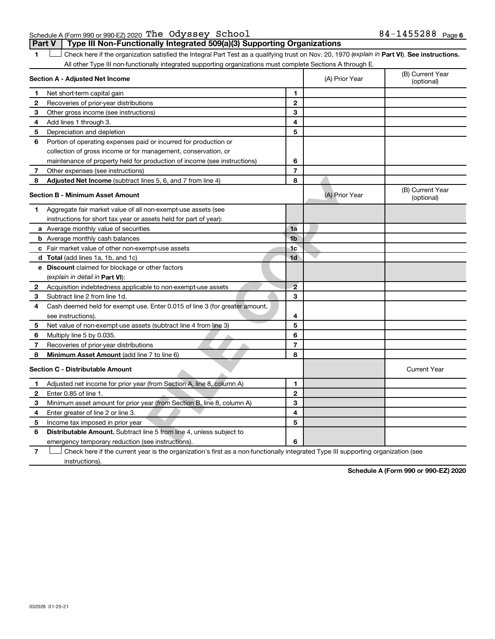#### Schedule A (Form 990 or 990-EZ) 2020 <code>The Odyssey School</code>  $84-1455288$  <code>Page</code> **Part V Type III Non-Functionally Integrated 509(a)(3) Supporting Organizations**

| 1              | Check here if the organization satisfied the Integral Part Test as a qualifying trust on Nov. 20, 1970 (explain in Part VI). See instructions.<br>All other Type III non-functionally integrated supporting organizations must complete Sections A through E. |                |                |                                |
|----------------|---------------------------------------------------------------------------------------------------------------------------------------------------------------------------------------------------------------------------------------------------------------|----------------|----------------|--------------------------------|
|                | Section A - Adjusted Net Income                                                                                                                                                                                                                               |                | (A) Prior Year | (B) Current Year<br>(optional) |
| 1              | Net short-term capital gain                                                                                                                                                                                                                                   | 1              |                |                                |
| 2              | Recoveries of prior-year distributions                                                                                                                                                                                                                        | $\mathbf{2}$   |                |                                |
| З              | Other gross income (see instructions)                                                                                                                                                                                                                         | 3              |                |                                |
| 4              | Add lines 1 through 3.                                                                                                                                                                                                                                        | 4              |                |                                |
| 5              | Depreciation and depletion                                                                                                                                                                                                                                    | 5              |                |                                |
| 6              | Portion of operating expenses paid or incurred for production or                                                                                                                                                                                              |                |                |                                |
|                | collection of gross income or for management, conservation, or                                                                                                                                                                                                |                |                |                                |
|                | maintenance of property held for production of income (see instructions)                                                                                                                                                                                      | 6              |                |                                |
| 7              | Other expenses (see instructions)                                                                                                                                                                                                                             | $\overline{7}$ |                |                                |
| 8              | <b>Adjusted Net Income</b> (subtract lines 5, 6, and 7 from line 4)                                                                                                                                                                                           | 8              |                |                                |
|                | <b>Section B - Minimum Asset Amount</b>                                                                                                                                                                                                                       |                | (A) Prior Year | (B) Current Year<br>(optional) |
| 1              | Aggregate fair market value of all non-exempt-use assets (see                                                                                                                                                                                                 |                |                |                                |
|                | instructions for short tax year or assets held for part of year):                                                                                                                                                                                             |                |                |                                |
|                | <b>a</b> Average monthly value of securities                                                                                                                                                                                                                  | 1a             |                |                                |
|                | <b>b</b> Average monthly cash balances                                                                                                                                                                                                                        | 1 <sub>b</sub> |                |                                |
|                | c Fair market value of other non-exempt-use assets                                                                                                                                                                                                            | 1c             |                |                                |
|                | <b>d</b> Total (add lines 1a, 1b, and 1c)                                                                                                                                                                                                                     | 1 <sub>d</sub> |                |                                |
|                | e Discount claimed for blockage or other factors                                                                                                                                                                                                              |                |                |                                |
|                | (explain in detail in Part VI):                                                                                                                                                                                                                               |                |                |                                |
| 2              | Acquisition indebtedness applicable to non-exempt-use assets                                                                                                                                                                                                  | $\overline{2}$ |                |                                |
| 3              | Subtract line 2 from line 1d.                                                                                                                                                                                                                                 | 3              |                |                                |
| 4              | Cash deemed held for exempt use. Enter 0.015 of line 3 (for greater amount,                                                                                                                                                                                   |                |                |                                |
|                | see instructions)                                                                                                                                                                                                                                             | 4              |                |                                |
| 5              | Net value of non-exempt-use assets (subtract line 4 from line 3)                                                                                                                                                                                              | 5              |                |                                |
| 6              | Multiply line 5 by 0.035.                                                                                                                                                                                                                                     | 6              |                |                                |
| 7              | Recoveries of prior-year distributions                                                                                                                                                                                                                        | $\overline{7}$ |                |                                |
| 8              | Minimum Asset Amount (add line 7 to line 6)                                                                                                                                                                                                                   | 8              |                |                                |
|                | <b>Section C - Distributable Amount</b>                                                                                                                                                                                                                       |                |                | <b>Current Year</b>            |
| 1              | Adjusted net income for prior year (from Section A, line 8, column A)                                                                                                                                                                                         | 1              |                |                                |
| $\mathbf{2}$   | Enter 0.85 of line 1.                                                                                                                                                                                                                                         | $\mathbf{2}$   |                |                                |
| З              | Minimum asset amount for prior year (from Section B, line 8, column A)                                                                                                                                                                                        | 3              |                |                                |
| 4              | Enter greater of line 2 or line 3.                                                                                                                                                                                                                            | 4              |                |                                |
| 5              | Income tax imposed in prior year                                                                                                                                                                                                                              | 5              |                |                                |
| 6              | <b>Distributable Amount.</b> Subtract line 5 from line 4, unless subject to                                                                                                                                                                                   |                |                |                                |
|                | emergency temporary reduction (see instructions).                                                                                                                                                                                                             | 6              |                |                                |
| $\overline{7}$ | Check here if the current year is the organization's first as a non-functionally integrated Type III supporting organization (see                                                                                                                             |                |                |                                |

Check here if the current year is the organization's first as a non-functionally integrated Type III supporting organization (see 7 instructions).

**Schedule A (Form 990 or 990-EZ) 2020**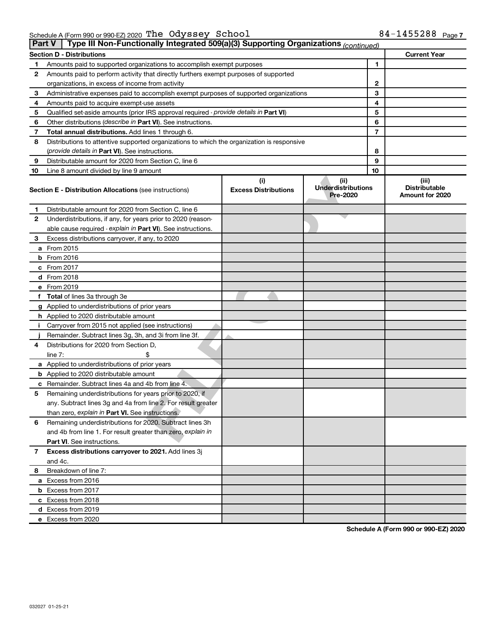| Part V | Type III Non-Functionally Integrated 509(a)(3) Supporting Organizations (continued)        |                             |                                       |    |                                         |
|--------|--------------------------------------------------------------------------------------------|-----------------------------|---------------------------------------|----|-----------------------------------------|
|        | <b>Section D - Distributions</b>                                                           |                             |                                       |    | <b>Current Year</b>                     |
| 1      | Amounts paid to supported organizations to accomplish exempt purposes                      | 1                           |                                       |    |                                         |
| 2      | Amounts paid to perform activity that directly furthers exempt purposes of supported       |                             |                                       |    |                                         |
|        | organizations, in excess of income from activity                                           | 2                           |                                       |    |                                         |
| 3      | Administrative expenses paid to accomplish exempt purposes of supported organizations      |                             |                                       | 3  |                                         |
| 4      | Amounts paid to acquire exempt-use assets                                                  |                             |                                       | 4  |                                         |
| 5      | Qualified set-aside amounts (prior IRS approval required - provide details in Part VI)     |                             |                                       | 5  |                                         |
| 6      | Other distributions (describe in Part VI). See instructions.                               |                             |                                       | 6  |                                         |
| 7      | Total annual distributions. Add lines 1 through 6.                                         |                             |                                       | 7  |                                         |
| 8      | Distributions to attentive supported organizations to which the organization is responsive |                             |                                       |    |                                         |
|        | ( <i>provide details in Part VI</i> ). See instructions.                                   |                             |                                       | 8  |                                         |
| 9      | Distributable amount for 2020 from Section C, line 6                                       |                             |                                       | 9  |                                         |
| 10     | Line 8 amount divided by line 9 amount                                                     |                             |                                       | 10 |                                         |
|        |                                                                                            | (i)                         | (ii)                                  |    | (iii)                                   |
|        | <b>Section E - Distribution Allocations (see instructions)</b>                             | <b>Excess Distributions</b> | <b>Underdistributions</b><br>Pre-2020 |    | <b>Distributable</b><br>Amount for 2020 |
| 1      | Distributable amount for 2020 from Section C, line 6                                       |                             |                                       |    |                                         |
| 2      | Underdistributions, if any, for years prior to 2020 (reason-                               |                             |                                       |    |                                         |
|        | able cause required - explain in Part VI). See instructions.                               |                             |                                       |    |                                         |
| З      | Excess distributions carryover, if any, to 2020                                            |                             |                                       |    |                                         |
|        | a From 2015                                                                                |                             |                                       |    |                                         |
|        | $b$ From 2016                                                                              |                             |                                       |    |                                         |
|        | c From 2017                                                                                |                             |                                       |    |                                         |
|        | <b>d</b> From 2018                                                                         |                             |                                       |    |                                         |
|        | e From 2019                                                                                |                             |                                       |    |                                         |
|        | f Total of lines 3a through 3e                                                             |                             |                                       |    |                                         |
|        | g Applied to underdistributions of prior years                                             |                             |                                       |    |                                         |
|        | <b>h</b> Applied to 2020 distributable amount                                              |                             |                                       |    |                                         |
| Ť.     | Carryover from 2015 not applied (see instructions)                                         |                             |                                       |    |                                         |
|        | Remainder. Subtract lines 3g, 3h, and 3i from line 3f.                                     |                             |                                       |    |                                         |
| 4      | Distributions for 2020 from Section D,                                                     |                             |                                       |    |                                         |
|        | line 7:                                                                                    |                             |                                       |    |                                         |
|        | a Applied to underdistributions of prior years                                             |                             |                                       |    |                                         |
|        | <b>b</b> Applied to 2020 distributable amount                                              |                             |                                       |    |                                         |
|        | c Remainder. Subtract lines 4a and 4b from line 4.                                         |                             |                                       |    |                                         |
| 5      | Remaining underdistributions for years prior to 2020, if                                   |                             |                                       |    |                                         |
|        | any. Subtract lines 3g and 4a from line 2. For result greater                              |                             |                                       |    |                                         |
|        | than zero, explain in Part VI. See instructions.                                           |                             |                                       |    |                                         |
| 6      | Remaining underdistributions for 2020. Subtract lines 3h                                   |                             |                                       |    |                                         |
|        | and 4b from line 1. For result greater than zero, explain in                               |                             |                                       |    |                                         |
|        | <b>Part VI.</b> See instructions.                                                          |                             |                                       |    |                                         |
| 7      | Excess distributions carryover to 2021. Add lines 3j                                       |                             |                                       |    |                                         |
|        | and 4c.                                                                                    |                             |                                       |    |                                         |
| 8      | Breakdown of line 7:                                                                       |                             |                                       |    |                                         |
|        | a Excess from 2016                                                                         |                             |                                       |    |                                         |
|        | <b>b</b> Excess from 2017                                                                  |                             |                                       |    |                                         |
|        | c Excess from 2018                                                                         |                             |                                       |    |                                         |
|        | d Excess from 2019                                                                         |                             |                                       |    |                                         |
|        | e Excess from 2020                                                                         |                             |                                       |    |                                         |

**Schedule A (Form 990 or 990-EZ) 2020**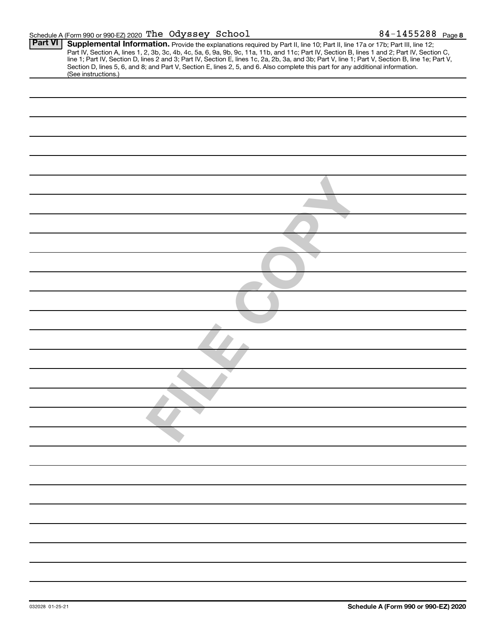#### Schedule A (Form 990 or 990-EZ) 2020 Page The Odyssey School 84-1455288

| <b>Part VI</b> | טטט וט טטט ווויט ו<br>uyu u<br>Supplemental Information. Provide the explanations required by Part II, line 10; Part II, line 17a or 17b; Part III, line 12; |
|----------------|--------------------------------------------------------------------------------------------------------------------------------------------------------------|
|                | Part IV, Section A, lines 1, 2, 3b, 3c, 4b, 4c, 5a, 6, 9a, 9b, 9c, 11a, 11b, and 11c; Part IV, Section B, lines 1 and 2; Part IV, Section C,                 |
|                | line 1; Part IV, Section D, lines 2 and 3; Part IV, Section E, lines 1c, 2a, 2b, 3a, and 3b; Part V, line 1; Part V, Section B, line 1e; Part V,             |
|                | Section D, lines 5, 6, and 8; and Part V, Section E, lines 2, 5, and 6. Also complete this part for any additional information.                              |
|                | (See instructions.)                                                                                                                                          |
|                |                                                                                                                                                              |
|                |                                                                                                                                                              |
|                |                                                                                                                                                              |
|                |                                                                                                                                                              |
|                |                                                                                                                                                              |
|                |                                                                                                                                                              |
|                |                                                                                                                                                              |
|                |                                                                                                                                                              |
|                |                                                                                                                                                              |
|                |                                                                                                                                                              |
|                |                                                                                                                                                              |
|                |                                                                                                                                                              |
|                |                                                                                                                                                              |
|                |                                                                                                                                                              |
|                |                                                                                                                                                              |
|                |                                                                                                                                                              |
|                |                                                                                                                                                              |
|                |                                                                                                                                                              |
|                |                                                                                                                                                              |
|                |                                                                                                                                                              |
|                |                                                                                                                                                              |
|                |                                                                                                                                                              |
|                |                                                                                                                                                              |
|                |                                                                                                                                                              |
|                |                                                                                                                                                              |
|                |                                                                                                                                                              |
|                |                                                                                                                                                              |
|                |                                                                                                                                                              |
|                |                                                                                                                                                              |
|                |                                                                                                                                                              |
|                |                                                                                                                                                              |
|                |                                                                                                                                                              |
|                |                                                                                                                                                              |
|                |                                                                                                                                                              |
|                |                                                                                                                                                              |
|                |                                                                                                                                                              |
|                |                                                                                                                                                              |
|                |                                                                                                                                                              |
|                |                                                                                                                                                              |
|                |                                                                                                                                                              |
|                |                                                                                                                                                              |
|                |                                                                                                                                                              |
|                |                                                                                                                                                              |
|                |                                                                                                                                                              |
|                |                                                                                                                                                              |
|                |                                                                                                                                                              |
|                |                                                                                                                                                              |
|                |                                                                                                                                                              |
|                |                                                                                                                                                              |
|                |                                                                                                                                                              |
|                |                                                                                                                                                              |
|                |                                                                                                                                                              |
|                |                                                                                                                                                              |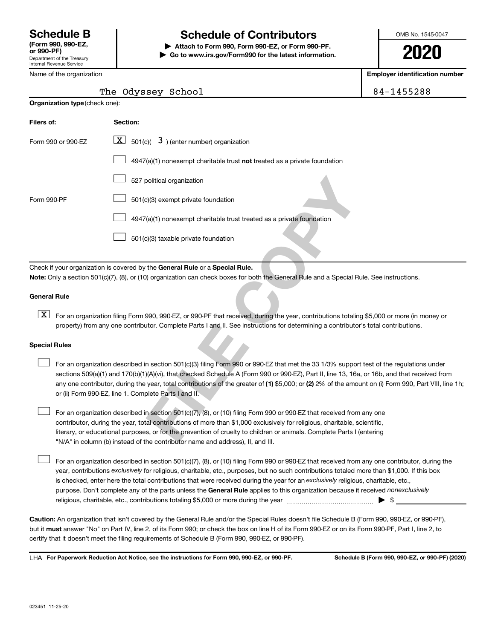Department of the Treasury Internal Revenue Service

## **Schedule B Schedule of Contributors**

**or 990-PF) | Attach to Form 990, Form 990-EZ, or Form 990-PF. | Go to www.irs.gov/Form990 for the latest information.** OMB No. 1545-0047

**2020**

**Employer identification number**

| 84-1455288 |  |  |  |  |
|------------|--|--|--|--|

|  | Name of the organization |  |
|--|--------------------------|--|
|  |                          |  |

**Organization type** (check one):

#### The Odyssey School

| Filers of:           |                                                                                                                                                                                                                                                                                                                                                                                                                                                                                                       | Section:                                                                                                                                                                                                                                                                         |  |  |  |  |  |  |
|----------------------|-------------------------------------------------------------------------------------------------------------------------------------------------------------------------------------------------------------------------------------------------------------------------------------------------------------------------------------------------------------------------------------------------------------------------------------------------------------------------------------------------------|----------------------------------------------------------------------------------------------------------------------------------------------------------------------------------------------------------------------------------------------------------------------------------|--|--|--|--|--|--|
| Form 990 or 990-EZ   |                                                                                                                                                                                                                                                                                                                                                                                                                                                                                                       | $\lfloor \underline{X} \rfloor$ 501(c)( 3) (enter number) organization                                                                                                                                                                                                           |  |  |  |  |  |  |
|                      |                                                                                                                                                                                                                                                                                                                                                                                                                                                                                                       | $4947(a)(1)$ nonexempt charitable trust not treated as a private foundation                                                                                                                                                                                                      |  |  |  |  |  |  |
|                      |                                                                                                                                                                                                                                                                                                                                                                                                                                                                                                       | 527 political organization                                                                                                                                                                                                                                                       |  |  |  |  |  |  |
| Form 990-PF          |                                                                                                                                                                                                                                                                                                                                                                                                                                                                                                       | 501(c)(3) exempt private foundation                                                                                                                                                                                                                                              |  |  |  |  |  |  |
|                      |                                                                                                                                                                                                                                                                                                                                                                                                                                                                                                       | 4947(a)(1) nonexempt charitable trust treated as a private foundation                                                                                                                                                                                                            |  |  |  |  |  |  |
|                      |                                                                                                                                                                                                                                                                                                                                                                                                                                                                                                       | 501(c)(3) taxable private foundation                                                                                                                                                                                                                                             |  |  |  |  |  |  |
|                      |                                                                                                                                                                                                                                                                                                                                                                                                                                                                                                       |                                                                                                                                                                                                                                                                                  |  |  |  |  |  |  |
| <b>General Rule</b>  |                                                                                                                                                                                                                                                                                                                                                                                                                                                                                                       | Check if your organization is covered by the General Rule or a Special Rule.<br>Note: Only a section 501(c)(7), (8), or (10) organization can check boxes for both the General Rule and a Special Rule. See instructions.                                                        |  |  |  |  |  |  |
|                      |                                                                                                                                                                                                                                                                                                                                                                                                                                                                                                       |                                                                                                                                                                                                                                                                                  |  |  |  |  |  |  |
| $\lfloor x \rfloor$  |                                                                                                                                                                                                                                                                                                                                                                                                                                                                                                       | For an organization filing Form 990, 990-EZ, or 990-PF that received, during the year, contributions totaling \$5,000 or more (in money or<br>property) from any one contributor. Complete Parts I and II. See instructions for determining a contributor's total contributions. |  |  |  |  |  |  |
| <b>Special Rules</b> |                                                                                                                                                                                                                                                                                                                                                                                                                                                                                                       |                                                                                                                                                                                                                                                                                  |  |  |  |  |  |  |
|                      | For an organization described in section 501(c)(3) filing Form 990 or 990-EZ that met the 33 1/3% support test of the regulations under<br>sections 509(a)(1) and 170(b)(1)(A)(vi), that checked Schedule A (Form 990 or 990-EZ), Part II, line 13, 16a, or 16b, and that received from<br>any one contributor, during the year, total contributions of the greater of (1) \$5,000; or (2) 2% of the amount on (i) Form 990, Part VIII, line<br>or (ii) Form 990-EZ, line 1. Complete Parts I and II. |                                                                                                                                                                                                                                                                                  |  |  |  |  |  |  |
|                      | For an organization described in section 501(c)(7), (8), or (10) filing Form 990 or 990-EZ that received from any one<br>contributor, during the year, total contributions of more than \$1,000 exclusively for religious, charitable, scientific,<br>literary, or educational purposes, or for the prevention of cruelty to children or animals. Complete Parts I (entering<br>$\ln\left(\frac{1}{\Delta}\right)$ in column (b) instead of the contributor name and address) II and III              |                                                                                                                                                                                                                                                                                  |  |  |  |  |  |  |

#### **General Rule**

# **Special Rules**  $\begin{array}{c} \n\boxed{\textbf{X}}\n\end{array}$

- any one contributor, during the year, total contributions of the greater of (1) \$5,000; or (2) 2% of the amount on (i) Form 990, Part VIII, line 1h; For an organization described in section 501(c)(3) filing Form 990 or 990-EZ that met the 33 1/3% support test of the regulations under sections 509(a)(1) and 170(b)(1)(A)(vi), that checked Schedule A (Form 990 or 990-EZ), Part II, line 13, 16a, or 16b, and that received from or (ii) Form 990-EZ, line 1. Complete Parts I and II.
- For an organization described in section  $501(c)\overline{(7)}$ , (8), or (10) filing Form 990 or 990-EZ that received from any one contributor, during the year, total contributions of more than \$1,000 exclusively for religious, charitable, scientific, literary, or educational purposes, or for the prevention of cruelty to children or animals. Complete Parts I (entering "N/A" in column (b) instead of the contributor name and address), II, and III.

purpose. Don't complete any of the parts unless the General Rule applies to this organization because it received nonexclusively year, contributions exclusively for religious, charitable, etc., purposes, but no such contributions totaled more than \$1,000. If this box is checked, enter here the total contributions that were received during the year for an exclusively religious, charitable, etc., For an organization described in section 501(c)(7), (8), or (10) filing Form 990 or 990-EZ that received from any one contributor, during the religious, charitable, etc., contributions totaling \$5,000 or more during the year  $~$   $\rm{~~}~~$   $\rm{~~}~~$   $\rm{~~}~~$   $\rm{~~}~~$   $\rm{~~}~~$ 

**Caution:**  An organization that isn't covered by the General Rule and/or the Special Rules doesn't file Schedule B (Form 990, 990-EZ, or 990-PF),  **must** but it answer "No" on Part IV, line 2, of its Form 990; or check the box on line H of its Form 990-EZ or on its Form 990-PF, Part I, line 2, to certify that it doesn't meet the filing requirements of Schedule B (Form 990, 990-EZ, or 990-PF).

**For Paperwork Reduction Act Notice, see the instructions for Form 990, 990-EZ, or 990-PF. Schedule B (Form 990, 990-EZ, or 990-PF) (2020)** LHA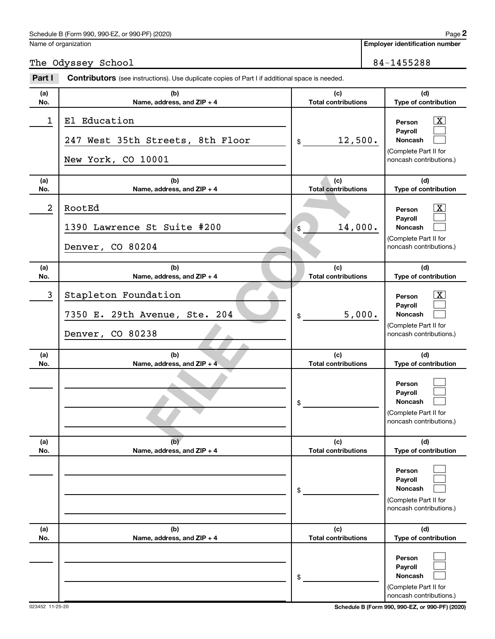#### Schedule B (Form 990, 990-EZ, or 990-PF) (2020)

Name of organization

The Odyssey School 84-1455288

| Part I           | <b>Contributors</b> (see instructions). Use duplicate copies of Part I if additional space is needed. |                                   |                                                                                                                    |
|------------------|-------------------------------------------------------------------------------------------------------|-----------------------------------|--------------------------------------------------------------------------------------------------------------------|
| (a)<br>No.       | (b)<br>Name, address, and ZIP + 4                                                                     | (c)<br><b>Total contributions</b> | (d)<br>Type of contribution                                                                                        |
| 1                | El Education<br>247 West 35th Streets, 8th Floor<br>New York, CO 10001                                | 12,500.<br>\$                     | $\overline{\mathbf{X}}$<br>Person<br>Payroll<br><b>Noncash</b><br>(Complete Part II for<br>noncash contributions.) |
| (a)<br>No.       | (b)<br>Name, address, and ZIP + 4                                                                     | (c)<br><b>Total contributions</b> | (d)<br>Type of contribution                                                                                        |
| $\boldsymbol{2}$ | RootEd<br>1390 Lawrence St Suite #200<br>Denver, CO 80204                                             | 14,000.<br>\$                     | $\overline{\mathbf{X}}$<br>Person<br>Payroll<br><b>Noncash</b><br>(Complete Part II for<br>noncash contributions.) |
| (a)<br>No.       | (b)<br>Name, address, and ZIP + 4                                                                     | (c)<br><b>Total contributions</b> | (d)<br>Type of contribution                                                                                        |
| 3                | Stapleton Foundation<br>7350 E. 29th Avenue, Ste. 204<br>Denver, CO 80238                             | 5,000.<br>\$                      | $\overline{\mathbf{X}}$<br>Person<br>Payroll<br><b>Noncash</b><br>(Complete Part II for<br>noncash contributions.) |
| (a)<br>No.       | (b)<br>Name, address, and ZIP + 4                                                                     | (c)<br><b>Total contributions</b> | (d)<br>Type of contribution                                                                                        |
|                  |                                                                                                       | \$                                | Person<br>Payroll<br><b>Noncash</b><br>(Complete Part II for<br>noncash contributions.)                            |
| (a)<br>No.       | (b)<br>Name, address, and ZIP + 4                                                                     | (c)<br><b>Total contributions</b> | (d)<br>Type of contribution                                                                                        |
|                  |                                                                                                       | \$                                | Person<br>Payroll<br>Noncash<br>(Complete Part II for<br>noncash contributions.)                                   |
| (a)<br>No.       | (b)<br>Name, address, and ZIP + 4                                                                     | (c)<br><b>Total contributions</b> | (d)<br>Type of contribution                                                                                        |
|                  |                                                                                                       | \$                                | Person<br>Payroll<br>Noncash<br>(Complete Part II for<br>noncash contributions.)                                   |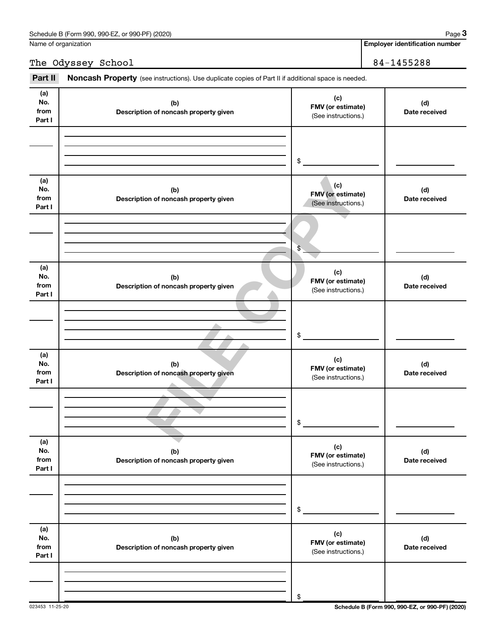Name of organization

**Employer identification number**

The Odyssey School 84-1455288

| Part II                      | Noncash Property (see instructions). Use duplicate copies of Part II if additional space is needed. |                                                 |                      |
|------------------------------|-----------------------------------------------------------------------------------------------------|-------------------------------------------------|----------------------|
| (a)<br>No.<br>from<br>Part I | (b)<br>Description of noncash property given                                                        | (c)<br>FMV (or estimate)<br>(See instructions.) | (d)<br>Date received |
|                              |                                                                                                     | $\,$                                            |                      |
| (a)<br>No.<br>from<br>Part I | (b)<br>Description of noncash property given                                                        | (c)<br>FMV (or estimate)<br>(See instructions.) | (d)<br>Date received |
|                              |                                                                                                     | $\textcircled{\scriptsize{s}}$                  |                      |
| (a)<br>No.<br>from<br>Part I | (b)<br>Description of noncash property given                                                        | (c)<br>FMV (or estimate)<br>(See instructions.) | (d)<br>Date received |
|                              |                                                                                                     | \$                                              |                      |
| (a)<br>No.<br>from<br>Part I | (b)<br>Description of noncash property given                                                        | (c)<br>FMV (or estimate)<br>(See instructions.) | (d)<br>Date received |
|                              |                                                                                                     | \$                                              |                      |
| (a)<br>No.<br>from<br>Part I | (b)<br>Description of noncash property given                                                        | (c)<br>FMV (or estimate)<br>(See instructions.) | (d)<br>Date received |
|                              |                                                                                                     | \$                                              |                      |
| (a)<br>No.<br>from<br>Part I | (b)<br>Description of noncash property given                                                        | (c)<br>FMV (or estimate)<br>(See instructions.) | (d)<br>Date received |
|                              |                                                                                                     | \$                                              |                      |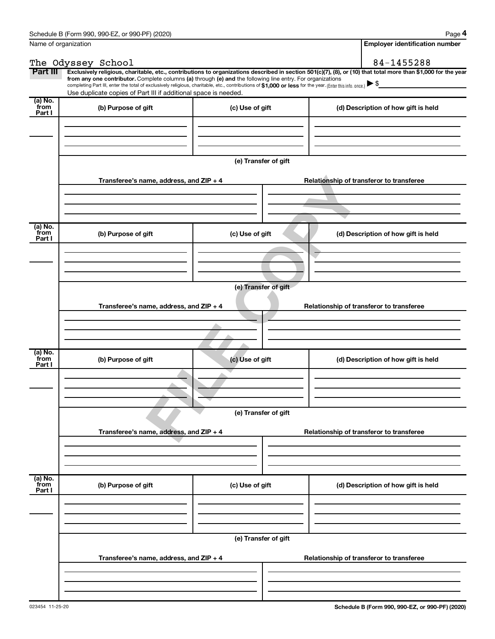|                           | Name of organization                                                                                                                                                                                                                                                                                                                      |                      | <b>Employer identification number</b>                                                                                                                          |
|---------------------------|-------------------------------------------------------------------------------------------------------------------------------------------------------------------------------------------------------------------------------------------------------------------------------------------------------------------------------------------|----------------------|----------------------------------------------------------------------------------------------------------------------------------------------------------------|
|                           | The Odyssey School                                                                                                                                                                                                                                                                                                                        |                      | 84-1455288                                                                                                                                                     |
| Part III                  | from any one contributor. Complete columns (a) through (e) and the following line entry. For organizations<br>completing Part III, enter the total of exclusively religious, charitable, etc., contributions of \$1,000 or less for the year. (Enter this info. once.)<br>Use duplicate copies of Part III if additional space is needed. |                      | Exclusively religious, charitable, etc., contributions to organizations described in section 501(c)(7), (8), or (10) that total more than \$1,000 for the year |
| (a) No.<br>from           | (b) Purpose of gift                                                                                                                                                                                                                                                                                                                       | (c) Use of gift      | (d) Description of how gift is held                                                                                                                            |
| Part I                    |                                                                                                                                                                                                                                                                                                                                           |                      |                                                                                                                                                                |
|                           |                                                                                                                                                                                                                                                                                                                                           | (e) Transfer of gift |                                                                                                                                                                |
|                           | Transferee's name, address, and $ZIP + 4$                                                                                                                                                                                                                                                                                                 |                      | Relationship of transferor to transferee                                                                                                                       |
| (a) No.<br>from<br>Part I | (b) Purpose of gift                                                                                                                                                                                                                                                                                                                       | (c) Use of gift      | (d) Description of how gift is held                                                                                                                            |
|                           |                                                                                                                                                                                                                                                                                                                                           | (e) Transfer of gift |                                                                                                                                                                |
|                           | Transferee's name, address, and ZIP + 4                                                                                                                                                                                                                                                                                                   |                      | Relationship of transferor to transferee                                                                                                                       |
|                           |                                                                                                                                                                                                                                                                                                                                           |                      |                                                                                                                                                                |
| (a) No.<br>from<br>Part I | (b) Purpose of gift                                                                                                                                                                                                                                                                                                                       | (c) Use of gift      | (d) Description of how gift is held                                                                                                                            |
|                           |                                                                                                                                                                                                                                                                                                                                           |                      |                                                                                                                                                                |
|                           | Transferee's name, address, and ZIP + 4                                                                                                                                                                                                                                                                                                   | (e) Transfer of gift | Relationship of transferor to transferee                                                                                                                       |
|                           |                                                                                                                                                                                                                                                                                                                                           |                      |                                                                                                                                                                |
| (a) No.<br>from<br>Part I | (b) Purpose of gift                                                                                                                                                                                                                                                                                                                       | (c) Use of gift      | (d) Description of how gift is held                                                                                                                            |
|                           |                                                                                                                                                                                                                                                                                                                                           |                      |                                                                                                                                                                |
|                           |                                                                                                                                                                                                                                                                                                                                           | (e) Transfer of gift |                                                                                                                                                                |
|                           | Transferee's name, address, and ZIP + 4                                                                                                                                                                                                                                                                                                   |                      | Relationship of transferor to transferee                                                                                                                       |
|                           |                                                                                                                                                                                                                                                                                                                                           |                      |                                                                                                                                                                |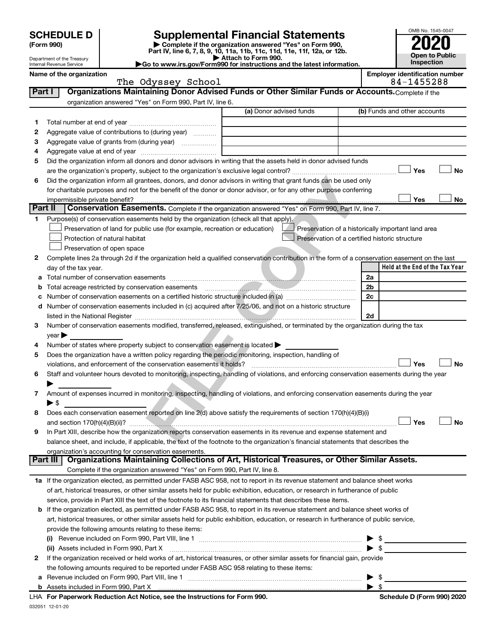| <b>SCHEDULE D</b> |
|-------------------|
|-------------------|

| (Form 990) |  |
|------------|--|
|------------|--|

# **SCHEDULE D Supplemental Financial Statements**<br> **Form 990 2020**<br> **Part IV** line 6.7.8.9.10, 11a, 11b, 11d, 11d, 11d, 11d, 11d, 12a, 0r, 12b

**(Form 990) | Complete if the organization answered "Yes" on Form 990, Part IV, line 6, 7, 8, 9, 10, 11a, 11b, 11c, 11d, 11e, 11f, 12a, or 12b.**

**Open to Public Inspection**

OMB No. 1545-0047

| Attach to Form 990.<br>Department of the Treasury<br>Go to www.irs.gov/Form990 for instructions and the latest information.<br>Internal Revenue Service |                    |  | <b>ODEN to Public</b><br><b>Inspection</b> |
|---------------------------------------------------------------------------------------------------------------------------------------------------------|--------------------|--|--------------------------------------------|
| Name of the organization                                                                                                                                |                    |  | <b>Emplover identification number</b>      |
|                                                                                                                                                         | The Odyssey School |  | 84-1455288                                 |

| Part I  | Organizations Maintaining Donor Advised Funds or Other Similar Funds or Accounts. Complete if the                                              |                         |                                                    |
|---------|------------------------------------------------------------------------------------------------------------------------------------------------|-------------------------|----------------------------------------------------|
|         | organization answered "Yes" on Form 990, Part IV, line 6.                                                                                      |                         |                                                    |
|         |                                                                                                                                                | (a) Donor advised funds | (b) Funds and other accounts                       |
| 1       |                                                                                                                                                |                         |                                                    |
| 2       | Aggregate value of contributions to (during year)                                                                                              |                         |                                                    |
| З       |                                                                                                                                                |                         |                                                    |
| 4       |                                                                                                                                                |                         |                                                    |
| 5       | Did the organization inform all donors and donor advisors in writing that the assets held in donor advised funds                               |                         |                                                    |
|         |                                                                                                                                                |                         | Yes<br>No                                          |
| 6       | Did the organization inform all grantees, donors, and donor advisors in writing that grant funds can be used only                              |                         |                                                    |
|         | for charitable purposes and not for the benefit of the donor or donor advisor, or for any other purpose conferring                             |                         |                                                    |
|         | impermissible private benefit?                                                                                                                 |                         | Yes<br>No                                          |
| Part II | Conservation Easements. Complete if the organization answered "Yes" on Form 990, Part IV, line 7.                                              |                         |                                                    |
| 1.      | Purpose(s) of conservation easements held by the organization (check all that apply).                                                          |                         |                                                    |
|         | Preservation of land for public use (for example, recreation or education)                                                                     |                         | Preservation of a historically important land area |
|         | Protection of natural habitat                                                                                                                  |                         | Preservation of a certified historic structure     |
|         | Preservation of open space                                                                                                                     |                         |                                                    |
| 2       | Complete lines 2a through 2d if the organization held a qualified conservation contribution in the form of a conservation easement on the last |                         |                                                    |
|         | day of the tax year.                                                                                                                           |                         | Held at the End of the Tax Year                    |
| а       |                                                                                                                                                |                         | 2a                                                 |
|         | Total acreage restricted by conservation easements                                                                                             |                         | 2 <sub>b</sub>                                     |
|         | Number of conservation easements on a certified historic structure included in (a) manufacture included in (a)                                 |                         | 2c                                                 |
| d       | Number of conservation easements included in (c) acquired after 7/25/06, and not on a historic structure                                       |                         |                                                    |
|         |                                                                                                                                                |                         | 2d                                                 |
| З       | Number of conservation easements modified, transferred, released, extinguished, or terminated by the organization during the tax               |                         |                                                    |
|         | $year \triangleright$                                                                                                                          |                         |                                                    |
| 4       | Number of states where property subject to conservation easement is located >                                                                  |                         |                                                    |
| 5       | Does the organization have a written policy regarding the periodic monitoring, inspection, handling of                                         |                         |                                                    |
|         | violations, and enforcement of the conservation easements it holds?                                                                            |                         | Yes<br>No                                          |
| 6       | Staff and volunteer hours devoted to monitoring, inspecting, handling of violations, and enforcing conservation easements during the year      |                         |                                                    |
|         |                                                                                                                                                |                         |                                                    |
| 7       | Amount of expenses incurred in monitoring, inspecting, handling of violations, and enforcing conservation easements during the year            |                         |                                                    |
|         | ► \$                                                                                                                                           |                         |                                                    |
| 8       | Does each conservation easement reported on line 2(d) above satisfy the requirements of section 170(h)(4)(B)(i)                                |                         |                                                    |
|         |                                                                                                                                                |                         | Yes<br>Nο                                          |
| 9       | In Part XIII, describe how the organization reports conservation easements in its revenue and expense statement and                            |                         |                                                    |
|         | balance sheet, and include, if applicable, the text of the footnote to the organization's financial statements that describes the              |                         |                                                    |
|         | organization's accounting for conservation easements.                                                                                          |                         |                                                    |
|         | Organizations Maintaining Collections of Art, Historical Treasures, or Other Similar Assets.<br><b>Part III</b>                                |                         |                                                    |
|         | Complete if the organization answered "Yes" on Form 990, Part IV, line 8.                                                                      |                         |                                                    |
|         | 1a If the organization elected, as permitted under FASB ASC 958, not to report in its revenue statement and balance sheet works                |                         |                                                    |
|         | of art, historical treasures, or other similar assets held for public exhibition, education, or research in furtherance of public              |                         |                                                    |
|         | service, provide in Part XIII the text of the footnote to its financial statements that describes these items.                                 |                         |                                                    |
| b       | If the organization elected, as permitted under FASB ASC 958, to report in its revenue statement and balance sheet works of                    |                         |                                                    |
|         | art, historical treasures, or other similar assets held for public exhibition, education, or research in furtherance of public service,        |                         |                                                    |
|         | provide the following amounts relating to these items:                                                                                         |                         |                                                    |
|         |                                                                                                                                                |                         | -\$                                                |
|         | (ii) Assets included in Form 990, Part X                                                                                                       |                         | $\blacktriangleright$ s                            |
| 2       | If the organization received or held works of art, historical treasures, or other similar assets for financial gain, provide                   |                         |                                                    |
|         | the following amounts required to be reported under FASB ASC 958 relating to these items:                                                      |                         |                                                    |
| а       |                                                                                                                                                |                         | -\$                                                |
|         | b Assets included in Form 990, Part X [11] Marten and Martin Martin Marten and Martin Martin Marten and Martin                                 |                         |                                                    |

032051 12-01-20 **For Paperwork Reduction Act Notice, see the Instructions for Form 990. Schedule D (Form 990) 2020** LHA

| Schedule D (Form 990) 2020 |  |  |
|----------------------------|--|--|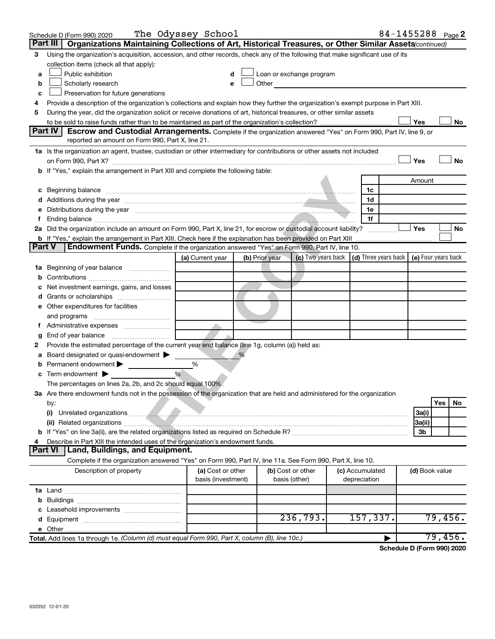|        | Schedule D (Form 990) 2020                                                                                                                                                                                                                 | The Odyssey School |   |                |                                                                                                                                                                                                                               |                 | 84-1455288 Page 2          |                |         |
|--------|--------------------------------------------------------------------------------------------------------------------------------------------------------------------------------------------------------------------------------------------|--------------------|---|----------------|-------------------------------------------------------------------------------------------------------------------------------------------------------------------------------------------------------------------------------|-----------------|----------------------------|----------------|---------|
|        | Organizations Maintaining Collections of Art, Historical Treasures, or Other Similar Assets (continued)<br>Part III $\parallel$                                                                                                            |                    |   |                |                                                                                                                                                                                                                               |                 |                            |                |         |
| 3      | Using the organization's acquisition, accession, and other records, check any of the following that make significant use of its                                                                                                            |                    |   |                |                                                                                                                                                                                                                               |                 |                            |                |         |
|        | collection items (check all that apply):                                                                                                                                                                                                   |                    |   |                |                                                                                                                                                                                                                               |                 |                            |                |         |
| a      | Public exhibition                                                                                                                                                                                                                          | d                  |   |                | Loan or exchange program                                                                                                                                                                                                      |                 |                            |                |         |
| b      | Scholarly research                                                                                                                                                                                                                         | e                  |   |                | Other and the contract of the contract of the contract of the contract of the contract of the contract of the contract of the contract of the contract of the contract of the contract of the contract of the contract of the |                 |                            |                |         |
| c      | Preservation for future generations                                                                                                                                                                                                        |                    |   |                |                                                                                                                                                                                                                               |                 |                            |                |         |
| 4      | Provide a description of the organization's collections and explain how they further the organization's exempt purpose in Part XIII.                                                                                                       |                    |   |                |                                                                                                                                                                                                                               |                 |                            |                |         |
| 5      | During the year, did the organization solicit or receive donations of art, historical treasures, or other similar assets                                                                                                                   |                    |   |                |                                                                                                                                                                                                                               |                 |                            |                |         |
|        |                                                                                                                                                                                                                                            |                    |   |                |                                                                                                                                                                                                                               |                 | Yes                        |                | No      |
|        | Part IV<br><b>Escrow and Custodial Arrangements.</b> Complete if the organization answered "Yes" on Form 990, Part IV, line 9, or                                                                                                          |                    |   |                |                                                                                                                                                                                                                               |                 |                            |                |         |
|        | reported an amount on Form 990, Part X, line 21.                                                                                                                                                                                           |                    |   |                |                                                                                                                                                                                                                               |                 |                            |                |         |
|        | 1a Is the organization an agent, trustee, custodian or other intermediary for contributions or other assets not included                                                                                                                   |                    |   |                |                                                                                                                                                                                                                               |                 |                            |                |         |
|        |                                                                                                                                                                                                                                            |                    |   |                |                                                                                                                                                                                                                               |                 | Yes                        |                | No      |
|        | b If "Yes," explain the arrangement in Part XIII and complete the following table:                                                                                                                                                         |                    |   |                |                                                                                                                                                                                                                               |                 |                            |                |         |
|        |                                                                                                                                                                                                                                            |                    |   |                |                                                                                                                                                                                                                               |                 |                            | Amount         |         |
|        | c Beginning balance <b>contract the contract of the contract of the contract of the contract of the contract of the contract of the contract of the contract of the contract of the contract of the contract of the contract of </b>       |                    |   |                |                                                                                                                                                                                                                               | 1c              |                            |                |         |
|        |                                                                                                                                                                                                                                            |                    |   |                |                                                                                                                                                                                                                               | 1d              |                            |                |         |
|        | e Distributions during the year manufactured and continuum control of the year manufactured and the year manufactured and the year manufactured and the year manufactured and the year manufactured and the year manufactured              |                    |   |                |                                                                                                                                                                                                                               | 1e              |                            |                |         |
|        |                                                                                                                                                                                                                                            |                    |   |                |                                                                                                                                                                                                                               | 1f              |                            |                |         |
|        | 2a Did the organization include an amount on Form 990, Part X, line 21, for escrow or custodial account liability?                                                                                                                         |                    |   |                |                                                                                                                                                                                                                               |                 | Yes                        |                | No      |
| Part V | <b>Endowment Funds.</b> Complete if the organization answered "Yes" on Form 990, Part IV, line 10.                                                                                                                                         |                    |   |                |                                                                                                                                                                                                                               |                 |                            |                |         |
|        |                                                                                                                                                                                                                                            | (a) Current year   |   | (b) Prior year | (c) Two years back $\vert$ (d) Three years back $\vert$ (e) Four years back                                                                                                                                                   |                 |                            |                |         |
|        | 1a Beginning of year balance                                                                                                                                                                                                               |                    |   |                |                                                                                                                                                                                                                               |                 |                            |                |         |
| b      |                                                                                                                                                                                                                                            |                    |   |                |                                                                                                                                                                                                                               |                 |                            |                |         |
|        | Net investment earnings, gains, and losses                                                                                                                                                                                                 |                    |   |                |                                                                                                                                                                                                                               |                 |                            |                |         |
|        |                                                                                                                                                                                                                                            |                    |   |                |                                                                                                                                                                                                                               |                 |                            |                |         |
|        | e Other expenditures for facilities                                                                                                                                                                                                        |                    |   |                |                                                                                                                                                                                                                               |                 |                            |                |         |
|        | and programs                                                                                                                                                                                                                               |                    |   |                |                                                                                                                                                                                                                               |                 |                            |                |         |
|        |                                                                                                                                                                                                                                            |                    |   |                |                                                                                                                                                                                                                               |                 |                            |                |         |
| g      |                                                                                                                                                                                                                                            |                    |   |                |                                                                                                                                                                                                                               |                 |                            |                |         |
| 2      | Provide the estimated percentage of the current year end balance (line 1g, column (a)) held as:                                                                                                                                            |                    |   |                |                                                                                                                                                                                                                               |                 |                            |                |         |
| а      | Board designated or quasi-endowment                                                                                                                                                                                                        |                    | % |                |                                                                                                                                                                                                                               |                 |                            |                |         |
|        | <b>b</b> Permanent endowment $\blacktriangleright$                                                                                                                                                                                         | $\%$               |   |                |                                                                                                                                                                                                                               |                 |                            |                |         |
| c      | $\frac{0}{6}$<br>Term endowment $\blacktriangleright$                                                                                                                                                                                      |                    |   |                |                                                                                                                                                                                                                               |                 |                            |                |         |
|        | The percentages on lines 2a, 2b, and 2c should equal 100%.                                                                                                                                                                                 |                    |   |                |                                                                                                                                                                                                                               |                 |                            |                |         |
|        | 3a Are there endowment funds not in the possession of the organization that are held and administered for the organization                                                                                                                 |                    |   |                |                                                                                                                                                                                                                               |                 |                            |                |         |
|        | by:                                                                                                                                                                                                                                        |                    |   |                |                                                                                                                                                                                                                               |                 |                            | Yes            | No      |
|        | Unrelated organizations <b>contracts</b> and the contract of the contract of the contract of the contract of the contract of the contract of the contract of the contract of the contract of the contract of the contract of the co<br>(i) |                    |   |                |                                                                                                                                                                                                                               |                 |                            | 3a(i)          |         |
|        |                                                                                                                                                                                                                                            |                    |   |                |                                                                                                                                                                                                                               |                 |                            | 3a(ii)         |         |
|        |                                                                                                                                                                                                                                            |                    |   |                |                                                                                                                                                                                                                               |                 |                            | 3b             |         |
| 4      | Describe in Part XIII the intended uses of the organization's endowment funds.                                                                                                                                                             |                    |   |                |                                                                                                                                                                                                                               |                 |                            |                |         |
|        | <b>Land, Buildings, and Equipment.</b><br><b>Part VI</b>                                                                                                                                                                                   |                    |   |                |                                                                                                                                                                                                                               |                 |                            |                |         |
|        | Complete if the organization answered "Yes" on Form 990, Part IV, line 11a. See Form 990, Part X, line 10.                                                                                                                                 |                    |   |                |                                                                                                                                                                                                                               |                 |                            |                |         |
|        | Description of property                                                                                                                                                                                                                    | (a) Cost or other  |   |                | (b) Cost or other                                                                                                                                                                                                             | (c) Accumulated |                            | (d) Book value |         |
|        |                                                                                                                                                                                                                                            | basis (investment) |   |                | basis (other)                                                                                                                                                                                                                 | depreciation    |                            |                |         |
|        |                                                                                                                                                                                                                                            |                    |   |                |                                                                                                                                                                                                                               |                 |                            |                |         |
|        |                                                                                                                                                                                                                                            |                    |   |                |                                                                                                                                                                                                                               |                 |                            |                |         |
|        |                                                                                                                                                                                                                                            |                    |   |                | 236,793.                                                                                                                                                                                                                      | 157,337.        |                            |                | 79,456. |
|        |                                                                                                                                                                                                                                            |                    |   |                |                                                                                                                                                                                                                               |                 |                            |                |         |
|        |                                                                                                                                                                                                                                            |                    |   |                |                                                                                                                                                                                                                               |                 |                            |                | 79,456. |
|        | Total. Add lines 1a through 1e. (Column (d) must equal Form 990, Part X, column (B), line 10c.)                                                                                                                                            |                    |   |                |                                                                                                                                                                                                                               |                 |                            |                |         |
|        |                                                                                                                                                                                                                                            |                    |   |                |                                                                                                                                                                                                                               |                 | Schedule D (Form 990) 2020 |                |         |
|        |                                                                                                                                                                                                                                            |                    |   |                |                                                                                                                                                                                                                               |                 |                            |                |         |
|        |                                                                                                                                                                                                                                            |                    |   |                |                                                                                                                                                                                                                               |                 |                            |                |         |
|        |                                                                                                                                                                                                                                            |                    |   |                |                                                                                                                                                                                                                               |                 |                            |                |         |
|        |                                                                                                                                                                                                                                            |                    |   |                |                                                                                                                                                                                                                               |                 |                            |                |         |
|        | 032052 12-01-20                                                                                                                                                                                                                            |                    |   |                |                                                                                                                                                                                                                               |                 |                            |                |         |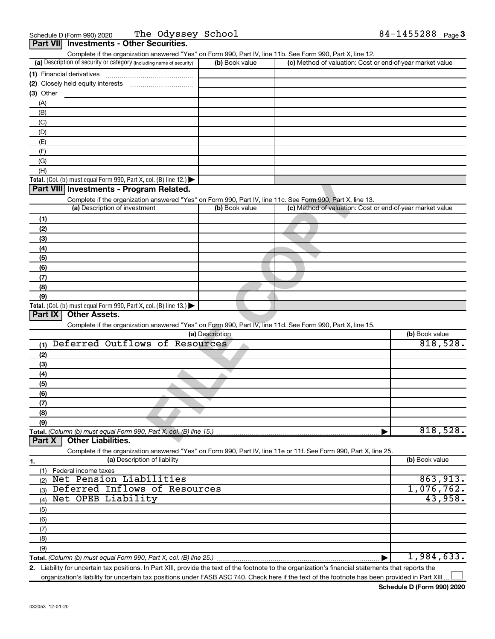| Schedule D (Form 990) 2020                      | The Odyssey School | 84-1455288 | Page $3$ |
|-------------------------------------------------|--------------------|------------|----------|
| <b>Part VII</b> Investments - Other Securities. |                    |            |          |

| Complete if the organization answered "Yes" on Form 990, Part IV, line 11b. See Form 990, Part X, line 12.<br>(a) Description of security or category (including name of security) | (b) Book value  | (c) Method of valuation: Cost or end-of-year market value |                |
|------------------------------------------------------------------------------------------------------------------------------------------------------------------------------------|-----------------|-----------------------------------------------------------|----------------|
|                                                                                                                                                                                    |                 |                                                           |                |
| (1) Financial derivatives                                                                                                                                                          |                 |                                                           |                |
| (2)                                                                                                                                                                                |                 |                                                           |                |
| (3) Other                                                                                                                                                                          |                 |                                                           |                |
| (A)                                                                                                                                                                                |                 |                                                           |                |
| (B)                                                                                                                                                                                |                 |                                                           |                |
| (C)                                                                                                                                                                                |                 |                                                           |                |
| (D)                                                                                                                                                                                |                 |                                                           |                |
| (E)                                                                                                                                                                                |                 |                                                           |                |
| (F)                                                                                                                                                                                |                 |                                                           |                |
| (G)                                                                                                                                                                                |                 |                                                           |                |
| (H)                                                                                                                                                                                |                 |                                                           |                |
| Total. (Col. (b) must equal Form 990, Part X, col. (B) line 12.) $\blacktriangleright$                                                                                             |                 |                                                           |                |
| Part VIII Investments - Program Related.                                                                                                                                           |                 |                                                           |                |
| Complete if the organization answered "Yes" on Form 990, Part IV, line 11c. See Form 990, Part X, line 13.                                                                         |                 |                                                           |                |
| (a) Description of investment                                                                                                                                                      | (b) Book value  | (c) Method of valuation: Cost or end-of-year market value |                |
| (1)                                                                                                                                                                                |                 |                                                           |                |
| (2)                                                                                                                                                                                |                 |                                                           |                |
|                                                                                                                                                                                    |                 |                                                           |                |
| (3)                                                                                                                                                                                |                 |                                                           |                |
| (4)                                                                                                                                                                                |                 |                                                           |                |
| (5)                                                                                                                                                                                |                 |                                                           |                |
| (6)                                                                                                                                                                                |                 |                                                           |                |
| (7)                                                                                                                                                                                |                 |                                                           |                |
| (8)                                                                                                                                                                                |                 |                                                           |                |
| (9)                                                                                                                                                                                |                 |                                                           |                |
| Total. (Col. (b) must equal Form 990, Part X, col. (B) line 13.)                                                                                                                   |                 |                                                           |                |
| Part IX<br><b>Other Assets.</b>                                                                                                                                                    |                 |                                                           |                |
| Complete if the organization answered "Yes" on Form 990, Part IV, line 11d. See Form 990, Part X, line 15.                                                                         |                 |                                                           |                |
|                                                                                                                                                                                    | (a) Description |                                                           | (b) Book value |
| Deferred Outflows of Resources<br>(1)                                                                                                                                              |                 |                                                           | 818,528.       |
| (2)                                                                                                                                                                                |                 |                                                           |                |
| (3)                                                                                                                                                                                |                 |                                                           |                |
| (4)                                                                                                                                                                                |                 |                                                           |                |
| (5)                                                                                                                                                                                |                 |                                                           |                |
|                                                                                                                                                                                    |                 |                                                           |                |
| (6)                                                                                                                                                                                |                 |                                                           |                |
| (7)                                                                                                                                                                                |                 |                                                           |                |
| (8)                                                                                                                                                                                |                 |                                                           |                |
| (9)                                                                                                                                                                                |                 |                                                           |                |
| Total. (Column (b) must equal Form 990, Part X, col. (B) line 15.)                                                                                                                 |                 |                                                           | 818,528.       |
| <b>Other Liabilities.</b><br>Part X                                                                                                                                                |                 |                                                           |                |
| Complete if the organization answered "Yes" on Form 990, Part IV, line 11e or 11f. See Form 990, Part X, line 25.                                                                  |                 |                                                           |                |
| (a) Description of liability<br>1.                                                                                                                                                 |                 |                                                           | (b) Book value |
| (1)<br>Federal income taxes                                                                                                                                                        |                 |                                                           |                |
| Net Pension Liabilities<br>(2)                                                                                                                                                     |                 |                                                           | 863,913.       |
| Deferred Inflows of Resources<br>(3)                                                                                                                                               |                 |                                                           | 1,076,762.     |
| Net OPEB Liability<br>(4)                                                                                                                                                          |                 |                                                           | 43,958.        |
| (5)                                                                                                                                                                                |                 |                                                           |                |
| (6)                                                                                                                                                                                |                 |                                                           |                |
| (7)                                                                                                                                                                                |                 |                                                           |                |
| (8)                                                                                                                                                                                |                 |                                                           |                |
| (9)                                                                                                                                                                                |                 |                                                           |                |
|                                                                                                                                                                                    |                 |                                                           | 1,984,633.     |
|                                                                                                                                                                                    |                 |                                                           |                |

**2.** Liability for uncertain tax positions. In Part XIII, provide the text of the footnote to the organization's financial statements that reports the organization's liability for uncertain tax positions under FASB ASC 740. Check here if the text of the footnote has been provided in Part XIII...

 $\perp$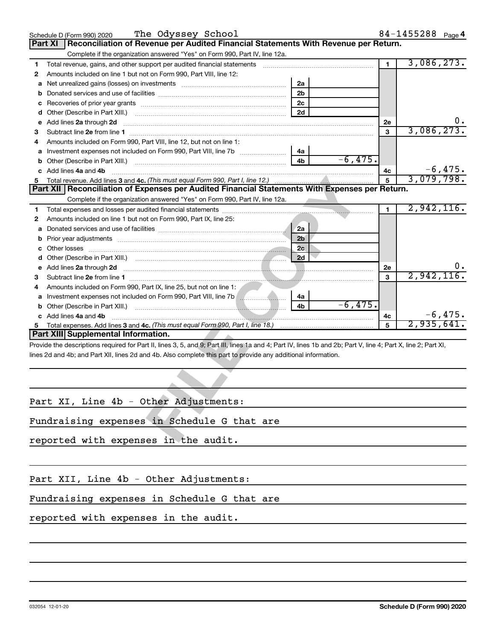|    | The Odyssey School<br>Schedule D (Form 990) 2020                                                                                                                                                                               |                |                | 84-1455288 Page 4          |           |
|----|--------------------------------------------------------------------------------------------------------------------------------------------------------------------------------------------------------------------------------|----------------|----------------|----------------------------|-----------|
|    | Reconciliation of Revenue per Audited Financial Statements With Revenue per Return.<br>Part XI                                                                                                                                 |                |                |                            |           |
|    | Complete if the organization answered "Yes" on Form 990, Part IV, line 12a.                                                                                                                                                    |                |                |                            |           |
| 1. | Total revenue, gains, and other support per audited financial statements [111] [11] Total revenue, gains, and other support per audited financial statements                                                                   |                | $\blacksquare$ | 3,086,273.                 |           |
| 2  | Amounts included on line 1 but not on Form 990, Part VIII, line 12:                                                                                                                                                            |                |                |                            |           |
| a  |                                                                                                                                                                                                                                | 2a             |                |                            |           |
| b  |                                                                                                                                                                                                                                | 2 <sub>b</sub> |                |                            |           |
| с  |                                                                                                                                                                                                                                | 2 <sub>c</sub> |                |                            |           |
|    |                                                                                                                                                                                                                                | 2d             |                |                            |           |
|    | e Add lines 2a through 2d                                                                                                                                                                                                      |                | <b>2e</b>      |                            |           |
| з  |                                                                                                                                                                                                                                |                | 3              | 3,086,273.                 |           |
| 4  | Amounts included on Form 990, Part VIII, line 12, but not on line 1:                                                                                                                                                           |                |                |                            |           |
| а  | Investment expenses not included on Form 990, Part VIII, line 7b                                                                                                                                                               | 4a             |                |                            |           |
|    |                                                                                                                                                                                                                                | 4b             | $-6,475.$      |                            |           |
|    | c Add lines 4a and 4b                                                                                                                                                                                                          |                | 4c             | 3,079,798.                 | $-6,475.$ |
| 5  | Part XII   Reconciliation of Expenses per Audited Financial Statements With Expenses per Return.                                                                                                                               |                | 5              |                            |           |
|    | Complete if the organization answered "Yes" on Form 990, Part IV, line 12a.                                                                                                                                                    |                |                |                            |           |
| 1  |                                                                                                                                                                                                                                |                | 1              | 2,942,116.                 |           |
| 2  | Amounts included on line 1 but not on Form 990, Part IX, line 25:                                                                                                                                                              |                |                |                            |           |
| а  |                                                                                                                                                                                                                                | <b>2a</b>      |                |                            |           |
| b  |                                                                                                                                                                                                                                | 2 <sub>b</sub> |                |                            |           |
|    |                                                                                                                                                                                                                                | 2c             |                |                            |           |
|    | d Other (Describe in Part XIII.) and the contract of the contract of the contract of the contract of the contract of the contract of the contract of the contract of the contract of the contract of the contract of the contr | 2d             |                |                            |           |
|    |                                                                                                                                                                                                                                |                | <b>2e</b>      |                            |           |
| з  |                                                                                                                                                                                                                                |                | 3              | 2,942,116.                 |           |
| 4  | Amounts included on Form 990, Part IX, line 25, but not on line 1:                                                                                                                                                             |                |                |                            |           |
|    |                                                                                                                                                                                                                                | 4a             |                |                            |           |
|    |                                                                                                                                                                                                                                | 4 <sub>b</sub> | $-6,475.$      |                            |           |
|    | c Add lines 4a and 4b                                                                                                                                                                                                          |                | 4с             |                            | $-6,475.$ |
| 5  |                                                                                                                                                                                                                                |                | 5              | 2,935,641.                 |           |
|    | Part XIII Supplemental Information.                                                                                                                                                                                            |                |                |                            |           |
|    | Provide the descriptions required for Part II, lines 3, 5, and 9; Part III, lines 1a and 4; Part IV, lines 1b and 2b; Part V, line 4; Part X, line 2; Part XI,                                                                 |                |                |                            |           |
|    | lines 2d and 4b; and Part XII, lines 2d and 4b. Also complete this part to provide any additional information.                                                                                                                 |                |                |                            |           |
|    |                                                                                                                                                                                                                                |                |                |                            |           |
|    |                                                                                                                                                                                                                                |                |                |                            |           |
|    |                                                                                                                                                                                                                                |                |                |                            |           |
|    | Part XI, Line 4b - Other Adjustments:                                                                                                                                                                                          |                |                |                            |           |
|    |                                                                                                                                                                                                                                |                |                |                            |           |
|    | Fundraising expenses in Schedule G that are                                                                                                                                                                                    |                |                |                            |           |
|    | reported with expenses in the audit.                                                                                                                                                                                           |                |                |                            |           |
|    |                                                                                                                                                                                                                                |                |                |                            |           |
|    |                                                                                                                                                                                                                                |                |                |                            |           |
|    |                                                                                                                                                                                                                                |                |                |                            |           |
|    | Part XII, Line 4b - Other Adjustments:                                                                                                                                                                                         |                |                |                            |           |
|    |                                                                                                                                                                                                                                |                |                |                            |           |
|    | Fundraising expenses in Schedule G that are                                                                                                                                                                                    |                |                |                            |           |
|    | reported with expenses in the audit.                                                                                                                                                                                           |                |                |                            |           |
|    |                                                                                                                                                                                                                                |                |                |                            |           |
|    |                                                                                                                                                                                                                                |                |                |                            |           |
|    |                                                                                                                                                                                                                                |                |                |                            |           |
|    |                                                                                                                                                                                                                                |                |                |                            |           |
|    |                                                                                                                                                                                                                                |                |                |                            |           |
|    |                                                                                                                                                                                                                                |                |                |                            |           |
|    |                                                                                                                                                                                                                                |                |                |                            |           |
|    | 032054 12-01-20                                                                                                                                                                                                                |                |                | Schedule D (Form 990) 2020 |           |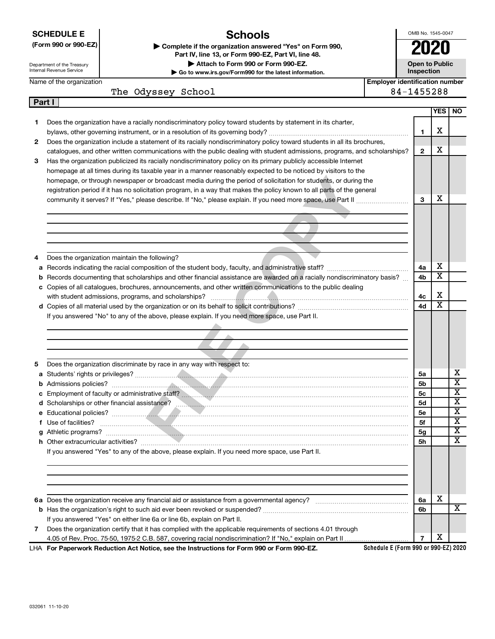| <b>SCHEDULE E</b><br>(Form 990 or 990-EZ) |                            | OMB No. 1545-0047<br><b>Schools</b>                                                                                                                                                                                                     |                                       |                       |                         |                         |
|-------------------------------------------|----------------------------|-----------------------------------------------------------------------------------------------------------------------------------------------------------------------------------------------------------------------------------------|---------------------------------------|-----------------------|-------------------------|-------------------------|
|                                           |                            | Complete if the organization answered "Yes" on Form 990,<br>Part IV, line 13, or Form 990-EZ, Part VI, line 48.                                                                                                                         |                                       | 2020                  |                         |                         |
|                                           | Department of the Treasury | Attach to Form 990 or Form 990-EZ.                                                                                                                                                                                                      |                                       | <b>Open to Public</b> |                         |                         |
|                                           | Internal Revenue Service   | Go to www.irs.gov/Form990 for the latest information.                                                                                                                                                                                   |                                       | Inspection            |                         |                         |
|                                           | Name of the organization   |                                                                                                                                                                                                                                         | <b>Employer identification number</b> |                       |                         |                         |
|                                           |                            | The Odyssey School                                                                                                                                                                                                                      |                                       | 84-1455288            |                         |                         |
| Part I                                    |                            |                                                                                                                                                                                                                                         |                                       |                       |                         |                         |
|                                           |                            |                                                                                                                                                                                                                                         |                                       |                       | <b>YES</b>              | NO.                     |
| 1.                                        |                            | Does the organization have a racially nondiscriminatory policy toward students by statement in its charter,                                                                                                                             |                                       |                       |                         |                         |
|                                           |                            |                                                                                                                                                                                                                                         |                                       | 1                     | х                       |                         |
| 2                                         |                            | Does the organization include a statement of its racially nondiscriminatory policy toward students in all its brochures,                                                                                                                |                                       |                       |                         |                         |
|                                           |                            | catalogues, and other written communications with the public dealing with student admissions, programs, and scholarships?                                                                                                               |                                       | $\mathbf{2}$          | х                       |                         |
| 3                                         |                            | Has the organization publicized its racially nondiscriminatory policy on its primary publicly accessible Internet                                                                                                                       |                                       |                       |                         |                         |
|                                           |                            | homepage at all times during its taxable year in a manner reasonably expected to be noticed by visitors to the                                                                                                                          |                                       |                       |                         |                         |
|                                           |                            | homepage, or through newspaper or broadcast media during the period of solicitation for students, or during the                                                                                                                         |                                       |                       |                         |                         |
|                                           |                            | registration period if it has no solicitation program, in a way that makes the policy known to all parts of the general                                                                                                                 |                                       |                       | х                       |                         |
|                                           |                            |                                                                                                                                                                                                                                         |                                       | 3                     |                         |                         |
|                                           |                            |                                                                                                                                                                                                                                         |                                       |                       |                         |                         |
|                                           |                            |                                                                                                                                                                                                                                         |                                       |                       |                         |                         |
|                                           |                            |                                                                                                                                                                                                                                         |                                       |                       |                         |                         |
|                                           |                            |                                                                                                                                                                                                                                         |                                       |                       |                         |                         |
|                                           |                            |                                                                                                                                                                                                                                         |                                       |                       |                         |                         |
| 4                                         |                            | Does the organization maintain the following?                                                                                                                                                                                           |                                       | 4a                    | X                       |                         |
| а                                         |                            |                                                                                                                                                                                                                                         |                                       | 4b                    | $\overline{\texttt{x}}$ |                         |
| b                                         |                            | Records documenting that scholarships and other financial assistance are awarded on a racially nondiscriminatory basis?<br>c Copies of all catalogues, brochures, announcements, and other written communications to the public dealing |                                       |                       |                         |                         |
|                                           |                            |                                                                                                                                                                                                                                         |                                       | 4с                    | Χ                       |                         |
|                                           |                            |                                                                                                                                                                                                                                         |                                       | 4d                    | X                       |                         |
|                                           |                            | If you answered "No" to any of the above, please explain. If you need more space, use Part II.                                                                                                                                          |                                       |                       |                         |                         |
|                                           |                            |                                                                                                                                                                                                                                         |                                       |                       |                         |                         |
|                                           |                            |                                                                                                                                                                                                                                         |                                       |                       |                         |                         |
|                                           |                            |                                                                                                                                                                                                                                         |                                       |                       |                         |                         |
|                                           |                            |                                                                                                                                                                                                                                         |                                       |                       |                         |                         |
| 5                                         |                            | Does the organization discriminate by race in any way with respect to:                                                                                                                                                                  |                                       |                       |                         |                         |
|                                           |                            |                                                                                                                                                                                                                                         |                                       | 5a                    |                         | х                       |
|                                           |                            |                                                                                                                                                                                                                                         |                                       | 5b                    |                         | $\overline{\texttt{x}}$ |
|                                           |                            |                                                                                                                                                                                                                                         |                                       | 5c                    |                         | $\overline{\texttt{X}}$ |
|                                           |                            |                                                                                                                                                                                                                                         |                                       | 5d                    |                         | $\overline{\text{X}}$   |
|                                           |                            |                                                                                                                                                                                                                                         |                                       | 5е                    |                         | х                       |
|                                           |                            |                                                                                                                                                                                                                                         |                                       | 5f                    |                         | $\overline{\mathbf{X}}$ |
|                                           |                            |                                                                                                                                                                                                                                         |                                       | 5g                    |                         | х                       |
|                                           |                            |                                                                                                                                                                                                                                         |                                       | 5h                    |                         | X                       |
|                                           |                            | If you answered "Yes" to any of the above, please explain. If you need more space, use Part II.                                                                                                                                         |                                       |                       |                         |                         |
|                                           |                            |                                                                                                                                                                                                                                         |                                       |                       |                         |                         |
|                                           |                            |                                                                                                                                                                                                                                         |                                       |                       |                         |                         |
|                                           |                            |                                                                                                                                                                                                                                         |                                       |                       |                         |                         |
|                                           |                            |                                                                                                                                                                                                                                         |                                       |                       |                         |                         |
|                                           |                            |                                                                                                                                                                                                                                         |                                       | 6a                    | X                       | X                       |
|                                           |                            |                                                                                                                                                                                                                                         |                                       | 6b                    |                         |                         |
|                                           |                            | If you answered "Yes" on either line 6a or line 6b, explain on Part II.                                                                                                                                                                 |                                       |                       |                         |                         |
| 7                                         |                            | Does the organization certify that it has complied with the applicable requirements of sections 4.01 through                                                                                                                            |                                       |                       | X                       |                         |
|                                           |                            |                                                                                                                                                                                                                                         |                                       | $\overline{7}$        |                         |                         |

**For Paperwork Reduction Act Notice, see the Instructions for Form 990 or Form 990-EZ.** LHA

**Schedule E (Form 990 or 990-EZ) 2020**

l.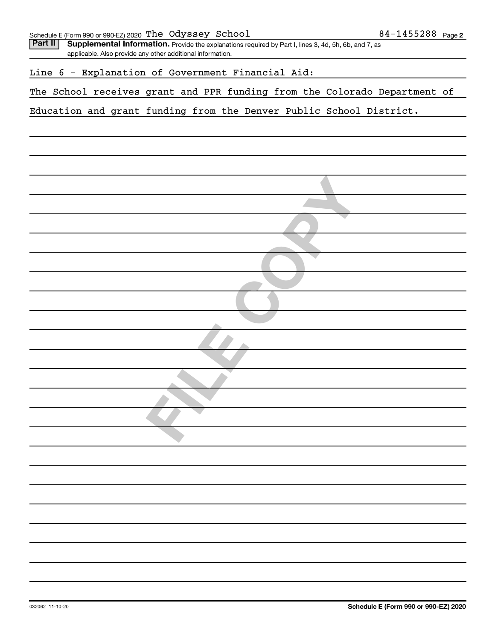| Schedule E (Form 990 or 990-EZ) 2020 The Odyssey School                                                                 | 84-1455288 Page 2 |  |
|-------------------------------------------------------------------------------------------------------------------------|-------------------|--|
| <b>Part II</b><br>Supplemental Information. Provide the explanations required by Part I, lines 3, 4d, 5h, 6b, and 7, as |                   |  |
| applicable. Also provide any other additional information.                                                              |                   |  |
| Line 6 - Explanation of Government Financial Aid:                                                                       |                   |  |
| The School receives grant and PPR funding from the Colorado Department of                                               |                   |  |
| Education and grant funding from the Denver Public School District.                                                     |                   |  |
|                                                                                                                         |                   |  |
|                                                                                                                         |                   |  |
|                                                                                                                         |                   |  |
|                                                                                                                         |                   |  |
|                                                                                                                         |                   |  |
|                                                                                                                         |                   |  |
|                                                                                                                         |                   |  |
|                                                                                                                         |                   |  |
|                                                                                                                         |                   |  |
|                                                                                                                         |                   |  |
|                                                                                                                         |                   |  |
|                                                                                                                         |                   |  |
|                                                                                                                         |                   |  |
|                                                                                                                         |                   |  |
|                                                                                                                         |                   |  |
|                                                                                                                         |                   |  |
|                                                                                                                         |                   |  |
|                                                                                                                         |                   |  |
|                                                                                                                         |                   |  |
|                                                                                                                         |                   |  |
|                                                                                                                         |                   |  |
|                                                                                                                         |                   |  |
|                                                                                                                         |                   |  |
|                                                                                                                         |                   |  |
|                                                                                                                         |                   |  |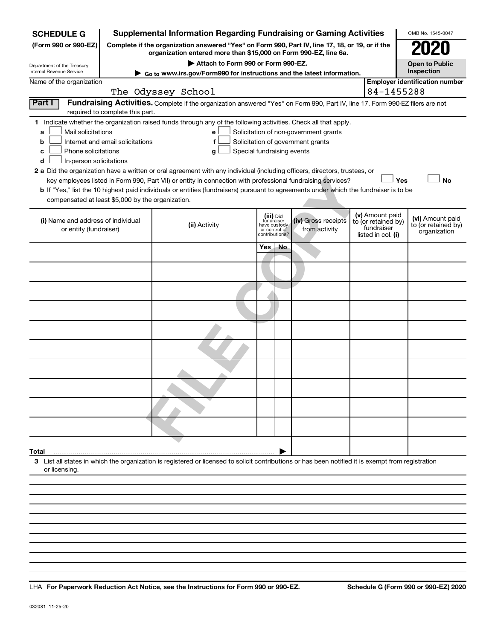| <b>SCHEDULE G</b>                                            |                                                                                                                                                                                                                                                                                                                                                                                                                                                                                      | <b>Supplemental Information Regarding Fundraising or Gaming Activities</b>                                                                                                                                                                           |      |                                                                            |                                      |            |                                                                            | OMB No. 1545-0047                                       |  |  |
|--------------------------------------------------------------|--------------------------------------------------------------------------------------------------------------------------------------------------------------------------------------------------------------------------------------------------------------------------------------------------------------------------------------------------------------------------------------------------------------------------------------------------------------------------------------|------------------------------------------------------------------------------------------------------------------------------------------------------------------------------------------------------------------------------------------------------|------|----------------------------------------------------------------------------|--------------------------------------|------------|----------------------------------------------------------------------------|---------------------------------------------------------|--|--|
| (Form 990 or 990-EZ)                                         | Complete if the organization answered "Yes" on Form 990, Part IV, line 17, 18, or 19, or if the<br>organization entered more than \$15,000 on Form 990-EZ, line 6a.                                                                                                                                                                                                                                                                                                                  |                                                                                                                                                                                                                                                      |      |                                                                            |                                      |            |                                                                            |                                                         |  |  |
| Department of the Treasury                                   | Attach to Form 990 or Form 990-EZ.                                                                                                                                                                                                                                                                                                                                                                                                                                                   |                                                                                                                                                                                                                                                      |      |                                                                            |                                      |            |                                                                            | <b>Open to Public</b>                                   |  |  |
| Internal Revenue Service                                     |                                                                                                                                                                                                                                                                                                                                                                                                                                                                                      | ► Go to www.irs.gov/Form990 for instructions and the latest information.                                                                                                                                                                             |      |                                                                            |                                      |            |                                                                            | Inspection                                              |  |  |
| Name of the organization<br>The Odyssey School               |                                                                                                                                                                                                                                                                                                                                                                                                                                                                                      |                                                                                                                                                                                                                                                      |      |                                                                            |                                      | 84-1455288 | <b>Employer identification number</b>                                      |                                                         |  |  |
| Part I                                                       | required to complete this part.                                                                                                                                                                                                                                                                                                                                                                                                                                                      | Fundraising Activities. Complete if the organization answered "Yes" on Form 990, Part IV, line 17. Form 990-EZ filers are not                                                                                                                        |      |                                                                            |                                      |            |                                                                            |                                                         |  |  |
| a<br>b<br>c<br>d                                             | 1 Indicate whether the organization raised funds through any of the following activities. Check all that apply.<br>Mail solicitations<br>Solicitation of non-government grants<br>e<br>Solicitation of government grants<br>Internet and email solicitations<br>f<br>Phone solicitations<br>Special fundraising events<br>g<br>In-person solicitations<br>2 a Did the organization have a written or oral agreement with any individual (including officers, directors, trustees, or |                                                                                                                                                                                                                                                      |      |                                                                            |                                      |            |                                                                            |                                                         |  |  |
| compensated at least \$5,000 by the organization.            |                                                                                                                                                                                                                                                                                                                                                                                                                                                                                      | key employees listed in Form 990, Part VII) or entity in connection with professional fundraising services?<br>b If "Yes," list the 10 highest paid individuals or entities (fundraisers) pursuant to agreements under which the fundraiser is to be |      |                                                                            |                                      |            |                                                                            | Yes<br><b>No</b>                                        |  |  |
| (i) Name and address of individual<br>or entity (fundraiser) |                                                                                                                                                                                                                                                                                                                                                                                                                                                                                      | (ii) Activity                                                                                                                                                                                                                                        |      | (iii) Did<br>fundraiser<br>have custody<br>or control of<br>contributions? | (iv) Gross receipts<br>from activity |            | (v) Amount paid<br>to (or retained by)<br>fundraiser<br>listed in col. (i) | (vi) Amount paid<br>to (or retained by)<br>organization |  |  |
|                                                              |                                                                                                                                                                                                                                                                                                                                                                                                                                                                                      |                                                                                                                                                                                                                                                      | Yes. | <b>No</b>                                                                  |                                      |            |                                                                            |                                                         |  |  |
|                                                              |                                                                                                                                                                                                                                                                                                                                                                                                                                                                                      |                                                                                                                                                                                                                                                      |      |                                                                            |                                      |            |                                                                            |                                                         |  |  |
|                                                              |                                                                                                                                                                                                                                                                                                                                                                                                                                                                                      |                                                                                                                                                                                                                                                      |      |                                                                            |                                      |            |                                                                            |                                                         |  |  |
|                                                              |                                                                                                                                                                                                                                                                                                                                                                                                                                                                                      |                                                                                                                                                                                                                                                      |      |                                                                            |                                      |            |                                                                            |                                                         |  |  |
|                                                              |                                                                                                                                                                                                                                                                                                                                                                                                                                                                                      |                                                                                                                                                                                                                                                      |      |                                                                            |                                      |            |                                                                            |                                                         |  |  |
|                                                              |                                                                                                                                                                                                                                                                                                                                                                                                                                                                                      |                                                                                                                                                                                                                                                      |      |                                                                            |                                      |            |                                                                            |                                                         |  |  |
|                                                              |                                                                                                                                                                                                                                                                                                                                                                                                                                                                                      |                                                                                                                                                                                                                                                      |      |                                                                            |                                      |            |                                                                            |                                                         |  |  |
|                                                              |                                                                                                                                                                                                                                                                                                                                                                                                                                                                                      |                                                                                                                                                                                                                                                      |      |                                                                            |                                      |            |                                                                            |                                                         |  |  |
|                                                              |                                                                                                                                                                                                                                                                                                                                                                                                                                                                                      |                                                                                                                                                                                                                                                      |      |                                                                            |                                      |            |                                                                            |                                                         |  |  |
|                                                              |                                                                                                                                                                                                                                                                                                                                                                                                                                                                                      |                                                                                                                                                                                                                                                      |      |                                                                            |                                      |            |                                                                            |                                                         |  |  |
| Total                                                        |                                                                                                                                                                                                                                                                                                                                                                                                                                                                                      |                                                                                                                                                                                                                                                      |      |                                                                            |                                      |            |                                                                            |                                                         |  |  |
| or licensing.                                                |                                                                                                                                                                                                                                                                                                                                                                                                                                                                                      | 3 List all states in which the organization is registered or licensed to solicit contributions or has been notified it is exempt from registration                                                                                                   |      |                                                                            |                                      |            |                                                                            |                                                         |  |  |
|                                                              |                                                                                                                                                                                                                                                                                                                                                                                                                                                                                      |                                                                                                                                                                                                                                                      |      |                                                                            |                                      |            |                                                                            |                                                         |  |  |
|                                                              |                                                                                                                                                                                                                                                                                                                                                                                                                                                                                      |                                                                                                                                                                                                                                                      |      |                                                                            |                                      |            |                                                                            |                                                         |  |  |
|                                                              |                                                                                                                                                                                                                                                                                                                                                                                                                                                                                      |                                                                                                                                                                                                                                                      |      |                                                                            |                                      |            |                                                                            |                                                         |  |  |

**For Paperwork Reduction Act Notice, see the Instructions for Form 990 or 990-EZ. Schedule G (Form 990 or 990-EZ) 2020** LHA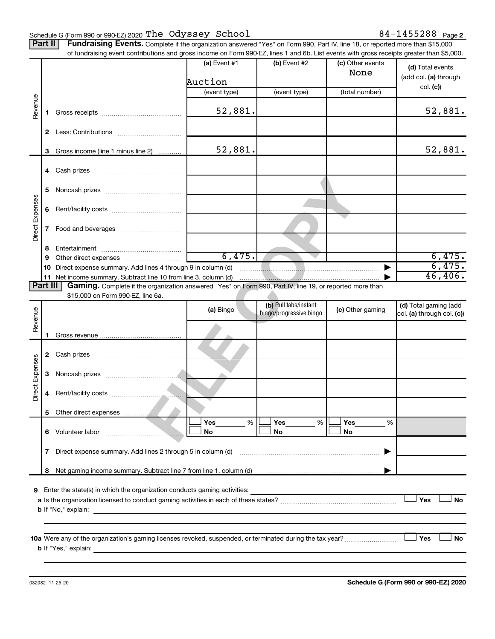#### Schedule G (Form 990 or 990-EZ) 2020 'Frie Cayssey School states and the control of  $84-1455288$  Page The Odyssey School 84-1455288

84-1455288 Page 2

| Part II   Fundraising Events. Complete if the organization answered "Yes" on Form 990, Part IV, line 18, or reported more than \$15,000   |
|-------------------------------------------------------------------------------------------------------------------------------------------|
| of fundraising event contributions and gross income on Form 990-EZ, lines 1 and 6b. List events with gross receipts greater than \$5,000. |

|                        |    | ו ומחמומוסווק כלכות סטותווסמתטוס מחמ קוססס וחסטות טוו ו סווח ססט בב, ווונס ד מחמ טט. בוסג כלכותס אחתו קוססס וכסכוףנס קוסמכו מומח קס,טטט.                                                                                                  |                |                                                  |                          |                                                     |
|------------------------|----|-------------------------------------------------------------------------------------------------------------------------------------------------------------------------------------------------------------------------------------------|----------------|--------------------------------------------------|--------------------------|-----------------------------------------------------|
|                        |    |                                                                                                                                                                                                                                           | (a) Event $#1$ | $(b)$ Event #2                                   | (c) Other events<br>None | (d) Total events<br>(add col. (a) through           |
|                        |    |                                                                                                                                                                                                                                           | Auction        |                                                  |                          | col. (c)                                            |
|                        |    |                                                                                                                                                                                                                                           | (event type)   | (event type)                                     | (total number)           |                                                     |
| Revenue                | 1. |                                                                                                                                                                                                                                           | 52,881.        |                                                  |                          | 52,881.                                             |
|                        |    |                                                                                                                                                                                                                                           |                |                                                  |                          |                                                     |
|                        | 3  | Gross income (line 1 minus line 2)                                                                                                                                                                                                        | 52,881.        |                                                  |                          | 52,881.                                             |
|                        |    |                                                                                                                                                                                                                                           |                |                                                  |                          |                                                     |
|                        | 5  |                                                                                                                                                                                                                                           |                |                                                  |                          |                                                     |
|                        | 6  |                                                                                                                                                                                                                                           |                |                                                  |                          |                                                     |
| Direct Expenses        | 7  | Food and beverages                                                                                                                                                                                                                        |                |                                                  |                          |                                                     |
|                        |    |                                                                                                                                                                                                                                           |                |                                                  |                          |                                                     |
|                        | 8  |                                                                                                                                                                                                                                           | 6,475.         |                                                  |                          | 6,475.                                              |
|                        | 9  | 10 Direct expense summary. Add lines 4 through 9 in column (d)                                                                                                                                                                            |                |                                                  |                          | 6,475.                                              |
|                        |    |                                                                                                                                                                                                                                           |                |                                                  |                          | 46,406.                                             |
| Part III               |    | Gaming. Complete if the organization answered "Yes" on Form 990, Part IV, line 19, or reported more than                                                                                                                                  |                |                                                  |                          |                                                     |
|                        |    | \$15,000 on Form 990-EZ, line 6a.                                                                                                                                                                                                         |                |                                                  |                          |                                                     |
| Revenue                |    |                                                                                                                                                                                                                                           | (a) Bingo      | (b) Pull tabs/instant<br>bingo/progressive bingo | (c) Other gaming         | (d) Total gaming (add<br>col. (a) through col. (c)) |
|                        |    |                                                                                                                                                                                                                                           |                |                                                  |                          |                                                     |
|                        |    |                                                                                                                                                                                                                                           |                |                                                  |                          |                                                     |
|                        | 3  |                                                                                                                                                                                                                                           |                |                                                  |                          |                                                     |
| <b>Direct Expenses</b> | 4  |                                                                                                                                                                                                                                           |                |                                                  |                          |                                                     |
|                        |    |                                                                                                                                                                                                                                           |                |                                                  |                          |                                                     |
|                        | 6  |                                                                                                                                                                                                                                           | Yes<br>%<br>No | Yes<br>%<br>No                                   | Yes<br>%<br>No           |                                                     |
|                        | 7  | Direct expense summary. Add lines 2 through 5 in column (d)                                                                                                                                                                               |                |                                                  |                          |                                                     |
|                        | 8  |                                                                                                                                                                                                                                           |                |                                                  |                          |                                                     |
| 9                      |    | Enter the state(s) in which the organization conducts gaming activities:<br><b>b</b> If "No," explain:                                                                                                                                    |                |                                                  |                          | Yes<br>No                                           |
|                        |    | <b>b</b> If "Yes," explain: <u>contract and a set of the set of the set of the set of the set of the set of the set of the set of the set of the set of the set of the set of the set of the set of the set of the set of the set of </u> |                |                                                  |                          | Yes<br>No                                           |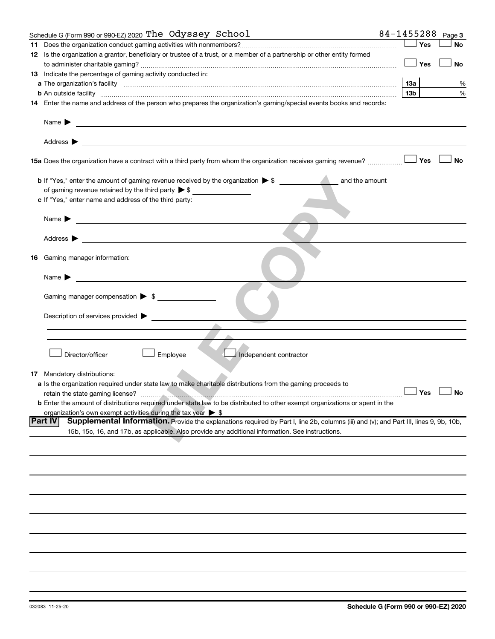|    | Schedule G (Form 990 or 990-EZ) 2020 The $Odyssey$ School                                                                                                                                                                                                          | 84-1455288 |                 |     | Page 3    |
|----|--------------------------------------------------------------------------------------------------------------------------------------------------------------------------------------------------------------------------------------------------------------------|------------|-----------------|-----|-----------|
| 11 |                                                                                                                                                                                                                                                                    |            |                 | Yes | <b>No</b> |
|    | 12 Is the organization a grantor, beneficiary or trustee of a trust, or a member of a partnership or other entity formed                                                                                                                                           |            |                 |     |           |
|    |                                                                                                                                                                                                                                                                    |            |                 | Yes | <b>No</b> |
|    | 13 Indicate the percentage of gaming activity conducted in:                                                                                                                                                                                                        |            |                 |     |           |
|    |                                                                                                                                                                                                                                                                    |            | <b>13a</b>      |     | %         |
|    | <b>b</b> An outside facility <i>www.communicality.communicality.communicality www.communicality.communicality.communicality.com</i>                                                                                                                                |            | 13 <sub>b</sub> |     | %         |
|    | 14 Enter the name and address of the person who prepares the organization's gaming/special events books and records:                                                                                                                                               |            |                 |     |           |
|    | Name $\blacktriangleright$                                                                                                                                                                                                                                         |            |                 |     |           |
|    | Address $\blacktriangleright$                                                                                                                                                                                                                                      |            |                 |     |           |
|    | 15a Does the organization have a contract with a third party from whom the organization receives gaming revenue?                                                                                                                                                   |            |                 | Yes | <b>No</b> |
|    | <b>b</b> If "Yes," enter the amount of gaming revenue received by the organization $\triangleright$ \$<br>and the amount<br>of gaming revenue retained by the third party $\triangleright$ \$                                                                      |            |                 |     |           |
|    | c If "Yes," enter name and address of the third party:                                                                                                                                                                                                             |            |                 |     |           |
|    | <u>and the contract of the contract of the contract of the contract of the contract of the contract of the contract of the contract of the contract of the contract of the contract of the contract of the contract of the contr</u><br>Name $\blacktriangleright$ |            |                 |     |           |
|    | Address $\blacktriangleright$                                                                                                                                                                                                                                      |            |                 |     |           |
|    | 16 Gaming manager information:                                                                                                                                                                                                                                     |            |                 |     |           |
|    | Name $\blacktriangleright$                                                                                                                                                                                                                                         |            |                 |     |           |
|    | Gaming manager compensation $\triangleright$ \$                                                                                                                                                                                                                    |            |                 |     |           |
|    | Description of services provided $\blacktriangleright$                                                                                                                                                                                                             |            |                 |     |           |
|    |                                                                                                                                                                                                                                                                    |            |                 |     |           |
|    | Director/officer<br>Employee<br>Independent contractor                                                                                                                                                                                                             |            |                 |     |           |
|    | <b>17</b> Mandatory distributions:                                                                                                                                                                                                                                 |            |                 |     |           |
|    | a Is the organization required under state law to make charitable distributions from the gaming proceeds to                                                                                                                                                        |            |                 |     |           |
|    | $\overline{\phantom{a}}$ Yes<br>retain the state gaming license?                                                                                                                                                                                                   |            |                 |     | $\Box$ No |
|    | <b>b</b> Enter the amount of distributions required under state law to be distributed to other exempt organizations or spent in the                                                                                                                                |            |                 |     |           |
|    | organization's own exempt activities during the tax year $\triangleright$ \$                                                                                                                                                                                       |            |                 |     |           |
|    | Supplemental Information. Provide the explanations required by Part I, line 2b, columns (iii) and (v); and Part III, lines 9, 9b, 10b,<br> Part IV                                                                                                                 |            |                 |     |           |
|    | 15b, 15c, 16, and 17b, as applicable. Also provide any additional information. See instructions.                                                                                                                                                                   |            |                 |     |           |
|    |                                                                                                                                                                                                                                                                    |            |                 |     |           |
|    |                                                                                                                                                                                                                                                                    |            |                 |     |           |
|    |                                                                                                                                                                                                                                                                    |            |                 |     |           |
|    |                                                                                                                                                                                                                                                                    |            |                 |     |           |
|    |                                                                                                                                                                                                                                                                    |            |                 |     |           |
|    |                                                                                                                                                                                                                                                                    |            |                 |     |           |
|    |                                                                                                                                                                                                                                                                    |            |                 |     |           |
|    |                                                                                                                                                                                                                                                                    |            |                 |     |           |
|    |                                                                                                                                                                                                                                                                    |            |                 |     |           |
|    |                                                                                                                                                                                                                                                                    |            |                 |     |           |
|    |                                                                                                                                                                                                                                                                    |            |                 |     |           |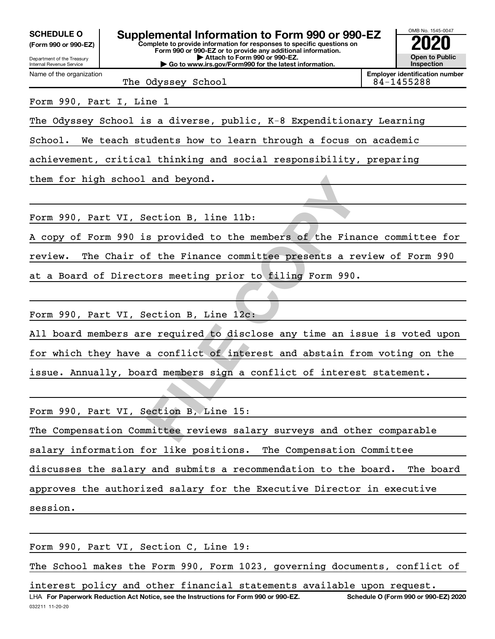**(Form 990 or 990-EZ)**

Department of the Treasury Internal Revenue Service Name of the organization

**Complete to provide information for responses to specific questions on Form 990 or 990-EZ or to provide any additional information. | Attach to Form 990 or 990-EZ. | Go to www.irs.gov/Form990 for the latest information. SCHEDULE O Supplemental Information to Form 990 or 990-EZ 2020**<br>(Form 990 or 990-EZ) Complete to provide information for responses to specific questions on



**Employer identification number**

Form 990, Part I, Line 1

The Odyssey School is a diverse, public, K-8 Expenditionary Learning

School. We teach students how to learn through a focus on academic

achievement, critical thinking and social responsibility, preparing

them for high school and beyond.

Form 990, Part VI, Section B, line 11b:

A copy of Form 990 is provided to the members of the Finance committee for

review. The Chair of the Finance committee presents a review of Form 990

at a Board of Directors meeting prior to filing Form 990.

The Odyssey School

Form 990, Part VI, Section B, Line 12c:

and beyond.<br>
<u>ection B, line 11b:</u><br>
s provided to the members of the Finance<br>
f the Finance committee presents a review<br>
ors meeting prior to filing Form 990.<br>
ection B, Line 12c:<br>
e required to disclose any time an issue<br> All board members are required to disclose any time an issue is voted upon for which they have a conflict of interest and abstain from voting on the issue. Annually, board members sign a conflict of interest statement.

Form 990, Part VI, Section B, Line 15:

The Compensation Committee reviews salary surveys and other comparable

salary information for like positions. The Compensation Committee

discusses the salary and submits a recommendation to the board. The board

approves the authorized salary for the Executive Director in executive

session.

Form 990, Part VI, Section C, Line 19:

The School makes the Form 990, Form 1023, governing documents, conflict of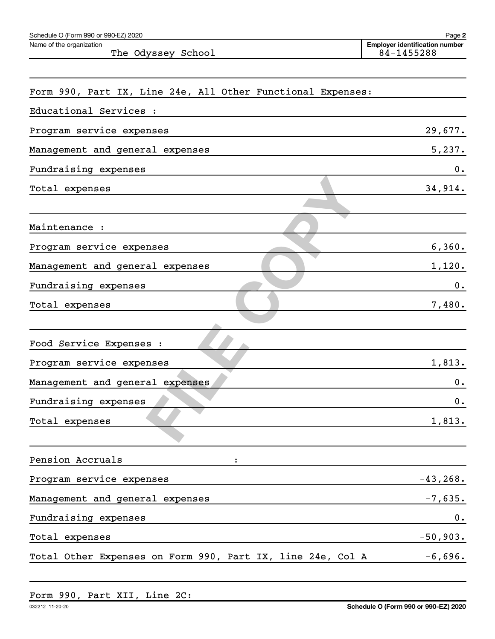| Schedule O (Form 990 or 990-EZ) 2020 | Page <b>2</b>                         |
|--------------------------------------|---------------------------------------|
| Name of the organization             | <b>Emplover identification number</b> |
| The Odyssey School                   | 84-1455288                            |

| Form 990, Part IX, Line 24e, All Other Functional Expenses: |             |
|-------------------------------------------------------------|-------------|
| Educational Services :                                      |             |
| Program service expenses                                    | 29,677.     |
| Management and general expenses                             | 5,237.      |
| Fundraising expenses                                        | 0.          |
| Total expenses                                              | 34,914.     |
|                                                             |             |
| Maintenance :                                               |             |
| Program service expenses                                    | 6,360.      |
| Management and general expenses                             | 1,120.      |
| Fundraising expenses                                        | 0.          |
| Total expenses                                              | 7,480.      |
|                                                             |             |
| Food Service Expenses :                                     |             |
| Program service expenses                                    | 1,813.      |
| Management and general expenses                             | 0.          |
| Fundraising expenses                                        | 0.          |
| Total expenses                                              | 1,813.      |
|                                                             |             |
| Pension Accruals<br>$\ddot{\phantom{a}}$                    |             |
| Program service expenses                                    | $-43, 268.$ |
| Management and general expenses                             | $-7,635.$   |
| Fundraising expenses                                        | 0.          |
| Total expenses                                              | $-50,903.$  |
| Total Other Expenses on Form 990, Part IX, line 24e, Col A  | $-6,696.$   |